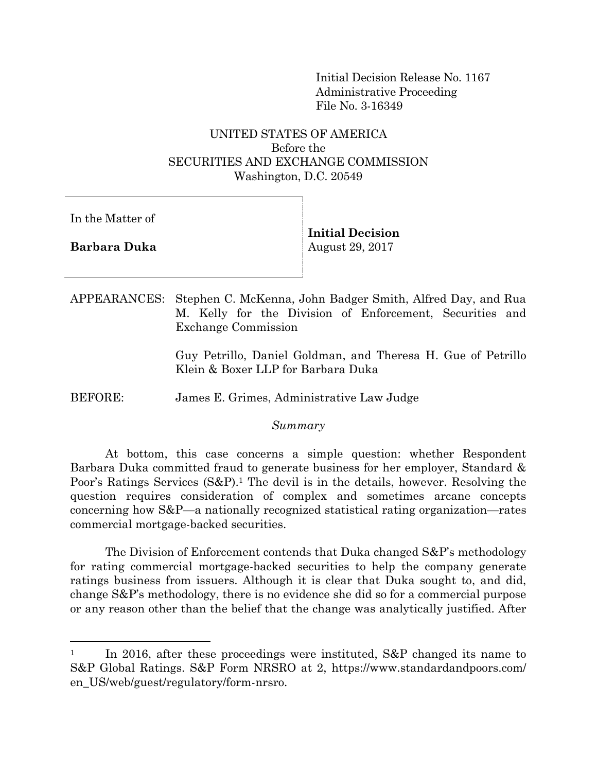Initial Decision Release No. 1167 Administrative Proceeding File No. 3-16349

# UNITED STATES OF AMERICA Before the SECURITIES AND EXCHANGE COMMISSION Washington, D.C. 20549

In the Matter of

**Barbara Duka**

l

**Initial Decision**  August 29, 2017

APPEARANCES: Stephen C. McKenna, John Badger Smith, Alfred Day, and Rua M. Kelly for the Division of Enforcement, Securities and Exchange Commission

> Guy Petrillo, Daniel Goldman, and Theresa H. Gue of Petrillo Klein & Boxer LLP for Barbara Duka

BEFORE: James E. Grimes, Administrative Law Judge

*Summary*

At bottom, this case concerns a simple question: whether Respondent Barbara Duka committed fraud to generate business for her employer, Standard & Poor's Ratings Services (S&P). <sup>1</sup> The devil is in the details, however. Resolving the question requires consideration of complex and sometimes arcane concepts concerning how S&P—a nationally recognized statistical rating organization—rates commercial mortgage-backed securities.

The Division of Enforcement contends that Duka changed S&P's methodology for rating commercial mortgage-backed securities to help the company generate ratings business from issuers. Although it is clear that Duka sought to, and did, change S&P's methodology, there is no evidence she did so for a commercial purpose or any reason other than the belief that the change was analytically justified. After

<sup>&</sup>lt;sup>1</sup> In 2016, after these proceedings were instituted, S&P changed its name to S&P Global Ratings. S&P Form NRSRO at 2, https://www.standardandpoors.com/ en\_US/web/guest/regulatory/form-nrsro.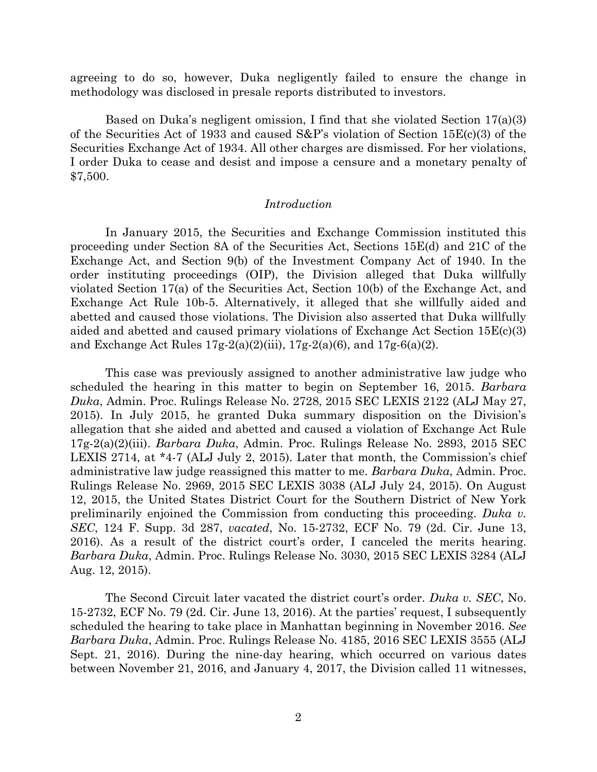agreeing to do so, however, Duka negligently failed to ensure the change in methodology was disclosed in presale reports distributed to investors.

Based on Duka's negligent omission, I find that she violated Section 17(a)(3) of the Securities Act of 1933 and caused  $S\&P's$  violation of Section 15E(c)(3) of the Securities Exchange Act of 1934. All other charges are dismissed. For her violations, I order Duka to cease and desist and impose a censure and a monetary penalty of \$7,500.

## *Introduction*

In January 2015, the Securities and Exchange Commission instituted this proceeding under Section 8A of the Securities Act, Sections 15E(d) and 21C of the Exchange Act, and Section 9(b) of the Investment Company Act of 1940. In the order instituting proceedings (OIP), the Division alleged that Duka willfully violated Section 17(a) of the Securities Act, Section 10(b) of the Exchange Act, and Exchange Act Rule 10b-5. Alternatively, it alleged that she willfully aided and abetted and caused those violations. The Division also asserted that Duka willfully aided and abetted and caused primary violations of Exchange Act Section  $15E(c)(3)$ and Exchange Act Rules  $17g-2(a)(2)(iii)$ ,  $17g-2(a)(6)$ , and  $17g-6(a)(2)$ .

This case was previously assigned to another administrative law judge who scheduled the hearing in this matter to begin on September 16, 2015. *Barbara Duka*, Admin. Proc. Rulings Release No. 2728, 2015 SEC LEXIS 2122 (ALJ May 27, 2015). In July 2015, he granted Duka summary disposition on the Division's allegation that she aided and abetted and caused a violation of Exchange Act Rule 17g-2(a)(2)(iii). *Barbara Duka*, Admin. Proc. Rulings Release No. 2893, 2015 SEC LEXIS 2714, at \*4-7 (ALJ July 2, 2015). Later that month, the Commission's chief administrative law judge reassigned this matter to me. *Barbara Duka*, Admin. Proc. Rulings Release No. 2969, 2015 SEC LEXIS 3038 (ALJ July 24, 2015). On August 12, 2015, the United States District Court for the Southern District of New York preliminarily enjoined the Commission from conducting this proceeding. *Duka v. SEC*, 124 F. Supp. 3d 287, *vacated*, No. 15-2732, ECF No. 79 (2d. Cir. June 13, 2016). As a result of the district court's order, I canceled the merits hearing. *Barbara Duka*, Admin. Proc. Rulings Release No. 3030, 2015 SEC LEXIS 3284 (ALJ Aug. 12, 2015).

The Second Circuit later vacated the district court's order. *Duka v. SEC*, No. 15-2732, ECF No. 79 (2d. Cir. June 13, 2016). At the parties' request, I subsequently scheduled the hearing to take place in Manhattan beginning in November 2016. *See Barbara Duka*, Admin. Proc. Rulings Release No. 4185, 2016 SEC LEXIS 3555 (ALJ Sept. 21, 2016). During the nine-day hearing, which occurred on various dates between November 21, 2016, and January 4, 2017, the Division called 11 witnesses,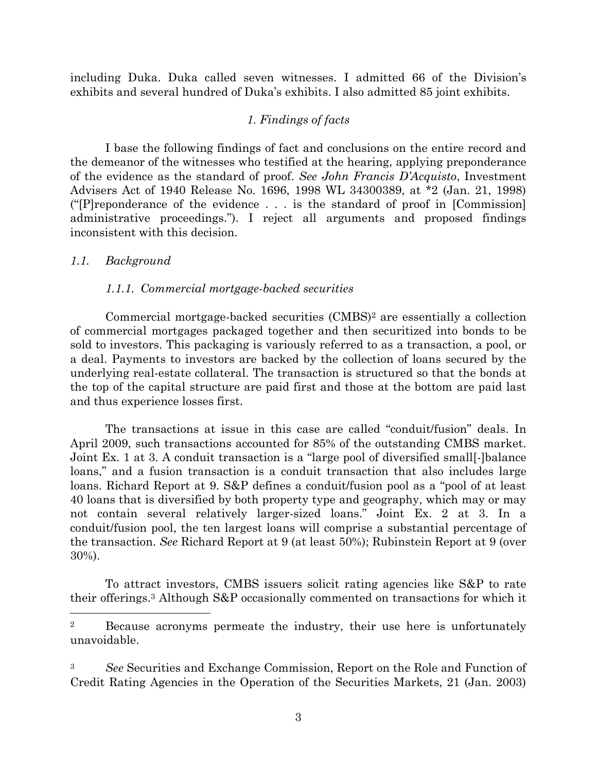including Duka. Duka called seven witnesses. I admitted 66 of the Division's exhibits and several hundred of Duka's exhibits. I also admitted 85 joint exhibits.

## *1. Findings of facts*

I base the following findings of fact and conclusions on the entire record and the demeanor of the witnesses who testified at the hearing, applying preponderance of the evidence as the standard of proof. *See John Francis D'Acquisto*, Investment Advisers Act of 1940 Release No. 1696, 1998 WL 34300389, at \*2 (Jan. 21, 1998) ("[P]reponderance of the evidence . . . is the standard of proof in [Commission] administrative proceedings."). I reject all arguments and proposed findings inconsistent with this decision.

### *1.1. Background*

l

### *1.1.1. Commercial mortgage-backed securities*

Commercial mortgage-backed securities (CMBS)<sup>2</sup> are essentially a collection of commercial mortgages packaged together and then securitized into bonds to be sold to investors. This packaging is variously referred to as a transaction, a pool, or a deal. Payments to investors are backed by the collection of loans secured by the underlying real-estate collateral. The transaction is structured so that the bonds at the top of the capital structure are paid first and those at the bottom are paid last and thus experience losses first.

The transactions at issue in this case are called "conduit/fusion" deals. In April 2009, such transactions accounted for 85% of the outstanding CMBS market. Joint Ex. 1 at 3. A conduit transaction is a "large pool of diversified small[-]balance loans," and a fusion transaction is a conduit transaction that also includes large loans. Richard Report at 9. S&P defines a conduit/fusion pool as a "pool of at least 40 loans that is diversified by both property type and geography, which may or may not contain several relatively larger-sized loans." Joint Ex. 2 at 3. In a conduit/fusion pool, the ten largest loans will comprise a substantial percentage of the transaction. *See* Richard Report at 9 (at least 50%); Rubinstein Report at 9 (over 30%).

To attract investors, CMBS issuers solicit rating agencies like S&P to rate their offerings. <sup>3</sup> Although S&P occasionally commented on transactions for which it

<sup>&</sup>lt;sup>2</sup> Because acronyms permeate the industry, their use here is unfortunately unavoidable.

<sup>3</sup> *See* Securities and Exchange Commission, Report on the Role and Function of Credit Rating Agencies in the Operation of the Securities Markets, 21 (Jan. 2003)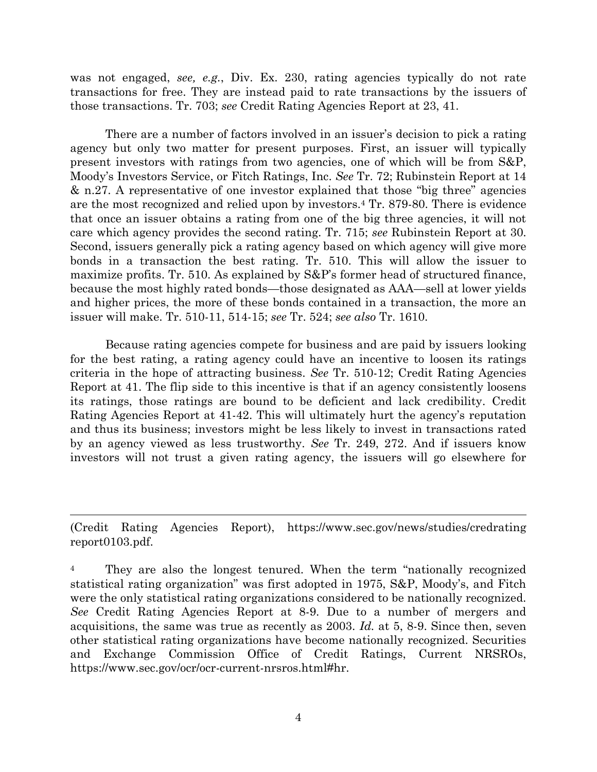was not engaged, *see, e.g.*, Div. Ex. 230, rating agencies typically do not rate transactions for free. They are instead paid to rate transactions by the issuers of those transactions. Tr. 703; *see* Credit Rating Agencies Report at 23, 41.

There are a number of factors involved in an issuer's decision to pick a rating agency but only two matter for present purposes. First, an issuer will typically present investors with ratings from two agencies, one of which will be from S&P, Moody's Investors Service, or Fitch Ratings, Inc. *See* Tr. 72; Rubinstein Report at 14 & n.27. A representative of one investor explained that those "big three" agencies are the most recognized and relied upon by investors.<sup>4</sup> Tr. 879-80. There is evidence that once an issuer obtains a rating from one of the big three agencies, it will not care which agency provides the second rating. Tr. 715; *see* Rubinstein Report at 30. Second, issuers generally pick a rating agency based on which agency will give more bonds in a transaction the best rating. Tr. 510. This will allow the issuer to maximize profits. Tr. 510. As explained by S&P's former head of structured finance, because the most highly rated bonds—those designated as AAA—sell at lower yields and higher prices, the more of these bonds contained in a transaction, the more an issuer will make. Tr. 510-11, 514-15; *see* Tr. 524; *see also* Tr. 1610.

Because rating agencies compete for business and are paid by issuers looking for the best rating, a rating agency could have an incentive to loosen its ratings criteria in the hope of attracting business. *See* Tr. 510-12; Credit Rating Agencies Report at 41. The flip side to this incentive is that if an agency consistently loosens its ratings, those ratings are bound to be deficient and lack credibility. Credit Rating Agencies Report at 41-42. This will ultimately hurt the agency's reputation and thus its business; investors might be less likely to invest in transactions rated by an agency viewed as less trustworthy. *See* Tr. 249, 272. And if issuers know investors will not trust a given rating agency, the issuers will go elsewhere for

(Credit Rating Agencies Report), https://www.sec.gov/news/studies/credrating report0103.pdf.

 $\overline{\phantom{a}}$ 

<sup>4</sup> They are also the longest tenured. When the term "nationally recognized" statistical rating organization" was first adopted in 1975, S&P, Moody's, and Fitch were the only statistical rating organizations considered to be nationally recognized. *See* Credit Rating Agencies Report at 8-9. Due to a number of mergers and acquisitions, the same was true as recently as 2003. *Id.* at 5, 8-9. Since then, seven other statistical rating organizations have become nationally recognized. Securities and Exchange Commission Office of Credit Ratings, Current NRSROs, https://www.sec.gov/ocr/ocr-current-nrsros.html#hr.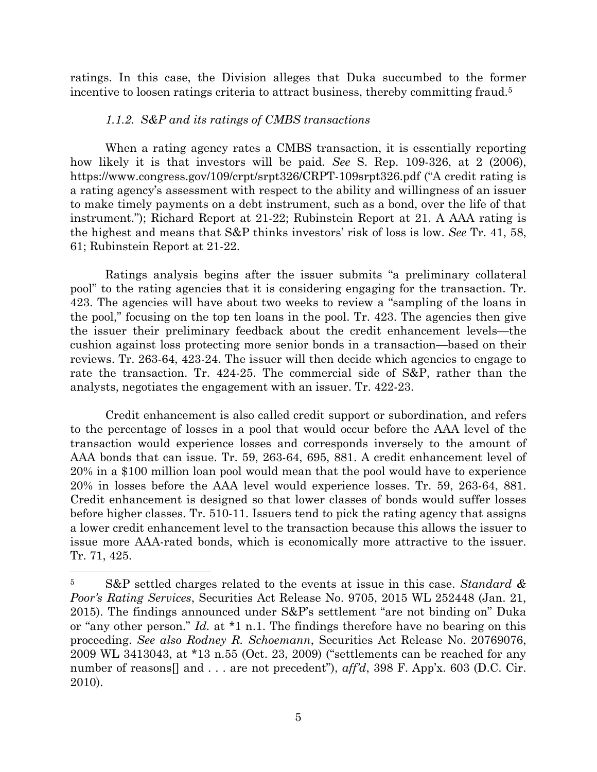ratings. In this case, the Division alleges that Duka succumbed to the former incentive to loosen ratings criteria to attract business, thereby committing fraud.<sup>5</sup>

## *1.1.2. S&P and its ratings of CMBS transactions*

When a rating agency rates a CMBS transaction, it is essentially reporting how likely it is that investors will be paid. *See* S. Rep. 109-326, at 2 (2006), https://www.congress.gov/109/crpt/srpt326/CRPT-109srpt326.pdf ("A credit rating is a rating agency's assessment with respect to the ability and willingness of an issuer to make timely payments on a debt instrument, such as a bond, over the life of that instrument."); Richard Report at 21-22; Rubinstein Report at 21. A AAA rating is the highest and means that S&P thinks investors' risk of loss is low. *See* Tr. 41, 58, 61; Rubinstein Report at 21-22.

Ratings analysis begins after the issuer submits "a preliminary collateral pool" to the rating agencies that it is considering engaging for the transaction. Tr. 423. The agencies will have about two weeks to review a "sampling of the loans in the pool," focusing on the top ten loans in the pool. Tr. 423. The agencies then give the issuer their preliminary feedback about the credit enhancement levels—the cushion against loss protecting more senior bonds in a transaction—based on their reviews. Tr. 263-64, 423-24. The issuer will then decide which agencies to engage to rate the transaction. Tr. 424-25. The commercial side of S&P, rather than the analysts, negotiates the engagement with an issuer. Tr. 422-23.

Credit enhancement is also called credit support or subordination, and refers to the percentage of losses in a pool that would occur before the AAA level of the transaction would experience losses and corresponds inversely to the amount of AAA bonds that can issue. Tr. 59, 263-64, 695, 881. A credit enhancement level of 20% in a \$100 million loan pool would mean that the pool would have to experience 20% in losses before the AAA level would experience losses. Tr. 59, 263-64, 881. Credit enhancement is designed so that lower classes of bonds would suffer losses before higher classes. Tr. 510-11. Issuers tend to pick the rating agency that assigns a lower credit enhancement level to the transaction because this allows the issuer to issue more AAA-rated bonds, which is economically more attractive to the issuer. Tr. 71, 425.

<sup>5</sup> S&P settled charges related to the events at issue in this case. *Standard & Poor's Rating Services*, Securities Act Release No. 9705, 2015 WL 252448 (Jan. 21, 2015). The findings announced under S&P's settlement "are not binding on" Duka or "any other person." *Id.* at \*1 n.1. The findings therefore have no bearing on this proceeding. *See also Rodney R. Schoemann*, Securities Act Release No. 20769076, 2009 WL 3413043, at \*13 n.55 (Oct. 23, 2009) ("settlements can be reached for any number of reasons<sup>[]</sup> and . . . are not precedent"), *aff'd*, 398 F. App'x. 603 (D.C. Cir. 2010).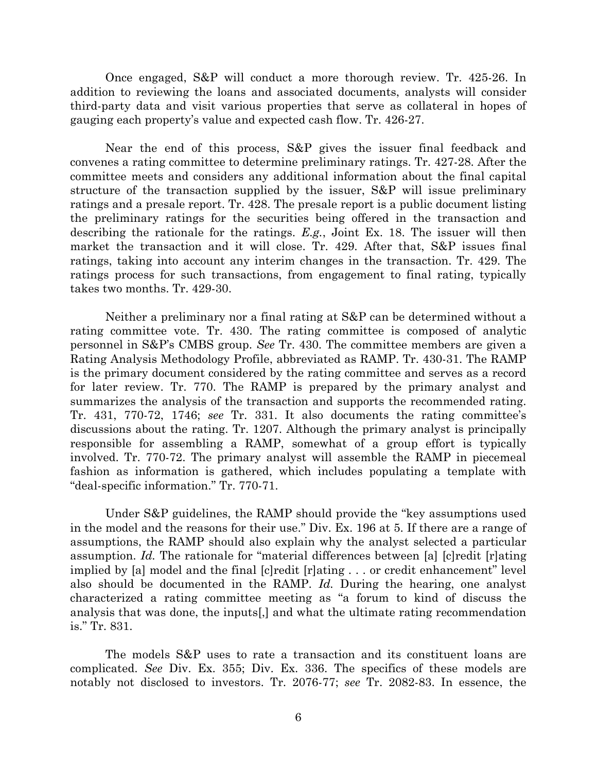Once engaged, S&P will conduct a more thorough review. Tr. 425-26. In addition to reviewing the loans and associated documents, analysts will consider third-party data and visit various properties that serve as collateral in hopes of gauging each property's value and expected cash flow. Tr. 426-27.

Near the end of this process, S&P gives the issuer final feedback and convenes a rating committee to determine preliminary ratings. Tr. 427-28. After the committee meets and considers any additional information about the final capital structure of the transaction supplied by the issuer, S&P will issue preliminary ratings and a presale report. Tr. 428. The presale report is a public document listing the preliminary ratings for the securities being offered in the transaction and describing the rationale for the ratings. *E.g.*, Joint Ex. 18. The issuer will then market the transaction and it will close. Tr. 429. After that, S&P issues final ratings, taking into account any interim changes in the transaction. Tr. 429. The ratings process for such transactions, from engagement to final rating, typically takes two months. Tr. 429-30.

Neither a preliminary nor a final rating at S&P can be determined without a rating committee vote. Tr. 430. The rating committee is composed of analytic personnel in S&P's CMBS group. *See* Tr. 430. The committee members are given a Rating Analysis Methodology Profile, abbreviated as RAMP. Tr. 430-31. The RAMP is the primary document considered by the rating committee and serves as a record for later review. Tr. 770. The RAMP is prepared by the primary analyst and summarizes the analysis of the transaction and supports the recommended rating. Tr. 431, 770-72, 1746; *see* Tr. 331. It also documents the rating committee's discussions about the rating. Tr. 1207. Although the primary analyst is principally responsible for assembling a RAMP, somewhat of a group effort is typically involved. Tr. 770-72. The primary analyst will assemble the RAMP in piecemeal fashion as information is gathered, which includes populating a template with "deal-specific information." Tr. 770-71.

Under S&P guidelines, the RAMP should provide the "key assumptions used in the model and the reasons for their use." Div. Ex. 196 at 5. If there are a range of assumptions, the RAMP should also explain why the analyst selected a particular assumption. *Id.* The rationale for "material differences between [a] [c]redit [r]ating implied by [a] model and the final [c]redit [r]ating . . . or credit enhancement" level also should be documented in the RAMP. *Id.* During the hearing, one analyst characterized a rating committee meeting as "a forum to kind of discuss the analysis that was done, the inputs[,] and what the ultimate rating recommendation is." Tr. 831.

The models S&P uses to rate a transaction and its constituent loans are complicated. *See* Div. Ex. 355; Div. Ex. 336. The specifics of these models are notably not disclosed to investors. Tr. 2076-77; *see* Tr. 2082-83. In essence, the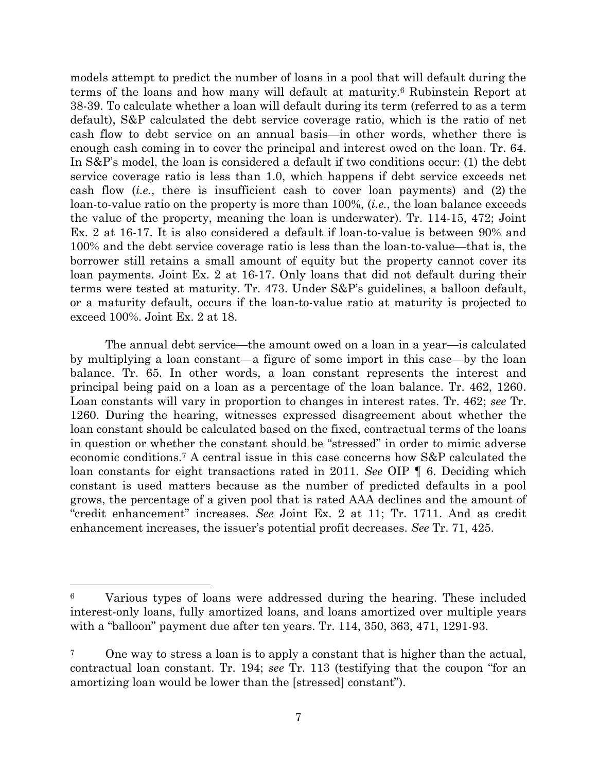models attempt to predict the number of loans in a pool that will default during the terms of the loans and how many will default at maturity.<sup>6</sup> Rubinstein Report at 38-39. To calculate whether a loan will default during its term (referred to as a term default), S&P calculated the debt service coverage ratio, which is the ratio of net cash flow to debt service on an annual basis—in other words, whether there is enough cash coming in to cover the principal and interest owed on the loan. Tr. 64. In S&P's model, the loan is considered a default if two conditions occur: (1) the debt service coverage ratio is less than 1.0, which happens if debt service exceeds net cash flow (*i.e.*, there is insufficient cash to cover loan payments) and (2) the loan-to-value ratio on the property is more than 100%, (*i.e.*, the loan balance exceeds the value of the property, meaning the loan is underwater). Tr. 114-15, 472; Joint Ex. 2 at 16-17. It is also considered a default if loan-to-value is between 90% and 100% and the debt service coverage ratio is less than the loan-to-value—that is, the borrower still retains a small amount of equity but the property cannot cover its loan payments. Joint Ex. 2 at 16-17. Only loans that did not default during their terms were tested at maturity. Tr. 473. Under S&P's guidelines, a balloon default, or a maturity default, occurs if the loan-to-value ratio at maturity is projected to exceed 100%. Joint Ex. 2 at 18.

The annual debt service—the amount owed on a loan in a year—is calculated by multiplying a loan constant—a figure of some import in this case—by the loan balance. Tr. 65. In other words, a loan constant represents the interest and principal being paid on a loan as a percentage of the loan balance. Tr. 462, 1260. Loan constants will vary in proportion to changes in interest rates. Tr. 462; *see* Tr. 1260. During the hearing, witnesses expressed disagreement about whether the loan constant should be calculated based on the fixed, contractual terms of the loans in question or whether the constant should be "stressed" in order to mimic adverse economic conditions.<sup>7</sup> A central issue in this case concerns how S&P calculated the loan constants for eight transactions rated in 2011. *See* OIP ¶ 6. Deciding which constant is used matters because as the number of predicted defaults in a pool grows, the percentage of a given pool that is rated AAA declines and the amount of "credit enhancement" increases. *See* Joint Ex. 2 at 11; Tr. 1711. And as credit enhancement increases, the issuer's potential profit decreases. *See* Tr. 71, 425.

<sup>6</sup> Various types of loans were addressed during the hearing. These included interest-only loans, fully amortized loans, and loans amortized over multiple years with a "balloon" payment due after ten years. Tr. 114, 350, 363, 471, 1291-93.

<sup>7</sup> One way to stress a loan is to apply a constant that is higher than the actual, contractual loan constant. Tr. 194; *see* Tr. 113 (testifying that the coupon "for an amortizing loan would be lower than the [stressed] constant").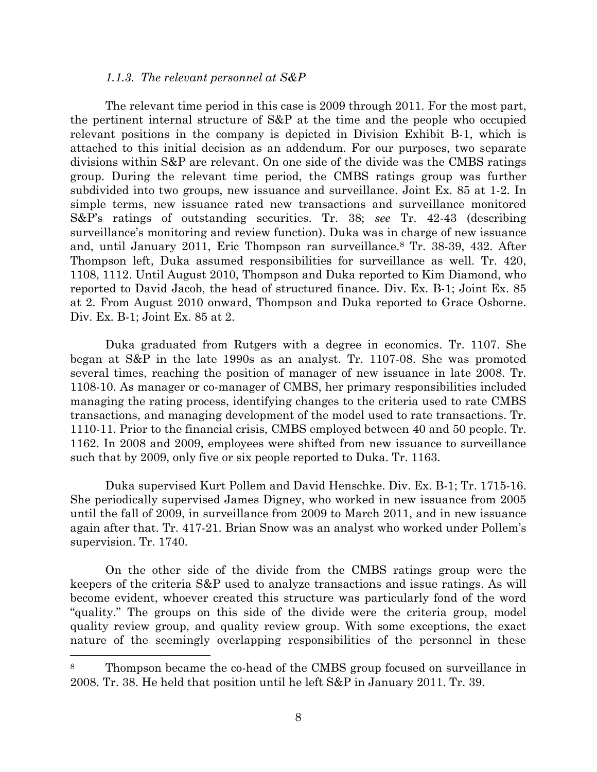#### *1.1.3. The relevant personnel at S&P*

The relevant time period in this case is 2009 through 2011. For the most part, the pertinent internal structure of S&P at the time and the people who occupied relevant positions in the company is depicted in Division Exhibit B-1, which is attached to this initial decision as an addendum. For our purposes, two separate divisions within S&P are relevant. On one side of the divide was the CMBS ratings group. During the relevant time period, the CMBS ratings group was further subdivided into two groups, new issuance and surveillance. Joint Ex. 85 at 1-2. In simple terms, new issuance rated new transactions and surveillance monitored S&P's ratings of outstanding securities. Tr. 38; *see* Tr. 42-43 (describing surveillance's monitoring and review function). Duka was in charge of new issuance and, until January 2011, Eric Thompson ran surveillance.<sup>8</sup> Tr. 38-39, 432. After Thompson left, Duka assumed responsibilities for surveillance as well. Tr. 420, 1108, 1112. Until August 2010, Thompson and Duka reported to Kim Diamond, who reported to David Jacob, the head of structured finance. Div. Ex. B-1; Joint Ex. 85 at 2. From August 2010 onward, Thompson and Duka reported to Grace Osborne. Div. Ex. B-1; Joint Ex. 85 at 2.

Duka graduated from Rutgers with a degree in economics. Tr. 1107. She began at S&P in the late 1990s as an analyst. Tr. 1107-08. She was promoted several times, reaching the position of manager of new issuance in late 2008. Tr. 1108-10. As manager or co-manager of CMBS, her primary responsibilities included managing the rating process, identifying changes to the criteria used to rate CMBS transactions, and managing development of the model used to rate transactions. Tr. 1110-11. Prior to the financial crisis, CMBS employed between 40 and 50 people. Tr. 1162. In 2008 and 2009, employees were shifted from new issuance to surveillance such that by 2009, only five or six people reported to Duka. Tr. 1163.

Duka supervised Kurt Pollem and David Henschke. Div. Ex. B-1; Tr. 1715-16. She periodically supervised James Digney, who worked in new issuance from 2005 until the fall of 2009, in surveillance from 2009 to March 2011, and in new issuance again after that. Tr. 417-21. Brian Snow was an analyst who worked under Pollem's supervision. Tr. 1740.

On the other side of the divide from the CMBS ratings group were the keepers of the criteria S&P used to analyze transactions and issue ratings. As will become evident, whoever created this structure was particularly fond of the word "quality." The groups on this side of the divide were the criteria group, model quality review group, and quality review group. With some exceptions, the exact nature of the seemingly overlapping responsibilities of the personnel in these

<sup>8</sup> Thompson became the co-head of the CMBS group focused on surveillance in 2008. Tr. 38. He held that position until he left S&P in January 2011. Tr. 39.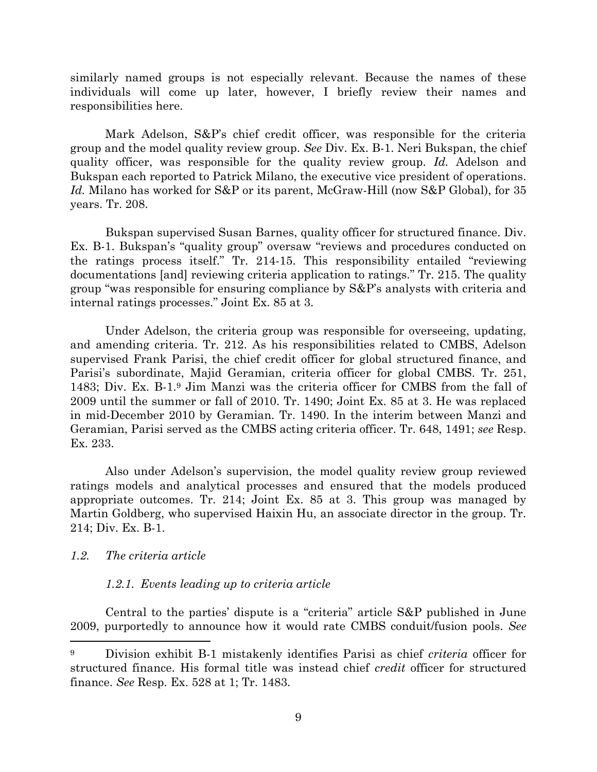similarly named groups is not especially relevant. Because the names of these individuals will come up later, however, I briefly review their names and responsibilities here.

Mark Adelson, S&P's chief credit officer, was responsible for the criteria group and the model quality review group. *See* Div. Ex. B-1. Neri Bukspan, the chief quality officer, was responsible for the quality review group. *Id.* Adelson and Bukspan each reported to Patrick Milano, the executive vice president of operations. *Id.* Milano has worked for S&P or its parent, McGraw-Hill (now S&P Global), for 35 years. Tr. 208.

Bukspan supervised Susan Barnes, quality officer for structured finance. Div. Ex. B-1. Bukspan's "quality group" oversaw "reviews and procedures conducted on the ratings process itself." Tr. 214-15. This responsibility entailed "reviewing documentations [and] reviewing criteria application to ratings." Tr. 215. The quality group "was responsible for ensuring compliance by S&P's analysts with criteria and internal ratings processes." Joint Ex. 85 at 3.

Under Adelson, the criteria group was responsible for overseeing, updating, and amending criteria. Tr. 212. As his responsibilities related to CMBS, Adelson supervised Frank Parisi, the chief credit officer for global structured finance, and Parisi's subordinate, Majid Geramian, criteria officer for global CMBS. Tr. 251, 1483; Div. Ex. B-1.<sup>9</sup> Jim Manzi was the criteria officer for CMBS from the fall of 2009 until the summer or fall of 2010. Tr. 1490; Joint Ex. 85 at 3. He was replaced in mid-December 2010 by Geramian. Tr. 1490. In the interim between Manzi and Geramian, Parisi served as the CMBS acting criteria officer. Tr. 648, 1491; *see* Resp. Ex. 233.

Also under Adelson's supervision, the model quality review group reviewed ratings models and analytical processes and ensured that the models produced appropriate outcomes. Tr. 214; Joint Ex. 85 at 3. This group was managed by Martin Goldberg, who supervised Haixin Hu, an associate director in the group. Tr. 214; Div. Ex. B-1.

## *1.2. The criteria article*

l

# *1.2.1. Events leading up to criteria article*

Central to the parties' dispute is a "criteria" article S&P published in June 2009, purportedly to announce how it would rate CMBS conduit/fusion pools. *See*

<sup>9</sup> Division exhibit B-1 mistakenly identifies Parisi as chief *criteria* officer for structured finance. His formal title was instead chief *credit* officer for structured finance. *See* Resp. Ex. 528 at 1; Tr. 1483.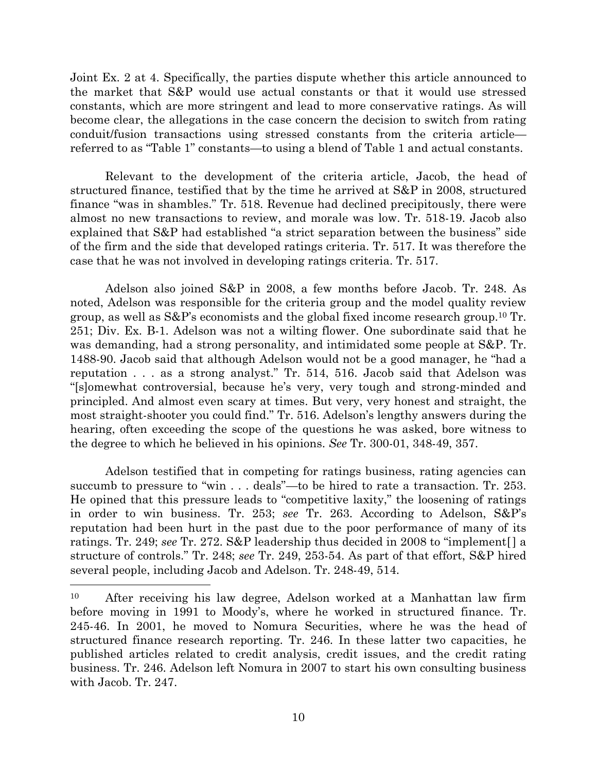Joint Ex. 2 at 4. Specifically, the parties dispute whether this article announced to the market that S&P would use actual constants or that it would use stressed constants, which are more stringent and lead to more conservative ratings. As will become clear, the allegations in the case concern the decision to switch from rating conduit/fusion transactions using stressed constants from the criteria article referred to as "Table 1" constants—to using a blend of Table 1 and actual constants.

Relevant to the development of the criteria article, Jacob, the head of structured finance, testified that by the time he arrived at S&P in 2008, structured finance "was in shambles." Tr. 518. Revenue had declined precipitously, there were almost no new transactions to review, and morale was low. Tr. 518-19. Jacob also explained that S&P had established "a strict separation between the business" side of the firm and the side that developed ratings criteria. Tr. 517. It was therefore the case that he was not involved in developing ratings criteria. Tr. 517.

Adelson also joined S&P in 2008, a few months before Jacob. Tr. 248. As noted, Adelson was responsible for the criteria group and the model quality review group, as well as S&P's economists and the global fixed income research group.<sup>10</sup> Tr. 251; Div. Ex. B-1. Adelson was not a wilting flower. One subordinate said that he was demanding, had a strong personality, and intimidated some people at S&P. Tr. 1488-90. Jacob said that although Adelson would not be a good manager, he "had a reputation . . . as a strong analyst." Tr. 514, 516. Jacob said that Adelson was "[s]omewhat controversial, because he's very, very tough and strong-minded and principled. And almost even scary at times. But very, very honest and straight, the most straight-shooter you could find." Tr. 516. Adelson's lengthy answers during the hearing, often exceeding the scope of the questions he was asked, bore witness to the degree to which he believed in his opinions. *See* Tr. 300-01, 348-49, 357.

Adelson testified that in competing for ratings business, rating agencies can succumb to pressure to "win . . . deals"—to be hired to rate a transaction. Tr. 253. He opined that this pressure leads to "competitive laxity," the loosening of ratings in order to win business. Tr. 253; *see* Tr. 263. According to Adelson, S&P's reputation had been hurt in the past due to the poor performance of many of its ratings. Tr. 249; *see* Tr. 272. S&P leadership thus decided in 2008 to "implement[ ] a structure of controls." Tr. 248; *see* Tr. 249, 253-54. As part of that effort, S&P hired several people, including Jacob and Adelson. Tr. 248-49, 514.

<sup>10</sup> After receiving his law degree, Adelson worked at a Manhattan law firm before moving in 1991 to Moody's, where he worked in structured finance. Tr. 245-46. In 2001, he moved to Nomura Securities, where he was the head of structured finance research reporting. Tr. 246. In these latter two capacities, he published articles related to credit analysis, credit issues, and the credit rating business. Tr. 246. Adelson left Nomura in 2007 to start his own consulting business with Jacob. Tr. 247.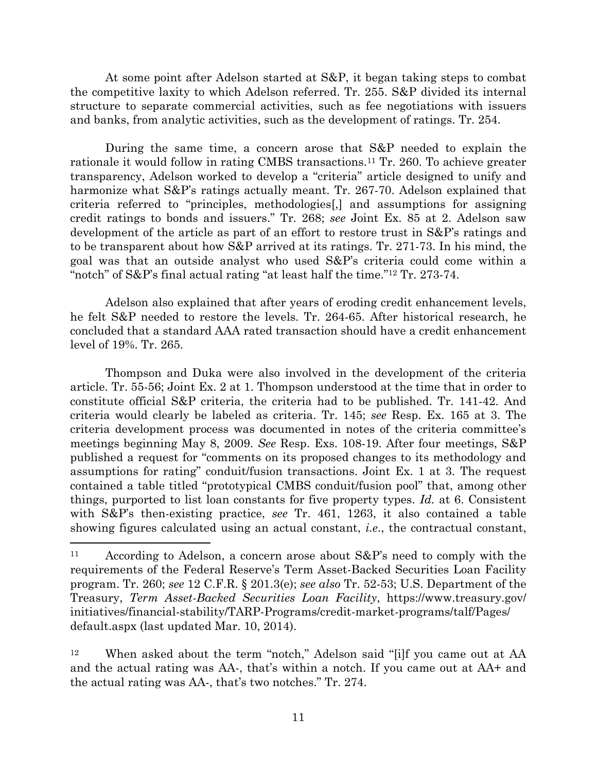At some point after Adelson started at S&P, it began taking steps to combat the competitive laxity to which Adelson referred. Tr. 255. S&P divided its internal structure to separate commercial activities, such as fee negotiations with issuers and banks, from analytic activities, such as the development of ratings. Tr. 254.

During the same time, a concern arose that S&P needed to explain the rationale it would follow in rating CMBS transactions.<sup>11</sup> Tr. 260. To achieve greater transparency, Adelson worked to develop a "criteria" article designed to unify and harmonize what S&P's ratings actually meant. Tr. 267-70. Adelson explained that criteria referred to "principles, methodologies[,] and assumptions for assigning credit ratings to bonds and issuers." Tr. 268; *see* Joint Ex. 85 at 2. Adelson saw development of the article as part of an effort to restore trust in S&P's ratings and to be transparent about how S&P arrived at its ratings. Tr. 271-73. In his mind, the goal was that an outside analyst who used S&P's criteria could come within a "notch" of S&P's final actual rating "at least half the time."<sup>12</sup> Tr. 273-74.

Adelson also explained that after years of eroding credit enhancement levels, he felt S&P needed to restore the levels. Tr. 264-65. After historical research, he concluded that a standard AAA rated transaction should have a credit enhancement level of 19%. Tr. 265.

Thompson and Duka were also involved in the development of the criteria article. Tr. 55-56; Joint Ex. 2 at 1. Thompson understood at the time that in order to constitute official S&P criteria, the criteria had to be published. Tr. 141-42. And criteria would clearly be labeled as criteria. Tr. 145; *see* Resp. Ex. 165 at 3. The criteria development process was documented in notes of the criteria committee's meetings beginning May 8, 2009. *See* Resp. Exs. 108-19. After four meetings, S&P published a request for "comments on its proposed changes to its methodology and assumptions for rating" conduit/fusion transactions. Joint Ex. 1 at 3. The request contained a table titled "prototypical CMBS conduit/fusion pool" that, among other things, purported to list loan constants for five property types. *Id.* at 6. Consistent with S&P's then-existing practice, *see* Tr. 461, 1263, it also contained a table showing figures calculated using an actual constant, *i.e*., the contractual constant,

<sup>11</sup> According to Adelson, a concern arose about S&P's need to comply with the requirements of the Federal Reserve's Term Asset-Backed Securities Loan Facility program. Tr. 260; *see* 12 C.F.R. § 201.3(e); *see also* Tr. 52-53; U.S. Department of the Treasury, *Term Asset-Backed Securities Loan Facility*, https://www.treasury.gov/ initiatives/financial-stability/TARP-Programs/credit-market-programs/talf/Pages/ default.aspx (last updated Mar. 10, 2014).

<sup>12</sup> When asked about the term "notch," Adelson said "[i]f you came out at AA and the actual rating was AA-, that's within a notch. If you came out at AA+ and the actual rating was AA-, that's two notches." Tr. 274.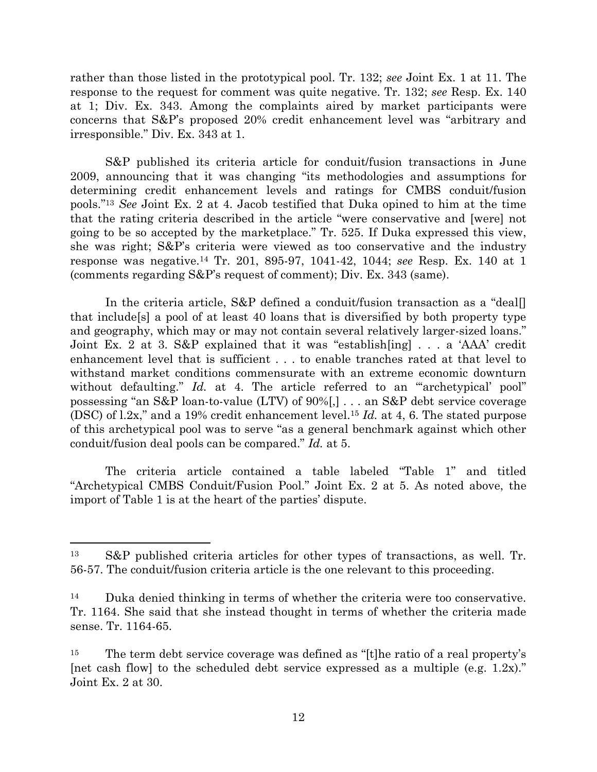rather than those listed in the prototypical pool. Tr. 132; *see* Joint Ex. 1 at 11. The response to the request for comment was quite negative. Tr. 132; *see* Resp. Ex. 140 at 1; Div. Ex. 343. Among the complaints aired by market participants were concerns that S&P's proposed 20% credit enhancement level was "arbitrary and irresponsible." Div. Ex. 343 at 1.

S&P published its criteria article for conduit/fusion transactions in June 2009, announcing that it was changing "its methodologies and assumptions for determining credit enhancement levels and ratings for CMBS conduit/fusion pools." <sup>13</sup> *See* Joint Ex. 2 at 4. Jacob testified that Duka opined to him at the time that the rating criteria described in the article "were conservative and [were] not going to be so accepted by the marketplace." Tr. 525. If Duka expressed this view, she was right; S&P's criteria were viewed as too conservative and the industry response was negative.<sup>14</sup> Tr. 201, 895-97, 1041-42, 1044; *see* Resp. Ex. 140 at 1 (comments regarding S&P's request of comment); Div. Ex. 343 (same).

In the criteria article, S&P defined a conduit/fusion transaction as a "deal[] that include[s] a pool of at least 40 loans that is diversified by both property type and geography, which may or may not contain several relatively larger-sized loans." Joint Ex. 2 at 3. S&P explained that it was "establish[ing] . . . a 'AAA' credit enhancement level that is sufficient . . . to enable tranches rated at that level to withstand market conditions commensurate with an extreme economic downturn without defaulting." *Id.* at 4. The article referred to an ""archetypical' pool" possessing "an S&P loan-to-value (LTV) of 90%[,] . . . an S&P debt service coverage (DSC) of l.2x," and a 19% credit enhancement level.<sup>15</sup> *Id.* at 4, 6. The stated purpose of this archetypical pool was to serve "as a general benchmark against which other conduit/fusion deal pools can be compared." *Id.* at 5.

The criteria article contained a table labeled "Table 1" and titled "Archetypical CMBS Conduit/Fusion Pool." Joint Ex. 2 at 5. As noted above, the import of Table 1 is at the heart of the parties' dispute.

<sup>13</sup> S&P published criteria articles for other types of transactions, as well. Tr. 56-57. The conduit/fusion criteria article is the one relevant to this proceeding.

<sup>14</sup> Duka denied thinking in terms of whether the criteria were too conservative. Tr. 1164. She said that she instead thought in terms of whether the criteria made sense. Tr. 1164-65.

<sup>&</sup>lt;sup>15</sup> The term debt service coverage was defined as "[t] he ratio of a real property's [net cash flow] to the scheduled debt service expressed as a multiple (e.g. 1.2x)." Joint Ex. 2 at 30.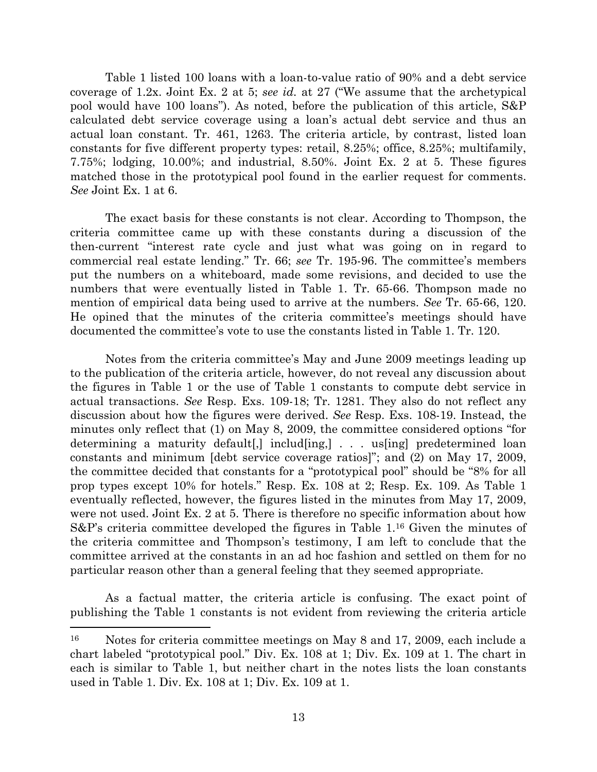Table 1 listed 100 loans with a loan-to-value ratio of 90% and a debt service coverage of 1.2x. Joint Ex. 2 at 5; *see id.* at 27 ("We assume that the archetypical pool would have 100 loans"). As noted, before the publication of this article, S&P calculated debt service coverage using a loan's actual debt service and thus an actual loan constant. Tr. 461, 1263. The criteria article, by contrast, listed loan constants for five different property types: retail, 8.25%; office, 8.25%; multifamily, 7.75%; lodging, 10.00%; and industrial, 8.50%. Joint Ex. 2 at 5. These figures matched those in the prototypical pool found in the earlier request for comments. *See* Joint Ex. 1 at 6.

The exact basis for these constants is not clear. According to Thompson, the criteria committee came up with these constants during a discussion of the then-current "interest rate cycle and just what was going on in regard to commercial real estate lending." Tr. 66; *see* Tr. 195-96. The committee's members put the numbers on a whiteboard, made some revisions, and decided to use the numbers that were eventually listed in Table 1. Tr. 65-66. Thompson made no mention of empirical data being used to arrive at the numbers. *See* Tr. 65-66, 120. He opined that the minutes of the criteria committee's meetings should have documented the committee's vote to use the constants listed in Table 1. Tr. 120.

Notes from the criteria committee's May and June 2009 meetings leading up to the publication of the criteria article, however, do not reveal any discussion about the figures in Table 1 or the use of Table 1 constants to compute debt service in actual transactions. *See* Resp. Exs. 109-18; Tr. 1281. They also do not reflect any discussion about how the figures were derived. *See* Resp. Exs. 108-19. Instead, the minutes only reflect that (1) on May 8, 2009, the committee considered options "for determining a maturity default [,] includ [ing,  $\lfloor \cdot \rfloor$  . . . us [ing] predetermined loan constants and minimum [debt service coverage ratios]"; and (2) on May 17, 2009, the committee decided that constants for a "prototypical pool" should be "8% for all prop types except 10% for hotels." Resp. Ex. 108 at 2; Resp. Ex. 109. As Table 1 eventually reflected, however, the figures listed in the minutes from May 17, 2009, were not used. Joint Ex. 2 at 5. There is therefore no specific information about how S&P's criteria committee developed the figures in Table 1. <sup>16</sup> Given the minutes of the criteria committee and Thompson's testimony, I am left to conclude that the committee arrived at the constants in an ad hoc fashion and settled on them for no particular reason other than a general feeling that they seemed appropriate.

As a factual matter, the criteria article is confusing. The exact point of publishing the Table 1 constants is not evident from reviewing the criteria article

<sup>16</sup> Notes for criteria committee meetings on May 8 and 17, 2009, each include a chart labeled "prototypical pool." Div. Ex. 108 at 1; Div. Ex. 109 at 1. The chart in each is similar to Table 1, but neither chart in the notes lists the loan constants used in Table 1. Div. Ex. 108 at 1; Div. Ex. 109 at 1.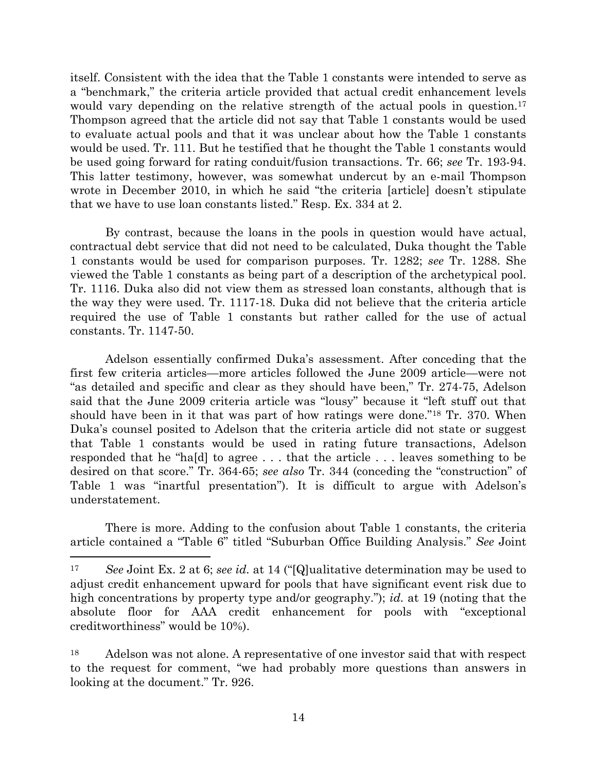itself. Consistent with the idea that the Table 1 constants were intended to serve as a "benchmark," the criteria article provided that actual credit enhancement levels would vary depending on the relative strength of the actual pools in question.<sup>17</sup> Thompson agreed that the article did not say that Table 1 constants would be used to evaluate actual pools and that it was unclear about how the Table 1 constants would be used. Tr. 111. But he testified that he thought the Table 1 constants would be used going forward for rating conduit/fusion transactions. Tr. 66; *see* Tr. 193-94. This latter testimony, however, was somewhat undercut by an e-mail Thompson wrote in December 2010, in which he said "the criteria [article] doesn't stipulate that we have to use loan constants listed." Resp. Ex. 334 at 2.

By contrast, because the loans in the pools in question would have actual, contractual debt service that did not need to be calculated, Duka thought the Table 1 constants would be used for comparison purposes. Tr. 1282; *see* Tr. 1288. She viewed the Table 1 constants as being part of a description of the archetypical pool. Tr. 1116. Duka also did not view them as stressed loan constants, although that is the way they were used. Tr. 1117-18. Duka did not believe that the criteria article required the use of Table 1 constants but rather called for the use of actual constants. Tr. 1147-50.

Adelson essentially confirmed Duka's assessment. After conceding that the first few criteria articles—more articles followed the June 2009 article—were not "as detailed and specific and clear as they should have been," Tr. 274-75, Adelson said that the June 2009 criteria article was "lousy" because it "left stuff out that should have been in it that was part of how ratings were done."<sup>18</sup> Tr. 370. When Duka's counsel posited to Adelson that the criteria article did not state or suggest that Table 1 constants would be used in rating future transactions, Adelson responded that he "ha[d] to agree . . . that the article . . . leaves something to be desired on that score." Tr. 364-65; *see also* Tr. 344 (conceding the "construction" of Table 1 was "inartful presentation"). It is difficult to argue with Adelson's understatement.

There is more. Adding to the confusion about Table 1 constants, the criteria article contained a "Table 6" titled "Suburban Office Building Analysis." *See* Joint

<sup>17</sup> *See* Joint Ex. 2 at 6; *see id.* at 14 ("[Q]ualitative determination may be used to adjust credit enhancement upward for pools that have significant event risk due to high concentrations by property type and/or geography."); *id.* at 19 (noting that the absolute floor for AAA credit enhancement for pools with "exceptional creditworthiness" would be 10%).

<sup>18</sup> Adelson was not alone. A representative of one investor said that with respect to the request for comment, "we had probably more questions than answers in looking at the document." Tr. 926.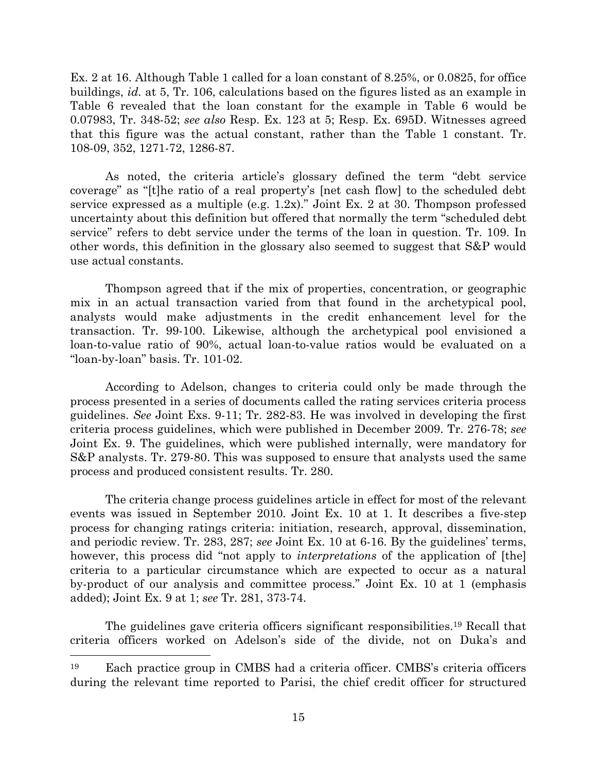Ex. 2 at 16. Although Table 1 called for a loan constant of 8.25%, or 0.0825, for office buildings, *id.* at 5, Tr. 106, calculations based on the figures listed as an example in Table 6 revealed that the loan constant for the example in Table 6 would be 0.07983, Tr. 348-52; *see also* Resp. Ex. 123 at 5; Resp. Ex. 695D. Witnesses agreed that this figure was the actual constant, rather than the Table 1 constant. Tr. 108-09, 352, 1271-72, 1286-87.

As noted, the criteria article's glossary defined the term "debt service coverage" as "[t]he ratio of a real property's [net cash flow] to the scheduled debt service expressed as a multiple (e.g. 1.2x)." Joint Ex. 2 at 30. Thompson professed uncertainty about this definition but offered that normally the term "scheduled debt service" refers to debt service under the terms of the loan in question. Tr. 109. In other words, this definition in the glossary also seemed to suggest that S&P would use actual constants.

Thompson agreed that if the mix of properties, concentration, or geographic mix in an actual transaction varied from that found in the archetypical pool, analysts would make adjustments in the credit enhancement level for the transaction. Tr. 99-100. Likewise, although the archetypical pool envisioned a loan-to-value ratio of 90%, actual loan-to-value ratios would be evaluated on a "loan-by-loan" basis. Tr. 101-02.

According to Adelson, changes to criteria could only be made through the process presented in a series of documents called the rating services criteria process guidelines. *See* Joint Exs. 9-11; Tr. 282-83. He was involved in developing the first criteria process guidelines, which were published in December 2009. Tr. 276-78; *see* Joint Ex. 9. The guidelines, which were published internally, were mandatory for S&P analysts. Tr. 279-80. This was supposed to ensure that analysts used the same process and produced consistent results. Tr. 280.

The criteria change process guidelines article in effect for most of the relevant events was issued in September 2010. Joint Ex. 10 at 1. It describes a five-step process for changing ratings criteria: initiation, research, approval, dissemination, and periodic review. Tr. 283, 287; *see* Joint Ex. 10 at 6-16. By the guidelines' terms, however, this process did "not apply to *interpretations* of the application of [the] criteria to a particular circumstance which are expected to occur as a natural by-product of our analysis and committee process." Joint Ex. 10 at 1 (emphasis added); Joint Ex. 9 at 1; *see* Tr. 281, 373-74.

The guidelines gave criteria officers significant responsibilities.<sup>19</sup> Recall that criteria officers worked on Adelson's side of the divide, not on Duka's and

<sup>19</sup> Each practice group in CMBS had a criteria officer. CMBS's criteria officers during the relevant time reported to Parisi, the chief credit officer for structured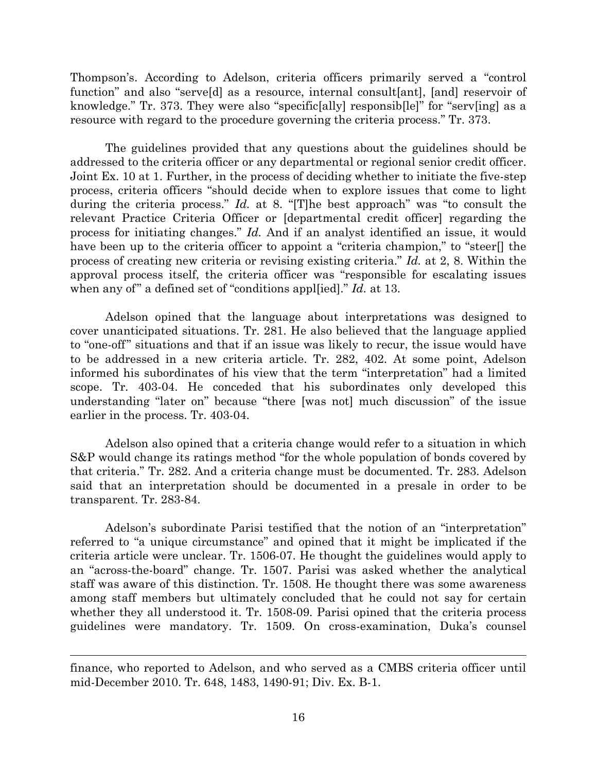Thompson's. According to Adelson, criteria officers primarily served a "control function" and also "serve[d] as a resource, internal consult[ant], [and] reservoir of knowledge." Tr. 373. They were also "specific[ally] responsib[le]" for "serv[ing] as a resource with regard to the procedure governing the criteria process." Tr. 373.

The guidelines provided that any questions about the guidelines should be addressed to the criteria officer or any departmental or regional senior credit officer. Joint Ex. 10 at 1. Further, in the process of deciding whether to initiate the five-step process, criteria officers "should decide when to explore issues that come to light during the criteria process." *Id.* at 8. "[T]he best approach" was "to consult the relevant Practice Criteria Officer or [departmental credit officer] regarding the process for initiating changes." *Id.* And if an analyst identified an issue, it would have been up to the criteria officer to appoint a "criteria champion," to "steer<sup>[]</sup> the process of creating new criteria or revising existing criteria." *Id.* at 2, 8. Within the approval process itself, the criteria officer was "responsible for escalating issues when any of" a defined set of "conditions appl[ied]." *Id.* at 13.

Adelson opined that the language about interpretations was designed to cover unanticipated situations. Tr. 281. He also believed that the language applied to "one-off" situations and that if an issue was likely to recur, the issue would have to be addressed in a new criteria article. Tr. 282, 402. At some point, Adelson informed his subordinates of his view that the term "interpretation" had a limited scope. Tr. 403-04. He conceded that his subordinates only developed this understanding "later on" because "there [was not] much discussion" of the issue earlier in the process. Tr. 403-04.

Adelson also opined that a criteria change would refer to a situation in which S&P would change its ratings method "for the whole population of bonds covered by that criteria." Tr. 282. And a criteria change must be documented. Tr. 283. Adelson said that an interpretation should be documented in a presale in order to be transparent. Tr. 283-84.

Adelson's subordinate Parisi testified that the notion of an "interpretation" referred to "a unique circumstance" and opined that it might be implicated if the criteria article were unclear. Tr. 1506-07. He thought the guidelines would apply to an "across-the-board" change. Tr. 1507. Parisi was asked whether the analytical staff was aware of this distinction. Tr. 1508. He thought there was some awareness among staff members but ultimately concluded that he could not say for certain whether they all understood it. Tr. 1508-09. Parisi opined that the criteria process guidelines were mandatory. Tr. 1509. On cross-examination, Duka's counsel

finance, who reported to Adelson, and who served as a CMBS criteria officer until mid-December 2010. Tr. 648, 1483, 1490-91; Div. Ex. B-1.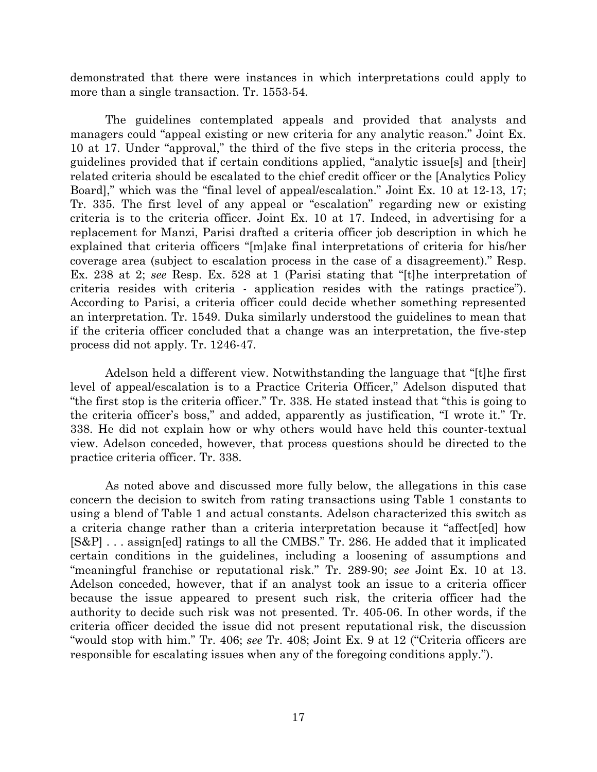demonstrated that there were instances in which interpretations could apply to more than a single transaction. Tr. 1553-54.

The guidelines contemplated appeals and provided that analysts and managers could "appeal existing or new criteria for any analytic reason." Joint Ex. 10 at 17. Under "approval," the third of the five steps in the criteria process, the guidelines provided that if certain conditions applied, "analytic issue[s] and [their] related criteria should be escalated to the chief credit officer or the [Analytics Policy Board]," which was the "final level of appeal/escalation." Joint Ex. 10 at 12-13, 17; Tr. 335. The first level of any appeal or "escalation" regarding new or existing criteria is to the criteria officer. Joint Ex. 10 at 17. Indeed, in advertising for a replacement for Manzi, Parisi drafted a criteria officer job description in which he explained that criteria officers "[m]ake final interpretations of criteria for his/her coverage area (subject to escalation process in the case of a disagreement)." Resp. Ex. 238 at 2; *see* Resp. Ex. 528 at 1 (Parisi stating that "[t]he interpretation of criteria resides with criteria - application resides with the ratings practice"). According to Parisi, a criteria officer could decide whether something represented an interpretation. Tr. 1549. Duka similarly understood the guidelines to mean that if the criteria officer concluded that a change was an interpretation, the five-step process did not apply. Tr. 1246-47.

Adelson held a different view. Notwithstanding the language that "[t]he first level of appeal/escalation is to a Practice Criteria Officer," Adelson disputed that "the first stop is the criteria officer." Tr. 338. He stated instead that "this is going to the criteria officer's boss," and added, apparently as justification, "I wrote it." Tr. 338. He did not explain how or why others would have held this counter-textual view. Adelson conceded, however, that process questions should be directed to the practice criteria officer. Tr. 338.

As noted above and discussed more fully below, the allegations in this case concern the decision to switch from rating transactions using Table 1 constants to using a blend of Table 1 and actual constants. Adelson characterized this switch as a criteria change rather than a criteria interpretation because it "affect[ed] how [S&P] . . . assign[ed] ratings to all the CMBS." Tr. 286. He added that it implicated certain conditions in the guidelines, including a loosening of assumptions and "meaningful franchise or reputational risk." Tr. 289-90; *see* Joint Ex. 10 at 13. Adelson conceded, however, that if an analyst took an issue to a criteria officer because the issue appeared to present such risk, the criteria officer had the authority to decide such risk was not presented. Tr. 405-06. In other words, if the criteria officer decided the issue did not present reputational risk, the discussion "would stop with him." Tr. 406; *see* Tr. 408; Joint Ex. 9 at 12 ("Criteria officers are responsible for escalating issues when any of the foregoing conditions apply.").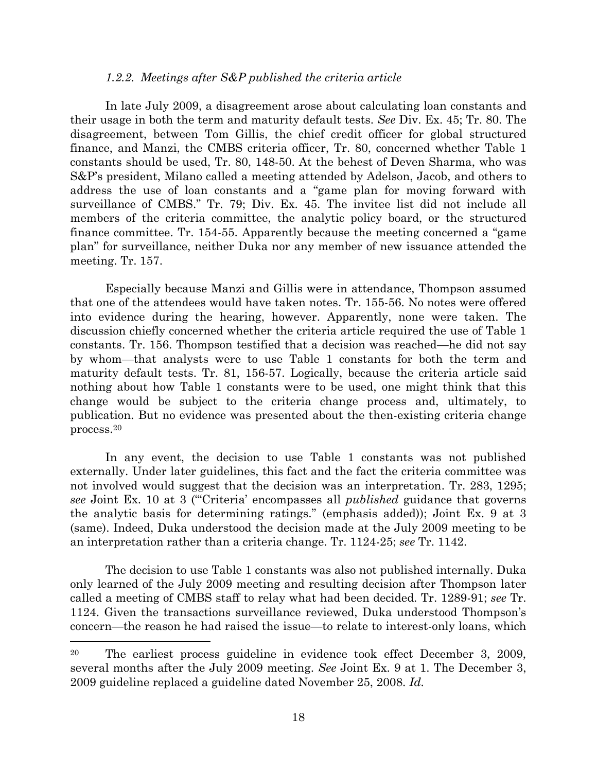#### *1.2.2. Meetings after S&P published the criteria article*

In late July 2009, a disagreement arose about calculating loan constants and their usage in both the term and maturity default tests. *See* Div. Ex. 45; Tr. 80. The disagreement, between Tom Gillis, the chief credit officer for global structured finance, and Manzi, the CMBS criteria officer, Tr. 80, concerned whether Table 1 constants should be used, Tr. 80, 148-50. At the behest of Deven Sharma, who was S&P's president, Milano called a meeting attended by Adelson, Jacob, and others to address the use of loan constants and a "game plan for moving forward with surveillance of CMBS." Tr. 79; Div. Ex. 45. The invitee list did not include all members of the criteria committee, the analytic policy board, or the structured finance committee. Tr. 154-55. Apparently because the meeting concerned a "game plan" for surveillance, neither Duka nor any member of new issuance attended the meeting. Tr. 157.

Especially because Manzi and Gillis were in attendance, Thompson assumed that one of the attendees would have taken notes. Tr. 155-56. No notes were offered into evidence during the hearing, however. Apparently, none were taken. The discussion chiefly concerned whether the criteria article required the use of Table 1 constants. Tr. 156. Thompson testified that a decision was reached—he did not say by whom—that analysts were to use Table 1 constants for both the term and maturity default tests. Tr. 81, 156-57. Logically, because the criteria article said nothing about how Table 1 constants were to be used, one might think that this change would be subject to the criteria change process and, ultimately, to publication. But no evidence was presented about the then-existing criteria change process.<sup>20</sup>

In any event, the decision to use Table 1 constants was not published externally. Under later guidelines, this fact and the fact the criteria committee was not involved would suggest that the decision was an interpretation. Tr. 283, 1295; *see* Joint Ex. 10 at 3 ("'Criteria' encompasses all *published* guidance that governs the analytic basis for determining ratings." (emphasis added)); Joint Ex. 9 at 3 (same). Indeed, Duka understood the decision made at the July 2009 meeting to be an interpretation rather than a criteria change. Tr. 1124-25; *see* Tr. 1142.

The decision to use Table 1 constants was also not published internally. Duka only learned of the July 2009 meeting and resulting decision after Thompson later called a meeting of CMBS staff to relay what had been decided. Tr. 1289-91; *see* Tr. 1124. Given the transactions surveillance reviewed, Duka understood Thompson's concern—the reason he had raised the issue—to relate to interest-only loans, which

l

<sup>20</sup> The earliest process guideline in evidence took effect December 3, 2009, several months after the July 2009 meeting. *See* Joint Ex. 9 at 1. The December 3, 2009 guideline replaced a guideline dated November 25, 2008. *Id.*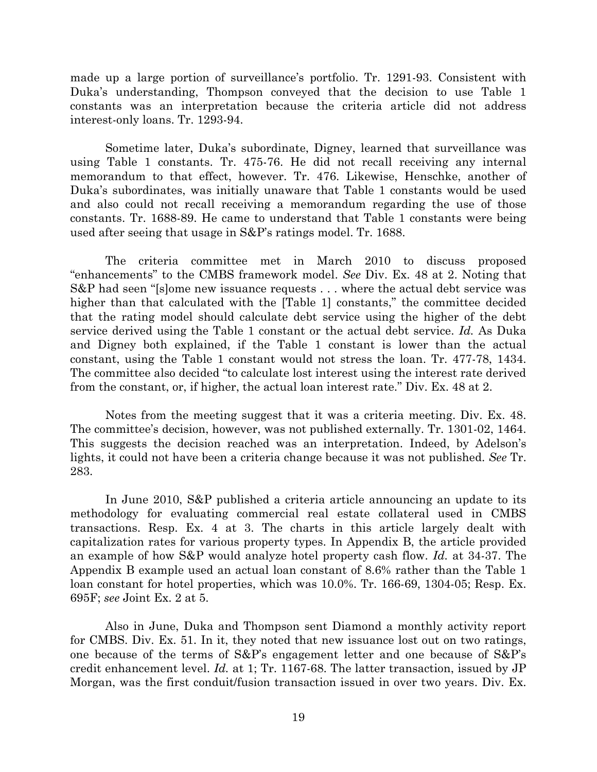made up a large portion of surveillance's portfolio. Tr. 1291-93. Consistent with Duka's understanding, Thompson conveyed that the decision to use Table 1 constants was an interpretation because the criteria article did not address interest-only loans. Tr. 1293-94.

Sometime later, Duka's subordinate, Digney, learned that surveillance was using Table 1 constants. Tr. 475-76. He did not recall receiving any internal memorandum to that effect, however. Tr. 476. Likewise, Henschke, another of Duka's subordinates, was initially unaware that Table 1 constants would be used and also could not recall receiving a memorandum regarding the use of those constants. Tr. 1688-89. He came to understand that Table 1 constants were being used after seeing that usage in S&P's ratings model. Tr. 1688.

The criteria committee met in March 2010 to discuss proposed "enhancements" to the CMBS framework model. *See* Div. Ex. 48 at 2. Noting that S&P had seen "[s]ome new issuance requests . . . where the actual debt service was higher than that calculated with the [Table 1] constants," the committee decided that the rating model should calculate debt service using the higher of the debt service derived using the Table 1 constant or the actual debt service. *Id.* As Duka and Digney both explained, if the Table 1 constant is lower than the actual constant, using the Table 1 constant would not stress the loan. Tr. 477-78, 1434. The committee also decided "to calculate lost interest using the interest rate derived from the constant, or, if higher, the actual loan interest rate." Div. Ex. 48 at 2.

Notes from the meeting suggest that it was a criteria meeting. Div. Ex. 48. The committee's decision, however, was not published externally. Tr. 1301-02, 1464. This suggests the decision reached was an interpretation. Indeed, by Adelson's lights, it could not have been a criteria change because it was not published. *See* Tr. 283.

In June 2010, S&P published a criteria article announcing an update to its methodology for evaluating commercial real estate collateral used in CMBS transactions. Resp. Ex. 4 at 3. The charts in this article largely dealt with capitalization rates for various property types. In Appendix B, the article provided an example of how S&P would analyze hotel property cash flow. *Id.* at 34-37. The Appendix B example used an actual loan constant of 8.6% rather than the Table 1 loan constant for hotel properties, which was 10.0%. Tr. 166-69, 1304-05; Resp. Ex. 695F; *see* Joint Ex. 2 at 5.

Also in June, Duka and Thompson sent Diamond a monthly activity report for CMBS. Div. Ex. 51. In it, they noted that new issuance lost out on two ratings, one because of the terms of S&P's engagement letter and one because of S&P's credit enhancement level. *Id.* at 1; Tr. 1167-68. The latter transaction, issued by JP Morgan, was the first conduit/fusion transaction issued in over two years. Div. Ex.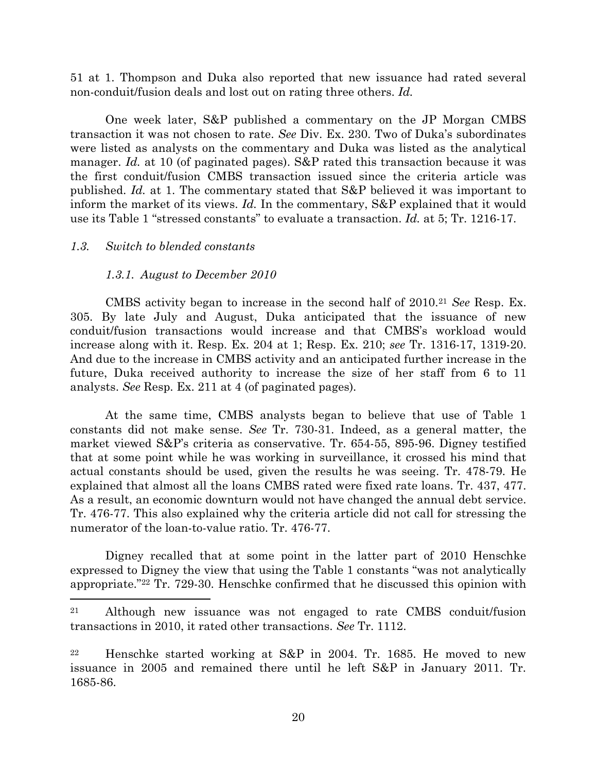51 at 1. Thompson and Duka also reported that new issuance had rated several non-conduit/fusion deals and lost out on rating three others. *Id.*

One week later, S&P published a commentary on the JP Morgan CMBS transaction it was not chosen to rate. *See* Div. Ex. 230. Two of Duka's subordinates were listed as analysts on the commentary and Duka was listed as the analytical manager. *Id.* at 10 (of paginated pages). S&P rated this transaction because it was the first conduit/fusion CMBS transaction issued since the criteria article was published. *Id.* at 1. The commentary stated that S&P believed it was important to inform the market of its views. *Id.* In the commentary, S&P explained that it would use its Table 1 "stressed constants" to evaluate a transaction. *Id.* at 5; Tr. 1216-17.

## *1.3. Switch to blended constants*

 $\overline{\phantom{a}}$ 

## *1.3.1. August to December 2010*

CMBS activity began to increase in the second half of 2010.<sup>21</sup> *See* Resp. Ex. 305. By late July and August, Duka anticipated that the issuance of new conduit/fusion transactions would increase and that CMBS's workload would increase along with it. Resp. Ex. 204 at 1; Resp. Ex. 210; *see* Tr. 1316-17, 1319-20. And due to the increase in CMBS activity and an anticipated further increase in the future, Duka received authority to increase the size of her staff from 6 to 11 analysts. *See* Resp. Ex. 211 at 4 (of paginated pages)*.* 

At the same time, CMBS analysts began to believe that use of Table 1 constants did not make sense. *See* Tr. 730-31. Indeed, as a general matter, the market viewed S&P's criteria as conservative. Tr. 654-55, 895-96. Digney testified that at some point while he was working in surveillance, it crossed his mind that actual constants should be used, given the results he was seeing. Tr. 478-79. He explained that almost all the loans CMBS rated were fixed rate loans. Tr. 437, 477. As a result, an economic downturn would not have changed the annual debt service. Tr. 476-77. This also explained why the criteria article did not call for stressing the numerator of the loan-to-value ratio. Tr. 476-77.

Digney recalled that at some point in the latter part of 2010 Henschke expressed to Digney the view that using the Table 1 constants "was not analytically appropriate."<sup>22</sup> Tr. 729-30. Henschke confirmed that he discussed this opinion with

<sup>21</sup> Although new issuance was not engaged to rate CMBS conduit/fusion transactions in 2010, it rated other transactions. *See* Tr. 1112.

<sup>22</sup> Henschke started working at S&P in 2004. Tr. 1685. He moved to new issuance in 2005 and remained there until he left S&P in January 2011. Tr. 1685-86.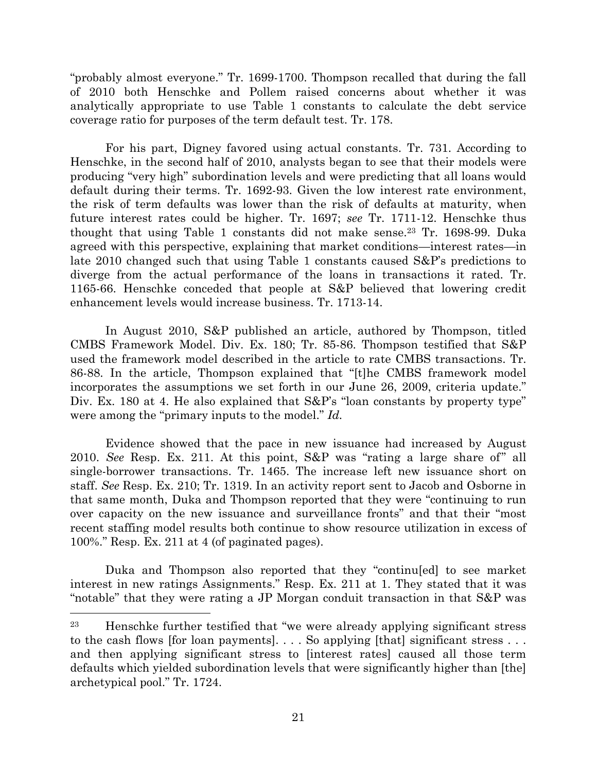"probably almost everyone." Tr. 1699-1700. Thompson recalled that during the fall of 2010 both Henschke and Pollem raised concerns about whether it was analytically appropriate to use Table 1 constants to calculate the debt service coverage ratio for purposes of the term default test. Tr. 178.

For his part, Digney favored using actual constants. Tr. 731. According to Henschke, in the second half of 2010, analysts began to see that their models were producing "very high" subordination levels and were predicting that all loans would default during their terms. Tr. 1692-93. Given the low interest rate environment, the risk of term defaults was lower than the risk of defaults at maturity, when future interest rates could be higher. Tr. 1697; *see* Tr. 1711-12. Henschke thus thought that using Table 1 constants did not make sense.<sup>23</sup> Tr. 1698-99. Duka agreed with this perspective, explaining that market conditions—interest rates—in late 2010 changed such that using Table 1 constants caused S&P's predictions to diverge from the actual performance of the loans in transactions it rated. Tr. 1165-66. Henschke conceded that people at S&P believed that lowering credit enhancement levels would increase business. Tr. 1713-14.

In August 2010, S&P published an article, authored by Thompson, titled CMBS Framework Model. Div. Ex. 180; Tr. 85-86. Thompson testified that S&P used the framework model described in the article to rate CMBS transactions. Tr. 86-88. In the article, Thompson explained that "[t]he CMBS framework model incorporates the assumptions we set forth in our June 26, 2009, criteria update." Div. Ex. 180 at 4. He also explained that  $S\&P's$  "loan constants by property type" were among the "primary inputs to the model." *Id.*

Evidence showed that the pace in new issuance had increased by August 2010. *See* Resp. Ex. 211. At this point, S&P was "rating a large share of" all single-borrower transactions. Tr. 1465. The increase left new issuance short on staff. *See* Resp. Ex. 210; Tr. 1319. In an activity report sent to Jacob and Osborne in that same month, Duka and Thompson reported that they were "continuing to run over capacity on the new issuance and surveillance fronts" and that their "most recent staffing model results both continue to show resource utilization in excess of 100%." Resp. Ex. 211 at 4 (of paginated pages).

Duka and Thompson also reported that they "continu[ed] to see market interest in new ratings Assignments." Resp. Ex. 211 at 1. They stated that it was "notable" that they were rating a JP Morgan conduit transaction in that S&P was

l

<sup>23</sup> Henschke further testified that "we were already applying significant stress to the cash flows [for loan payments]. . . . So applying [that] significant stress . . . and then applying significant stress to [interest rates] caused all those term defaults which yielded subordination levels that were significantly higher than [the] archetypical pool." Tr. 1724.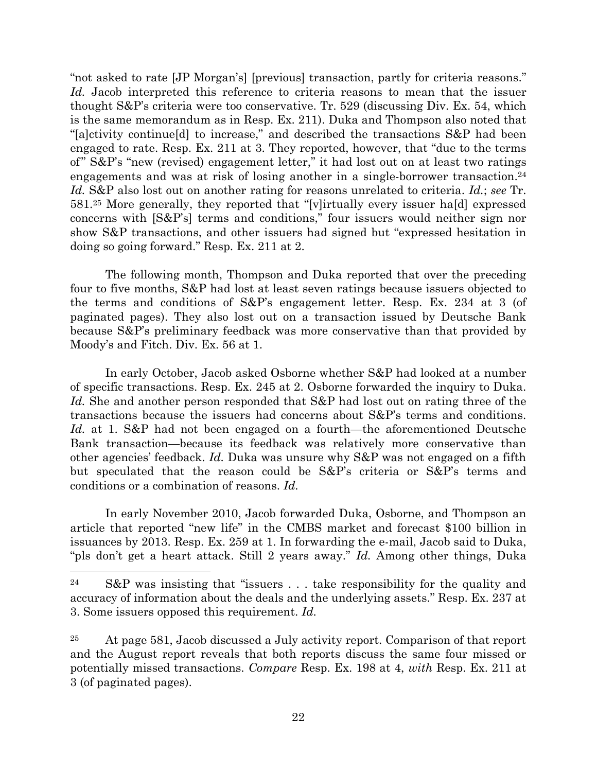"not asked to rate [JP Morgan's] [previous] transaction, partly for criteria reasons." *Id.* Jacob interpreted this reference to criteria reasons to mean that the issuer thought S&P's criteria were too conservative. Tr. 529 (discussing Div. Ex. 54, which is the same memorandum as in Resp. Ex. 211). Duka and Thompson also noted that "[a]ctivity continue[d] to increase," and described the transactions S&P had been engaged to rate. Resp. Ex. 211 at 3. They reported, however, that "due to the terms of" S&P's "new (revised) engagement letter," it had lost out on at least two ratings engagements and was at risk of losing another in a single-borrower transaction. 24 *Id.* S&P also lost out on another rating for reasons unrelated to criteria. *Id.*; *see* Tr. 581.<sup>25</sup> More generally, they reported that "[v]irtually every issuer ha[d] expressed concerns with [S&P's] terms and conditions," four issuers would neither sign nor show S&P transactions, and other issuers had signed but "expressed hesitation in doing so going forward." Resp. Ex. 211 at 2.

The following month, Thompson and Duka reported that over the preceding four to five months, S&P had lost at least seven ratings because issuers objected to the terms and conditions of S&P's engagement letter. Resp. Ex. 234 at 3 (of paginated pages). They also lost out on a transaction issued by Deutsche Bank because S&P's preliminary feedback was more conservative than that provided by Moody's and Fitch. Div. Ex. 56 at 1.

In early October, Jacob asked Osborne whether S&P had looked at a number of specific transactions. Resp. Ex. 245 at 2. Osborne forwarded the inquiry to Duka. *Id.* She and another person responded that S&P had lost out on rating three of the transactions because the issuers had concerns about S&P's terms and conditions. *Id.* at 1. S&P had not been engaged on a fourth—the aforementioned Deutsche Bank transaction—because its feedback was relatively more conservative than other agencies' feedback. *Id.* Duka was unsure why S&P was not engaged on a fifth but speculated that the reason could be S&P's criteria or S&P's terms and conditions or a combination of reasons. *Id.*

In early November 2010, Jacob forwarded Duka, Osborne, and Thompson an article that reported "new life" in the CMBS market and forecast \$100 billion in issuances by 2013. Resp. Ex. 259 at 1. In forwarding the e-mail, Jacob said to Duka, "pls don't get a heart attack. Still 2 years away." *Id.* Among other things, Duka

<sup>24</sup> S&P was insisting that "issuers . . . take responsibility for the quality and accuracy of information about the deals and the underlying assets." Resp. Ex. 237 at 3. Some issuers opposed this requirement. *Id.*

<sup>&</sup>lt;sup>25</sup> At page 581, Jacob discussed a July activity report. Comparison of that report and the August report reveals that both reports discuss the same four missed or potentially missed transactions. *Compare* Resp. Ex. 198 at 4, *with* Resp. Ex. 211 at 3 (of paginated pages).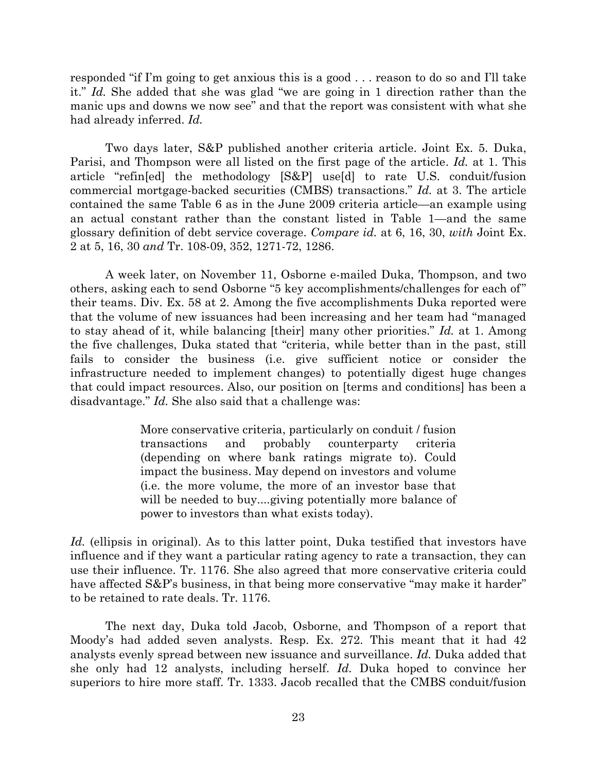responded "if I'm going to get anxious this is a good . . . reason to do so and I'll take it." *Id.* She added that she was glad "we are going in 1 direction rather than the manic ups and downs we now see" and that the report was consistent with what she had already inferred. *Id.*

Two days later, S&P published another criteria article. Joint Ex. 5. Duka, Parisi, and Thompson were all listed on the first page of the article. *Id.* at 1. This article "refin[ed] the methodology [S&P] use[d] to rate U.S. conduit/fusion commercial mortgage-backed securities (CMBS) transactions." *Id.* at 3. The article contained the same Table 6 as in the June 2009 criteria article—an example using an actual constant rather than the constant listed in Table 1—and the same glossary definition of debt service coverage. *Compare id.* at 6, 16, 30, *with* Joint Ex. 2 at 5, 16, 30 *and* Tr. 108-09, 352, 1271-72, 1286.

A week later, on November 11, Osborne e-mailed Duka, Thompson, and two others, asking each to send Osborne "5 key accomplishments/challenges for each of" their teams. Div. Ex. 58 at 2. Among the five accomplishments Duka reported were that the volume of new issuances had been increasing and her team had "managed to stay ahead of it, while balancing [their] many other priorities." *Id.* at 1. Among the five challenges, Duka stated that "criteria, while better than in the past, still fails to consider the business (i.e. give sufficient notice or consider the infrastructure needed to implement changes) to potentially digest huge changes that could impact resources. Also, our position on [terms and conditions] has been a disadvantage." *Id.* She also said that a challenge was:

> More conservative criteria, particularly on conduit / fusion transactions and probably counterparty criteria (depending on where bank ratings migrate to). Could impact the business. May depend on investors and volume (i.e. the more volume, the more of an investor base that will be needed to buy....giving potentially more balance of power to investors than what exists today).

Id. (ellipsis in original). As to this latter point, Duka testified that investors have influence and if they want a particular rating agency to rate a transaction, they can use their influence. Tr. 1176. She also agreed that more conservative criteria could have affected S&P's business, in that being more conservative "may make it harder" to be retained to rate deals. Tr. 1176.

The next day, Duka told Jacob, Osborne, and Thompson of a report that Moody's had added seven analysts. Resp. Ex. 272. This meant that it had 42 analysts evenly spread between new issuance and surveillance. *Id.* Duka added that she only had 12 analysts, including herself. *Id.* Duka hoped to convince her superiors to hire more staff. Tr. 1333. Jacob recalled that the CMBS conduit/fusion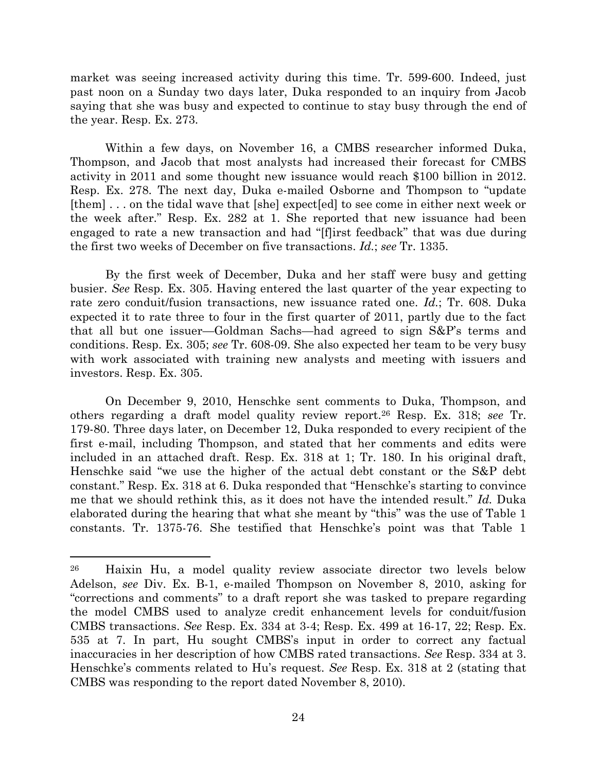market was seeing increased activity during this time. Tr. 599-600. Indeed, just past noon on a Sunday two days later, Duka responded to an inquiry from Jacob saying that she was busy and expected to continue to stay busy through the end of the year. Resp. Ex. 273.

Within a few days, on November 16, a CMBS researcher informed Duka, Thompson, and Jacob that most analysts had increased their forecast for CMBS activity in 2011 and some thought new issuance would reach \$100 billion in 2012. Resp. Ex. 278. The next day, Duka e-mailed Osborne and Thompson to "update [them] . . . on the tidal wave that [she] expect[ed] to see come in either next week or the week after." Resp. Ex. 282 at 1. She reported that new issuance had been engaged to rate a new transaction and had "[f]irst feedback" that was due during the first two weeks of December on five transactions. *Id.*; *see* Tr. 1335.

By the first week of December, Duka and her staff were busy and getting busier. *See* Resp. Ex. 305. Having entered the last quarter of the year expecting to rate zero conduit/fusion transactions, new issuance rated one. *Id.*; Tr. 608. Duka expected it to rate three to four in the first quarter of 2011, partly due to the fact that all but one issuer—Goldman Sachs—had agreed to sign S&P's terms and conditions. Resp. Ex. 305; *see* Tr. 608-09. She also expected her team to be very busy with work associated with training new analysts and meeting with issuers and investors. Resp. Ex. 305.

<span id="page-23-0"></span>On December 9, 2010, Henschke sent comments to Duka, Thompson, and others regarding a draft model quality review report.<sup>26</sup> Resp. Ex. 318; *see* Tr. 179-80. Three days later, on December 12, Duka responded to every recipient of the first e-mail, including Thompson, and stated that her comments and edits were included in an attached draft. Resp. Ex. 318 at 1; Tr. 180. In his original draft, Henschke said "we use the higher of the actual debt constant or the S&P debt constant." Resp. Ex. 318 at 6. Duka responded that "Henschke's starting to convince me that we should rethink this, as it does not have the intended result." *Id.* Duka elaborated during the hearing that what she meant by "this" was the use of Table 1 constants. Tr. 1375-76. She testified that Henschke's point was that Table 1

<sup>26</sup> Haixin Hu, a model quality review associate director two levels below Adelson, *see* Div. Ex. B-1, e-mailed Thompson on November 8, 2010, asking for "corrections and comments" to a draft report she was tasked to prepare regarding the model CMBS used to analyze credit enhancement levels for conduit/fusion CMBS transactions. *See* Resp. Ex. 334 at 3-4; Resp. Ex. 499 at 16-17, 22; Resp. Ex. 535 at 7. In part, Hu sought CMBS's input in order to correct any factual inaccuracies in her description of how CMBS rated transactions. *See* Resp. 334 at 3. Henschke's comments related to Hu's request. *See* Resp. Ex. 318 at 2 (stating that CMBS was responding to the report dated November 8, 2010).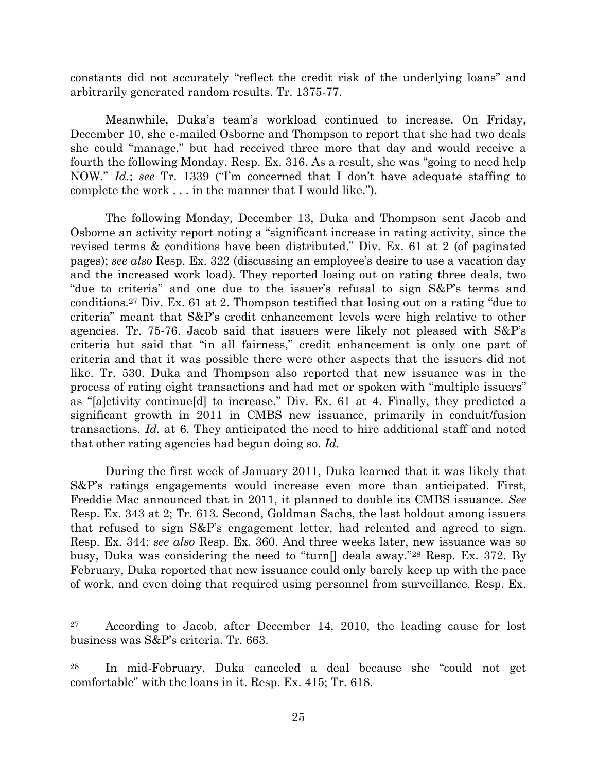constants did not accurately "reflect the credit risk of the underlying loans" and arbitrarily generated random results. Tr. 1375-77.

Meanwhile, Duka's team's workload continued to increase. On Friday, December 10, she e-mailed Osborne and Thompson to report that she had two deals she could "manage," but had received three more that day and would receive a fourth the following Monday. Resp. Ex. 316. As a result, she was "going to need help NOW." *Id.*; *see* Tr. 1339 ("I'm concerned that I don't have adequate staffing to complete the work . . . in the manner that I would like.").

The following Monday, December 13, Duka and Thompson sent Jacob and Osborne an activity report noting a "significant increase in rating activity, since the revised terms & conditions have been distributed." Div. Ex. 61 at 2 (of paginated pages); *see also* Resp. Ex. 322 (discussing an employee's desire to use a vacation day and the increased work load). They reported losing out on rating three deals, two "due to criteria" and one due to the issuer's refusal to sign S&P's terms and conditions.<sup>27</sup> Div. Ex. 61 at 2. Thompson testified that losing out on a rating "due to criteria" meant that S&P's credit enhancement levels were high relative to other agencies. Tr. 75-76. Jacob said that issuers were likely not pleased with S&P's criteria but said that "in all fairness," credit enhancement is only one part of criteria and that it was possible there were other aspects that the issuers did not like. Tr. 530. Duka and Thompson also reported that new issuance was in the process of rating eight transactions and had met or spoken with "multiple issuers" as "[a]ctivity continue[d] to increase." Div. Ex. 61 at 4. Finally, they predicted a significant growth in 2011 in CMBS new issuance, primarily in conduit/fusion transactions. *Id.* at 6. They anticipated the need to hire additional staff and noted that other rating agencies had begun doing so. *Id.*

During the first week of January 2011, Duka learned that it was likely that S&P's ratings engagements would increase even more than anticipated. First, Freddie Mac announced that in 2011, it planned to double its CMBS issuance. *See* Resp. Ex. 343 at 2; Tr. 613. Second, Goldman Sachs, the last holdout among issuers that refused to sign S&P's engagement letter, had relented and agreed to sign. Resp. Ex. 344; *see also* Resp. Ex. 360. And three weeks later, new issuance was so busy, Duka was considering the need to "turn[] deals away."<sup>28</sup> Resp. Ex. 372. By February, Duka reported that new issuance could only barely keep up with the pace of work, and even doing that required using personnel from surveillance. Resp. Ex.

l

<sup>27</sup> According to Jacob, after December 14, 2010, the leading cause for lost business was S&P's criteria. Tr. 663.

<sup>28</sup> In mid-February, Duka canceled a deal because she "could not get comfortable" with the loans in it. Resp. Ex. 415; Tr. 618.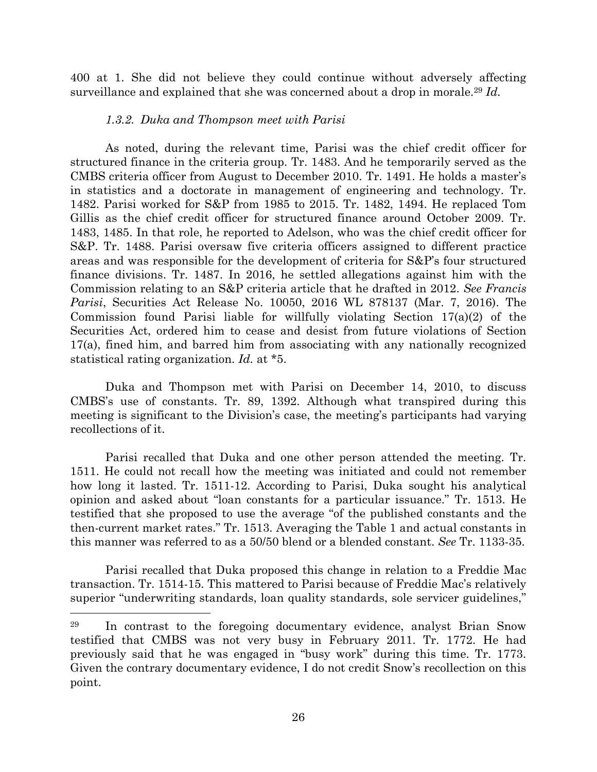400 at 1. She did not believe they could continue without adversely affecting surveillance and explained that she was concerned about a drop in morale.<sup>29</sup> *Id.*

## *1.3.2. Duka and Thompson meet with Parisi*

As noted, during the relevant time, Parisi was the chief credit officer for structured finance in the criteria group. Tr. 1483. And he temporarily served as the CMBS criteria officer from August to December 2010. Tr. 1491. He holds a master's in statistics and a doctorate in management of engineering and technology. Tr. 1482. Parisi worked for S&P from 1985 to 2015. Tr. 1482, 1494. He replaced Tom Gillis as the chief credit officer for structured finance around October 2009. Tr. 1483, 1485. In that role, he reported to Adelson, who was the chief credit officer for S&P. Tr. 1488. Parisi oversaw five criteria officers assigned to different practice areas and was responsible for the development of criteria for S&P's four structured finance divisions. Tr. 1487. In 2016, he settled allegations against him with the Commission relating to an S&P criteria article that he drafted in 2012. *See Francis Parisi*, Securities Act Release No. 10050, 2016 WL 878137 (Mar. 7, 2016). The Commission found Parisi liable for willfully violating Section 17(a)(2) of the Securities Act, ordered him to cease and desist from future violations of Section 17(a), fined him, and barred him from associating with any nationally recognized statistical rating organization. *Id.* at \*5.

Duka and Thompson met with Parisi on December 14, 2010, to discuss CMBS's use of constants. Tr. 89, 1392. Although what transpired during this meeting is significant to the Division's case, the meeting's participants had varying recollections of it.

Parisi recalled that Duka and one other person attended the meeting. Tr. 1511. He could not recall how the meeting was initiated and could not remember how long it lasted. Tr. 1511-12. According to Parisi, Duka sought his analytical opinion and asked about "loan constants for a particular issuance." Tr. 1513. He testified that she proposed to use the average "of the published constants and the then-current market rates." Tr. 1513. Averaging the Table 1 and actual constants in this manner was referred to as a 50/50 blend or a blended constant. *See* Tr. 1133-35.

Parisi recalled that Duka proposed this change in relation to a Freddie Mac transaction. Tr. 1514-15. This mattered to Parisi because of Freddie Mac's relatively superior "underwriting standards, loan quality standards, sole servicer guidelines,"

l

<sup>29</sup> In contrast to the foregoing documentary evidence, analyst Brian Snow testified that CMBS was not very busy in February 2011. Tr. 1772. He had previously said that he was engaged in "busy work" during this time. Tr. 1773. Given the contrary documentary evidence, I do not credit Snow's recollection on this point.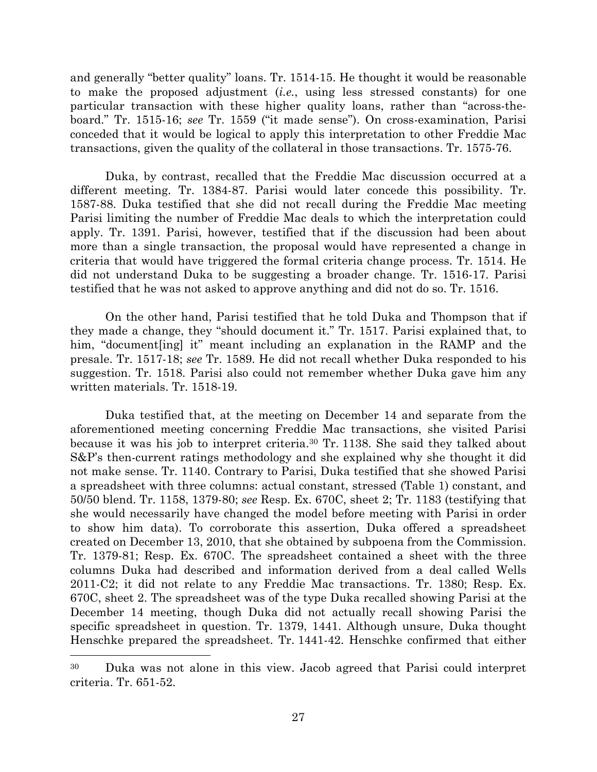and generally "better quality" loans. Tr. 1514-15. He thought it would be reasonable to make the proposed adjustment (*i.e.*, using less stressed constants) for one particular transaction with these higher quality loans, rather than "across-theboard." Tr. 1515-16; *see* Tr. 1559 ("it made sense"). On cross-examination, Parisi conceded that it would be logical to apply this interpretation to other Freddie Mac transactions, given the quality of the collateral in those transactions. Tr. 1575-76.

Duka, by contrast, recalled that the Freddie Mac discussion occurred at a different meeting. Tr. 1384-87. Parisi would later concede this possibility. Tr. 1587-88. Duka testified that she did not recall during the Freddie Mac meeting Parisi limiting the number of Freddie Mac deals to which the interpretation could apply. Tr. 1391. Parisi, however, testified that if the discussion had been about more than a single transaction, the proposal would have represented a change in criteria that would have triggered the formal criteria change process. Tr. 1514. He did not understand Duka to be suggesting a broader change. Tr. 1516-17. Parisi testified that he was not asked to approve anything and did not do so. Tr. 1516.

On the other hand, Parisi testified that he told Duka and Thompson that if they made a change, they "should document it." Tr. 1517. Parisi explained that, to him, "document [ing] it" meant including an explanation in the RAMP and the presale. Tr. 1517-18; *see* Tr. 1589. He did not recall whether Duka responded to his suggestion. Tr. 1518. Parisi also could not remember whether Duka gave him any written materials. Tr. 1518-19.

Duka testified that, at the meeting on December 14 and separate from the aforementioned meeting concerning Freddie Mac transactions, she visited Parisi because it was his job to interpret criteria.<sup>30</sup> Tr. 1138. She said they talked about S&P's then-current ratings methodology and she explained why she thought it did not make sense. Tr. 1140. Contrary to Parisi, Duka testified that she showed Parisi a spreadsheet with three columns: actual constant, stressed (Table 1) constant, and 50/50 blend. Tr. 1158, 1379-80; *see* Resp. Ex. 670C, sheet 2; Tr. 1183 (testifying that she would necessarily have changed the model before meeting with Parisi in order to show him data). To corroborate this assertion, Duka offered a spreadsheet created on December 13, 2010, that she obtained by subpoena from the Commission. Tr. 1379-81; Resp. Ex. 670C. The spreadsheet contained a sheet with the three columns Duka had described and information derived from a deal called Wells 2011-C2; it did not relate to any Freddie Mac transactions. Tr. 1380; Resp. Ex. 670C, sheet 2. The spreadsheet was of the type Duka recalled showing Parisi at the December 14 meeting, though Duka did not actually recall showing Parisi the specific spreadsheet in question. Tr. 1379, 1441. Although unsure, Duka thought Henschke prepared the spreadsheet. Tr. 1441-42. Henschke confirmed that either

<sup>30</sup> Duka was not alone in this view. Jacob agreed that Parisi could interpret criteria. Tr. 651-52.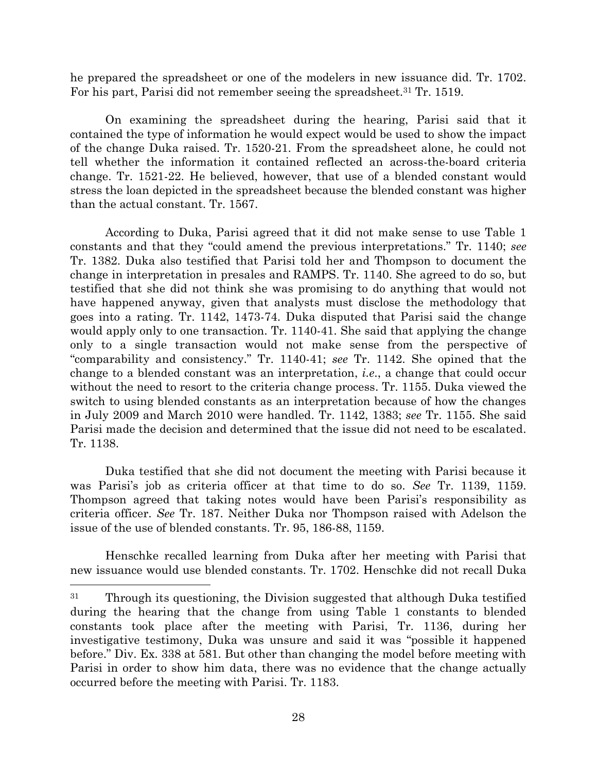he prepared the spreadsheet or one of the modelers in new issuance did. Tr. 1702. For his part, Parisi did not remember seeing the spreadsheet.<sup>31</sup> Tr. 1519.

On examining the spreadsheet during the hearing, Parisi said that it contained the type of information he would expect would be used to show the impact of the change Duka raised. Tr. 1520-21. From the spreadsheet alone, he could not tell whether the information it contained reflected an across-the-board criteria change. Tr. 1521-22. He believed, however, that use of a blended constant would stress the loan depicted in the spreadsheet because the blended constant was higher than the actual constant. Tr. 1567.

According to Duka, Parisi agreed that it did not make sense to use Table 1 constants and that they "could amend the previous interpretations." Tr. 1140; *see* Tr. 1382. Duka also testified that Parisi told her and Thompson to document the change in interpretation in presales and RAMPS. Tr. 1140. She agreed to do so, but testified that she did not think she was promising to do anything that would not have happened anyway, given that analysts must disclose the methodology that goes into a rating. Tr. 1142, 1473-74. Duka disputed that Parisi said the change would apply only to one transaction. Tr. 1140-41. She said that applying the change only to a single transaction would not make sense from the perspective of "comparability and consistency." Tr. 1140-41; *see* Tr. 1142. She opined that the change to a blended constant was an interpretation, *i.e*., a change that could occur without the need to resort to the criteria change process. Tr. 1155. Duka viewed the switch to using blended constants as an interpretation because of how the changes in July 2009 and March 2010 were handled. Tr. 1142, 1383; *see* Tr. 1155. She said Parisi made the decision and determined that the issue did not need to be escalated. Tr. 1138.

Duka testified that she did not document the meeting with Parisi because it was Parisi's job as criteria officer at that time to do so. *See* Tr. 1139, 1159. Thompson agreed that taking notes would have been Parisi's responsibility as criteria officer. *See* Tr. 187. Neither Duka nor Thompson raised with Adelson the issue of the use of blended constants. Tr. 95, 186-88, 1159.

Henschke recalled learning from Duka after her meeting with Parisi that new issuance would use blended constants. Tr. 1702. Henschke did not recall Duka

<sup>31</sup> Through its questioning, the Division suggested that although Duka testified during the hearing that the change from using Table 1 constants to blended constants took place after the meeting with Parisi, Tr. 1136, during her investigative testimony, Duka was unsure and said it was "possible it happened before." Div. Ex. 338 at 581. But other than changing the model before meeting with Parisi in order to show him data, there was no evidence that the change actually occurred before the meeting with Parisi. Tr. 1183.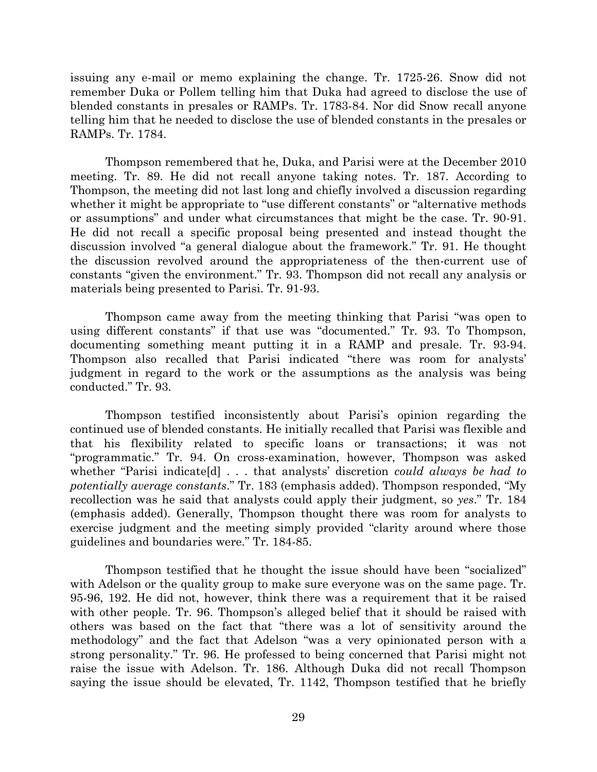issuing any e-mail or memo explaining the change. Tr. 1725-26. Snow did not remember Duka or Pollem telling him that Duka had agreed to disclose the use of blended constants in presales or RAMPs. Tr. 1783-84. Nor did Snow recall anyone telling him that he needed to disclose the use of blended constants in the presales or RAMPs. Tr. 1784.

Thompson remembered that he, Duka, and Parisi were at the December 2010 meeting. Tr. 89. He did not recall anyone taking notes. Tr. 187. According to Thompson, the meeting did not last long and chiefly involved a discussion regarding whether it might be appropriate to "use different constants" or "alternative methods or assumptions" and under what circumstances that might be the case. Tr. 90-91. He did not recall a specific proposal being presented and instead thought the discussion involved "a general dialogue about the framework." Tr. 91. He thought the discussion revolved around the appropriateness of the then-current use of constants "given the environment." Tr. 93. Thompson did not recall any analysis or materials being presented to Parisi. Tr. 91-93.

Thompson came away from the meeting thinking that Parisi "was open to using different constants" if that use was "documented." Tr. 93. To Thompson, documenting something meant putting it in a RAMP and presale. Tr. 93-94. Thompson also recalled that Parisi indicated "there was room for analysts' judgment in regard to the work or the assumptions as the analysis was being conducted." Tr. 93.

Thompson testified inconsistently about Parisi's opinion regarding the continued use of blended constants. He initially recalled that Parisi was flexible and that his flexibility related to specific loans or transactions; it was not "programmatic." Tr. 94. On cross-examination, however, Thompson was asked whether "Parisi indicate[d] . . . that analysts' discretion *could always be had to potentially average constants*." Tr. 183 (emphasis added). Thompson responded, "My recollection was he said that analysts could apply their judgment, so *yes*." Tr. 184 (emphasis added). Generally, Thompson thought there was room for analysts to exercise judgment and the meeting simply provided "clarity around where those guidelines and boundaries were." Tr. 184-85.

Thompson testified that he thought the issue should have been "socialized" with Adelson or the quality group to make sure everyone was on the same page. Tr. 95-96, 192. He did not, however, think there was a requirement that it be raised with other people. Tr. 96. Thompson's alleged belief that it should be raised with others was based on the fact that "there was a lot of sensitivity around the methodology" and the fact that Adelson "was a very opinionated person with a strong personality." Tr. 96. He professed to being concerned that Parisi might not raise the issue with Adelson. Tr. 186. Although Duka did not recall Thompson saying the issue should be elevated, Tr. 1142, Thompson testified that he briefly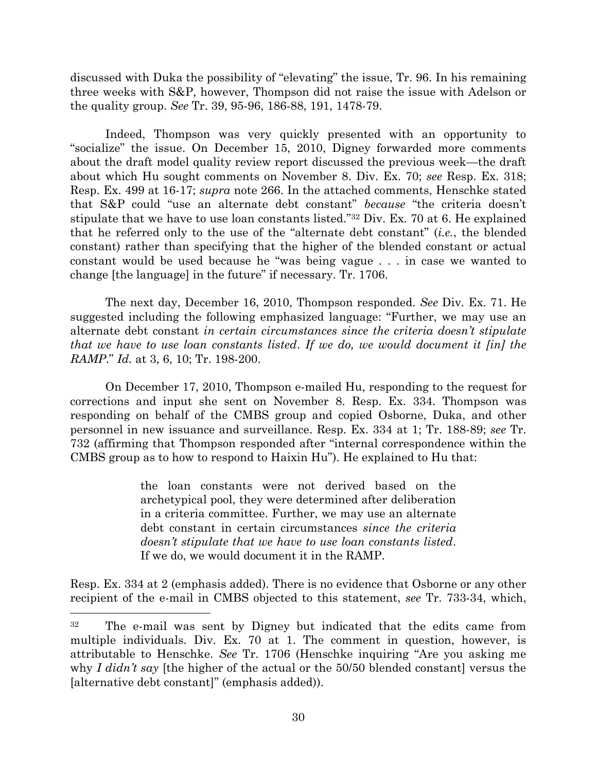discussed with Duka the possibility of "elevating" the issue, Tr. 96. In his remaining three weeks with S&P, however, Thompson did not raise the issue with Adelson or the quality group. *See* Tr. 39, 95-96, 186-88, 191, 1478-79.

Indeed, Thompson was very quickly presented with an opportunity to "socialize" the issue. On December 15, 2010, Digney forwarded more comments about the draft model quality review report discussed the previous week—the draft about which Hu sought comments on November 8. Div. Ex. 70; *see* Resp. Ex. 318; Resp. Ex. 499 at 16-17; *supra* note [266](#page-23-0). In the attached comments, Henschke stated that S&P could "use an alternate debt constant" *because* "the criteria doesn't stipulate that we have to use loan constants listed."<sup>32</sup> Div. Ex. 70 at 6. He explained that he referred only to the use of the "alternate debt constant" (*i.e.*, the blended constant) rather than specifying that the higher of the blended constant or actual constant would be used because he "was being vague . . . in case we wanted to change [the language] in the future" if necessary. Tr. 1706.

The next day, December 16, 2010, Thompson responded. *See* Div. Ex. 71. He suggested including the following emphasized language: "Further, we may use an alternate debt constant *in certain circumstances since the criteria doesn't stipulate that we have to use loan constants listed*. *If we do, we would document it [in] the RAMP*." *Id.* at 3, 6, 10; Tr. 198-200.

On December 17, 2010, Thompson e-mailed Hu, responding to the request for corrections and input she sent on November 8. Resp. Ex. 334. Thompson was responding on behalf of the CMBS group and copied Osborne, Duka, and other personnel in new issuance and surveillance. Resp. Ex. 334 at 1; Tr. 188-89; *see* Tr. 732 (affirming that Thompson responded after "internal correspondence within the CMBS group as to how to respond to Haixin Hu"). He explained to Hu that:

> the loan constants were not derived based on the archetypical pool, they were determined after deliberation in a criteria committee. Further, we may use an alternate debt constant in certain circumstances *since the criteria doesn't stipulate that we have to use loan constants listed*. If we do, we would document it in the RAMP.

Resp. Ex. 334 at 2 (emphasis added). There is no evidence that Osborne or any other recipient of the e-mail in CMBS objected to this statement, *see* Tr. 733-34, which,

l

<sup>32</sup> The e-mail was sent by Digney but indicated that the edits came from multiple individuals. Div. Ex. 70 at 1. The comment in question, however, is attributable to Henschke. *See* Tr. 1706 (Henschke inquiring "Are you asking me why *I didn't say* [the higher of the actual or the 50/50 blended constant] versus the [alternative debt constant]" (emphasis added)).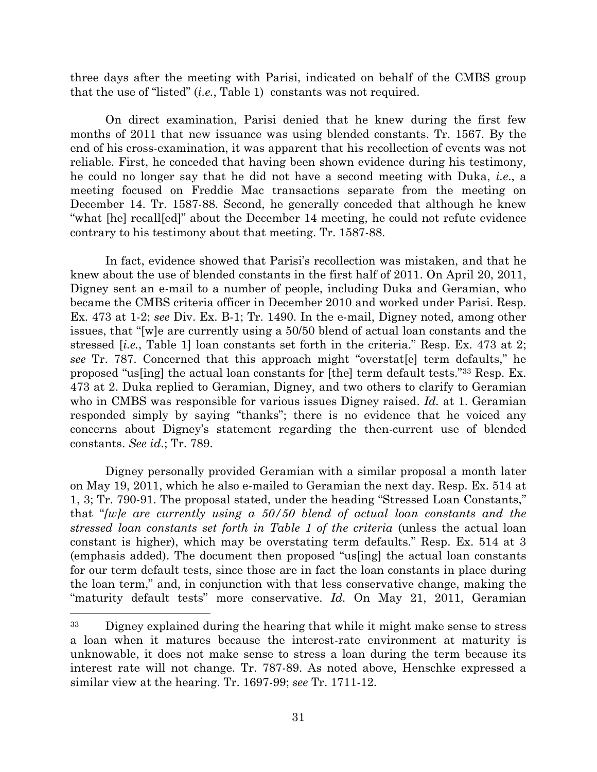three days after the meeting with Parisi, indicated on behalf of the CMBS group that the use of "listed" (*i.e.*, Table 1) constants was not required.

On direct examination, Parisi denied that he knew during the first few months of 2011 that new issuance was using blended constants. Tr. 1567. By the end of his cross-examination, it was apparent that his recollection of events was not reliable. First, he conceded that having been shown evidence during his testimony, he could no longer say that he did not have a second meeting with Duka, *i.e*., a meeting focused on Freddie Mac transactions separate from the meeting on December 14. Tr. 1587-88. Second, he generally conceded that although he knew "what [he] recall[ed]" about the December 14 meeting, he could not refute evidence contrary to his testimony about that meeting. Tr. 1587-88.

In fact, evidence showed that Parisi's recollection was mistaken, and that he knew about the use of blended constants in the first half of 2011. On April 20, 2011, Digney sent an e-mail to a number of people, including Duka and Geramian, who became the CMBS criteria officer in December 2010 and worked under Parisi. Resp. Ex. 473 at 1-2; *see* Div. Ex. B-1; Tr. 1490. In the e-mail, Digney noted, among other issues, that "[w]e are currently using a 50/50 blend of actual loan constants and the stressed [*i.e.*, Table 1] loan constants set forth in the criteria." Resp. Ex. 473 at 2; *see* Tr. 787. Concerned that this approach might "overstat[e] term defaults," he proposed "us[ing] the actual loan constants for [the] term default tests."<sup>33</sup> Resp. Ex. 473 at 2. Duka replied to Geramian, Digney, and two others to clarify to Geramian who in CMBS was responsible for various issues Digney raised. *Id.* at 1. Geramian responded simply by saying "thanks"; there is no evidence that he voiced any concerns about Digney's statement regarding the then-current use of blended constants. *See id.*; Tr. 789.

Digney personally provided Geramian with a similar proposal a month later on May 19, 2011, which he also e-mailed to Geramian the next day. Resp. Ex. 514 at 1, 3; Tr. 790-91. The proposal stated, under the heading "Stressed Loan Constants," that "*[w]e are currently using a 50/50 blend of actual loan constants and the stressed loan constants set forth in Table 1 of the criteria* (unless the actual loan constant is higher), which may be overstating term defaults." Resp. Ex. 514 at 3 (emphasis added). The document then proposed "us[ing] the actual loan constants for our term default tests, since those are in fact the loan constants in place during the loan term," and, in conjunction with that less conservative change, making the "maturity default tests" more conservative. *Id.* On May 21, 2011, Geramian

l

<sup>&</sup>lt;sup>33</sup> Digney explained during the hearing that while it might make sense to stress a loan when it matures because the interest-rate environment at maturity is unknowable, it does not make sense to stress a loan during the term because its interest rate will not change. Tr. 787-89. As noted above, Henschke expressed a similar view at the hearing. Tr. 1697-99; *see* Tr. 1711-12.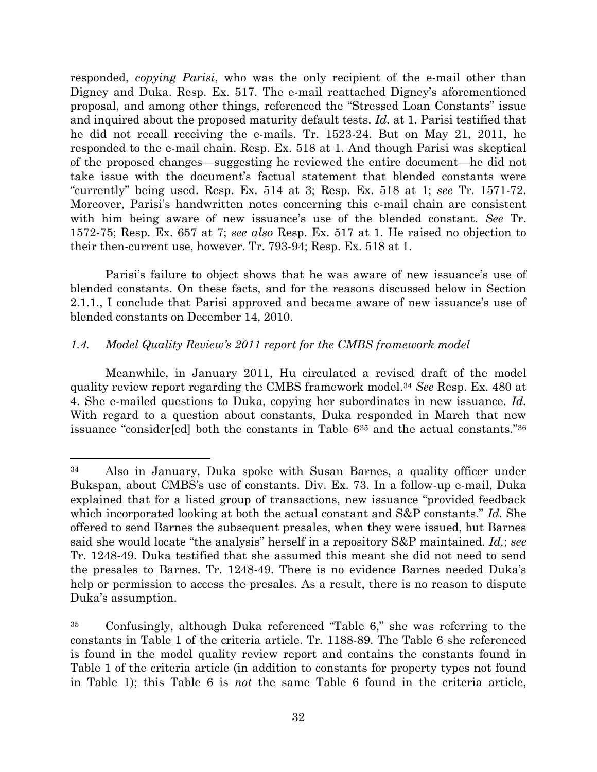responded, *copying Parisi*, who was the only recipient of the e-mail other than Digney and Duka. Resp. Ex. 517. The e-mail reattached Digney's aforementioned proposal, and among other things, referenced the "Stressed Loan Constants" issue and inquired about the proposed maturity default tests. *Id.* at 1. Parisi testified that he did not recall receiving the e-mails. Tr. 1523-24. But on May 21, 2011, he responded to the e-mail chain. Resp. Ex. 518 at 1. And though Parisi was skeptical of the proposed changes—suggesting he reviewed the entire document—he did not take issue with the document's factual statement that blended constants were "currently" being used. Resp. Ex. 514 at 3; Resp. Ex. 518 at 1; *see* Tr. 1571-72. Moreover, Parisi's handwritten notes concerning this e-mail chain are consistent with him being aware of new issuance's use of the blended constant. *See* Tr. 1572-75; Resp. Ex. 657 at 7; *see also* Resp. Ex. 517 at 1. He raised no objection to their then-current use, however. Tr. 793-94; Resp. Ex. 518 at 1.

Parisi's failure to object shows that he was aware of new issuance's use of blended constants. On these facts, and for the reasons discussed below in Section 2.1.1., I conclude that Parisi approved and became aware of new issuance's use of blended constants on December 14, 2010.

# *1.4. Model Quality Review's 2011 report for the CMBS framework model*

 $\overline{a}$ 

Meanwhile, in January 2011, Hu circulated a revised draft of the model quality review report regarding the CMBS framework model.<sup>34</sup> *See* Resp. Ex. 480 at 4. She e-mailed questions to Duka, copying her subordinates in new issuance. *Id.* With regard to a question about constants, Duka responded in March that new issuance "consider[ed] both the constants in Table 6<sup>35</sup> and the actual constants."<sup>36</sup>

<sup>34</sup> Also in January, Duka spoke with Susan Barnes, a quality officer under Bukspan, about CMBS's use of constants. Div. Ex. 73. In a follow-up e-mail, Duka explained that for a listed group of transactions, new issuance "provided feedback which incorporated looking at both the actual constant and S&P constants." *Id.* She offered to send Barnes the subsequent presales, when they were issued, but Barnes said she would locate "the analysis" herself in a repository S&P maintained. *Id.*; *see* Tr. 1248-49. Duka testified that she assumed this meant she did not need to send the presales to Barnes. Tr. 1248-49. There is no evidence Barnes needed Duka's help or permission to access the presales. As a result, there is no reason to dispute Duka's assumption.

<sup>35</sup> Confusingly, although Duka referenced "Table 6," she was referring to the constants in Table 1 of the criteria article. Tr. 1188-89. The Table 6 she referenced is found in the model quality review report and contains the constants found in Table 1 of the criteria article (in addition to constants for property types not found in Table 1); this Table 6 is *not* the same Table 6 found in the criteria article,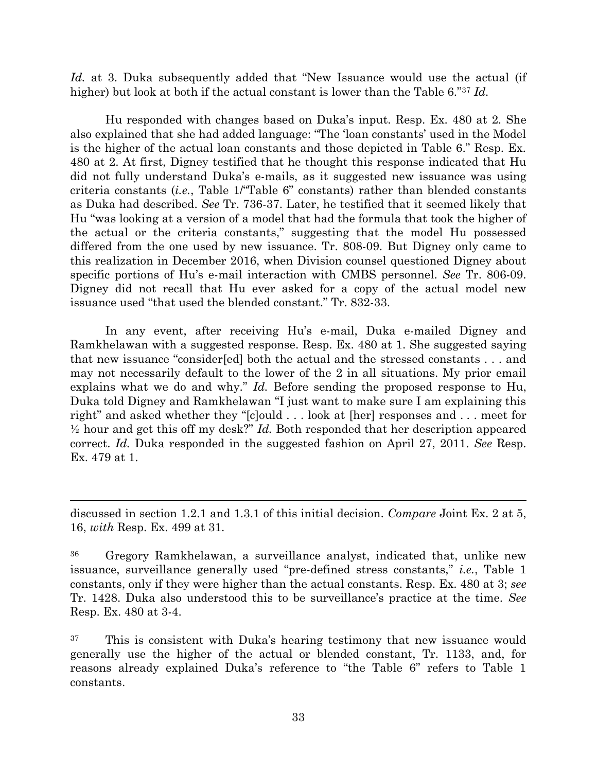*Id.* at 3. Duka subsequently added that "New Issuance would use the actual (if higher) but look at both if the actual constant is lower than the Table 6."<sup>37</sup> *Id.*

Hu responded with changes based on Duka's input. Resp. Ex. 480 at 2*.* She also explained that she had added language: "The 'loan constants' used in the Model is the higher of the actual loan constants and those depicted in Table 6." Resp. Ex. 480 at 2. At first, Digney testified that he thought this response indicated that Hu did not fully understand Duka's e-mails, as it suggested new issuance was using criteria constants (*i.e.*, Table 1/"Table 6" constants) rather than blended constants as Duka had described. *See* Tr. 736-37. Later, he testified that it seemed likely that Hu "was looking at a version of a model that had the formula that took the higher of the actual or the criteria constants," suggesting that the model Hu possessed differed from the one used by new issuance. Tr. 808-09. But Digney only came to this realization in December 2016, when Division counsel questioned Digney about specific portions of Hu's e-mail interaction with CMBS personnel. *See* Tr. 806-09. Digney did not recall that Hu ever asked for a copy of the actual model new issuance used "that used the blended constant." Tr. 832-33.

In any event, after receiving Hu's e-mail, Duka e-mailed Digney and Ramkhelawan with a suggested response. Resp. Ex. 480 at 1. She suggested saying that new issuance "consider[ed] both the actual and the stressed constants . . . and may not necessarily default to the lower of the 2 in all situations. My prior email explains what we do and why." *Id.* Before sending the proposed response to Hu, Duka told Digney and Ramkhelawan "I just want to make sure I am explaining this right" and asked whether they "[c]ould . . . look at [her] responses and . . . meet for ½ hour and get this off my desk?" *Id.* Both responded that her description appeared correct. *Id.* Duka responded in the suggested fashion on April 27, 2011. *See* Resp. Ex. 479 at 1.

discussed in section 1.2.1 and 1.3.1 of this initial decision. *Compare* Joint Ex. 2 at 5, 16, *with* Resp. Ex. 499 at 31.

<sup>36</sup> Gregory Ramkhelawan, a surveillance analyst, indicated that, unlike new issuance, surveillance generally used "pre-defined stress constants," *i.e.*, Table 1 constants, only if they were higher than the actual constants. Resp. Ex. 480 at 3; *see* Tr. 1428. Duka also understood this to be surveillance's practice at the time. *See*  Resp. Ex. 480 at 3-4.

<sup>37</sup> This is consistent with Duka's hearing testimony that new issuance would generally use the higher of the actual or blended constant, Tr. 1133, and, for reasons already explained Duka's reference to "the Table 6" refers to Table 1 constants.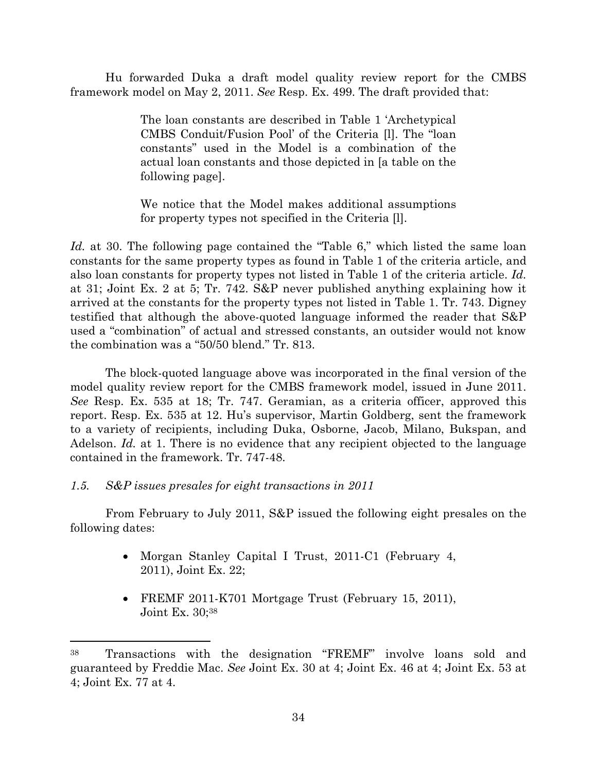Hu forwarded Duka a draft model quality review report for the CMBS framework model on May 2, 2011. *See* Resp. Ex. 499. The draft provided that:

> The loan constants are described in Table 1 'Archetypical CMBS Conduit/Fusion Pool' of the Criteria [l]. The "loan constants" used in the Model is a combination of the actual loan constants and those depicted in [a table on the following page].

> We notice that the Model makes additional assumptions for property types not specified in the Criteria [l].

*Id.* at 30. The following page contained the "Table 6," which listed the same loan constants for the same property types as found in Table 1 of the criteria article, and also loan constants for property types not listed in Table 1 of the criteria article. *Id.* at 31; Joint Ex. 2 at 5; Tr. 742. S&P never published anything explaining how it arrived at the constants for the property types not listed in Table 1. Tr. 743. Digney testified that although the above-quoted language informed the reader that S&P used a "combination" of actual and stressed constants, an outsider would not know the combination was a "50/50 blend." Tr. 813.

The block-quoted language above was incorporated in the final version of the model quality review report for the CMBS framework model, issued in June 2011. *See* Resp. Ex. 535 at 18; Tr. 747. Geramian, as a criteria officer, approved this report. Resp. Ex. 535 at 12. Hu's supervisor, Martin Goldberg, sent the framework to a variety of recipients, including Duka, Osborne, Jacob, Milano, Bukspan, and Adelson. *Id.* at 1. There is no evidence that any recipient objected to the language contained in the framework. Tr. 747-48.

## *1.5. S&P issues presales for eight transactions in 2011*

l

From February to July 2011, S&P issued the following eight presales on the following dates:

- Morgan Stanley Capital I Trust, 2011-C1 (February 4, 2011), Joint Ex. 22;
- FREMF 2011-K701 Mortgage Trust (February 15, 2011), Joint Ex. 30;<sup>38</sup>

<sup>38</sup> Transactions with the designation "FREMF" involve loans sold and guaranteed by Freddie Mac. *See* Joint Ex. 30 at 4; Joint Ex. 46 at 4; Joint Ex. 53 at 4; Joint Ex. 77 at 4.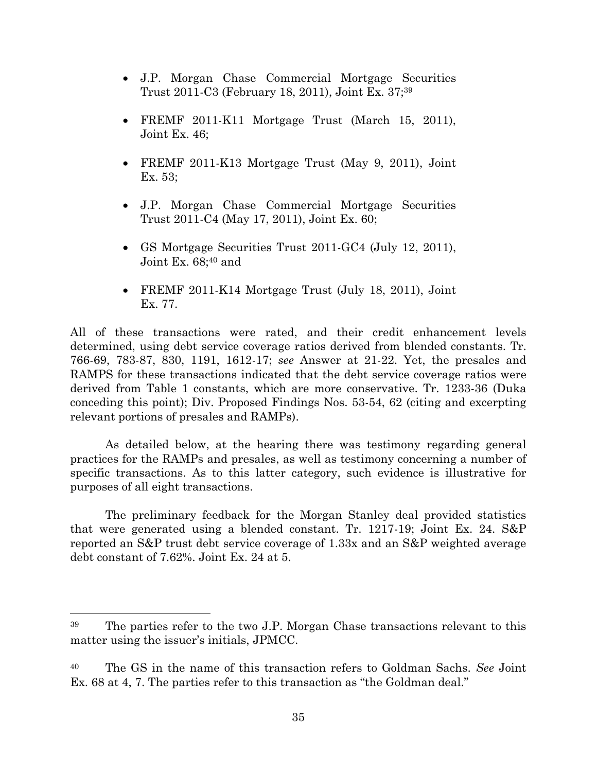- J.P. Morgan Chase Commercial Mortgage Securities Trust 2011-C3 (February 18, 2011), Joint Ex. 37; 39
- FREMF 2011-K11 Mortgage Trust (March 15, 2011), Joint Ex. 46;
- FREMF 2011-K13 Mortgage Trust (May 9, 2011), Joint Ex. 53;
- J.P. Morgan Chase Commercial Mortgage Securities Trust 2011-C4 (May 17, 2011), Joint Ex. 60;
- GS Mortgage Securities Trust 2011-GC4 (July 12, 2011), Joint Ex. 68;40 and
- FREMF 2011-K14 Mortgage Trust (July 18, 2011), Joint Ex. 77.

All of these transactions were rated, and their credit enhancement levels determined, using debt service coverage ratios derived from blended constants. Tr. 766-69, 783-87, 830, 1191, 1612-17; *see* Answer at 21-22. Yet, the presales and RAMPS for these transactions indicated that the debt service coverage ratios were derived from Table 1 constants, which are more conservative. Tr. 1233-36 (Duka conceding this point); Div. Proposed Findings Nos. 53-54, 62 (citing and excerpting relevant portions of presales and RAMPs).

As detailed below, at the hearing there was testimony regarding general practices for the RAMPs and presales, as well as testimony concerning a number of specific transactions. As to this latter category, such evidence is illustrative for purposes of all eight transactions.

The preliminary feedback for the Morgan Stanley deal provided statistics that were generated using a blended constant. Tr. 1217-19; Joint Ex. 24. S&P reported an S&P trust debt service coverage of 1.33x and an S&P weighted average debt constant of 7.62%. Joint Ex. 24 at 5.

l

<sup>39</sup> The parties refer to the two J.P. Morgan Chase transactions relevant to this matter using the issuer's initials, JPMCC.

<sup>40</sup> The GS in the name of this transaction refers to Goldman Sachs. *See* Joint Ex. 68 at 4, 7. The parties refer to this transaction as "the Goldman deal."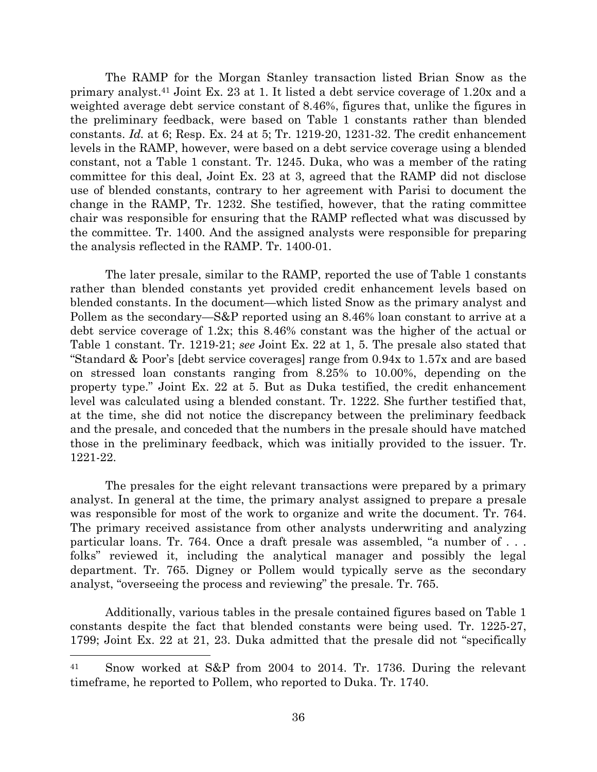The RAMP for the Morgan Stanley transaction listed Brian Snow as the primary analyst.<sup>41</sup> Joint Ex. 23 at 1. It listed a debt service coverage of 1.20x and a weighted average debt service constant of 8.46%, figures that, unlike the figures in the preliminary feedback, were based on Table 1 constants rather than blended constants. *Id.* at 6; Resp. Ex. 24 at 5; Tr. 1219-20, 1231-32. The credit enhancement levels in the RAMP, however, were based on a debt service coverage using a blended constant, not a Table 1 constant. Tr. 1245. Duka, who was a member of the rating committee for this deal, Joint Ex. 23 at 3, agreed that the RAMP did not disclose use of blended constants, contrary to her agreement with Parisi to document the change in the RAMP, Tr. 1232. She testified, however, that the rating committee chair was responsible for ensuring that the RAMP reflected what was discussed by the committee. Tr. 1400. And the assigned analysts were responsible for preparing the analysis reflected in the RAMP. Tr. 1400-01.

The later presale, similar to the RAMP, reported the use of Table 1 constants rather than blended constants yet provided credit enhancement levels based on blended constants. In the document—which listed Snow as the primary analyst and Pollem as the secondary—S&P reported using an 8.46% loan constant to arrive at a debt service coverage of 1.2x; this 8.46% constant was the higher of the actual or Table 1 constant. Tr. 1219-21; *see* Joint Ex. 22 at 1, 5. The presale also stated that "Standard & Poor's [debt service coverages] range from 0.94x to 1.57x and are based on stressed loan constants ranging from 8.25% to 10.00%, depending on the property type." Joint Ex. 22 at 5. But as Duka testified, the credit enhancement level was calculated using a blended constant. Tr. 1222. She further testified that, at the time, she did not notice the discrepancy between the preliminary feedback and the presale, and conceded that the numbers in the presale should have matched those in the preliminary feedback, which was initially provided to the issuer. Tr. 1221-22.

The presales for the eight relevant transactions were prepared by a primary analyst. In general at the time, the primary analyst assigned to prepare a presale was responsible for most of the work to organize and write the document. Tr. 764. The primary received assistance from other analysts underwriting and analyzing particular loans. Tr. 764. Once a draft presale was assembled, "a number of . . . folks" reviewed it, including the analytical manager and possibly the legal department. Tr. 765. Digney or Pollem would typically serve as the secondary analyst, "overseeing the process and reviewing" the presale. Tr. 765.

Additionally, various tables in the presale contained figures based on Table 1 constants despite the fact that blended constants were being used. Tr. 1225-27, 1799; Joint Ex. 22 at 21, 23. Duka admitted that the presale did not "specifically

<sup>41</sup> Snow worked at S&P from 2004 to 2014. Tr. 1736. During the relevant timeframe, he reported to Pollem, who reported to Duka. Tr. 1740.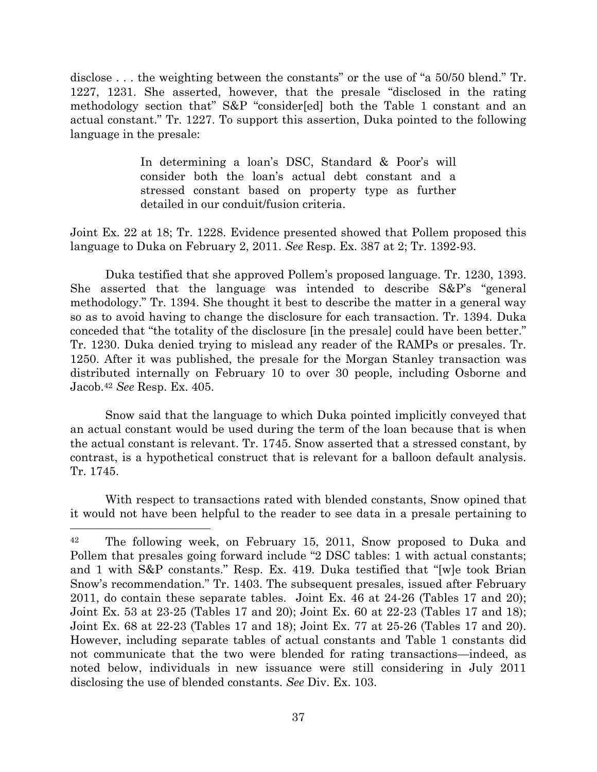disclose . . . the weighting between the constants" or the use of "a 50/50 blend." Tr. 1227, 1231. She asserted, however, that the presale "disclosed in the rating methodology section that" S&P "consider[ed] both the Table 1 constant and an actual constant." Tr. 1227. To support this assertion, Duka pointed to the following language in the presale:

> In determining a loan's DSC, Standard & Poor's will consider both the loan's actual debt constant and a stressed constant based on property type as further detailed in our conduit/fusion criteria.

Joint Ex. 22 at 18; Tr. 1228. Evidence presented showed that Pollem proposed this language to Duka on February 2, 2011. *See* Resp. Ex. 387 at 2; Tr. 1392-93.

Duka testified that she approved Pollem's proposed language. Tr. 1230, 1393. She asserted that the language was intended to describe S&P's "general methodology." Tr. 1394. She thought it best to describe the matter in a general way so as to avoid having to change the disclosure for each transaction. Tr. 1394. Duka conceded that "the totality of the disclosure [in the presale] could have been better." Tr. 1230. Duka denied trying to mislead any reader of the RAMPs or presales. Tr. 1250. After it was published, the presale for the Morgan Stanley transaction was distributed internally on February 10 to over 30 people, including Osborne and Jacob.<sup>42</sup> *See* Resp. Ex. 405.

Snow said that the language to which Duka pointed implicitly conveyed that an actual constant would be used during the term of the loan because that is when the actual constant is relevant. Tr. 1745. Snow asserted that a stressed constant, by contrast, is a hypothetical construct that is relevant for a balloon default analysis. Tr. 1745.

With respect to transactions rated with blended constants, Snow opined that it would not have been helpful to the reader to see data in a presale pertaining to

<sup>42</sup> The following week, on February 15, 2011, Snow proposed to Duka and Pollem that presales going forward include "2 DSC tables: 1 with actual constants; and 1 with S&P constants." Resp. Ex. 419. Duka testified that "[w]e took Brian Snow's recommendation." Tr. 1403. The subsequent presales, issued after February 2011, do contain these separate tables. Joint Ex. 46 at 24-26 (Tables 17 and 20); Joint Ex. 53 at 23-25 (Tables 17 and 20); Joint Ex. 60 at 22-23 (Tables 17 and 18); Joint Ex. 68 at 22-23 (Tables 17 and 18); Joint Ex. 77 at 25-26 (Tables 17 and 20). However, including separate tables of actual constants and Table 1 constants did not communicate that the two were blended for rating transactions—indeed, as noted below, individuals in new issuance were still considering in July 2011 disclosing the use of blended constants. *See* Div. Ex. 103.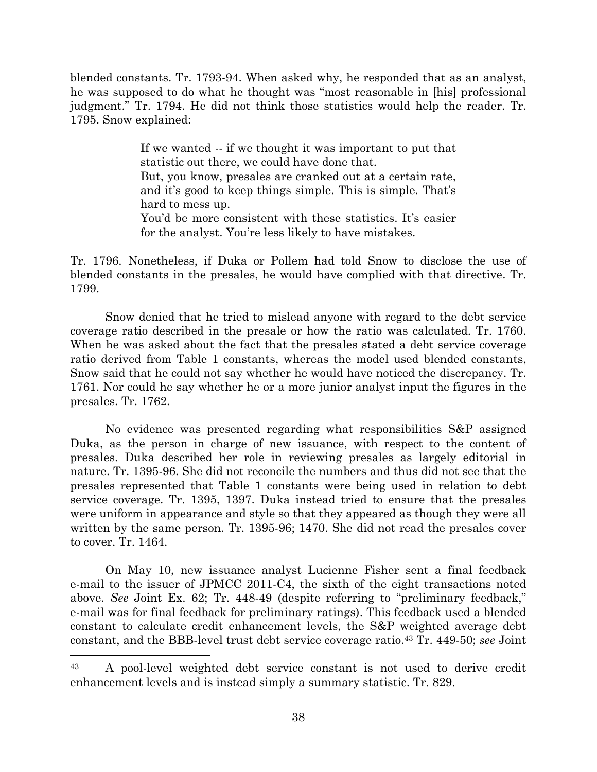blended constants. Tr. 1793-94. When asked why, he responded that as an analyst, he was supposed to do what he thought was "most reasonable in [his] professional judgment." Tr. 1794. He did not think those statistics would help the reader. Tr. 1795. Snow explained:

> If we wanted -- if we thought it was important to put that statistic out there, we could have done that. But, you know, presales are cranked out at a certain rate, and it's good to keep things simple. This is simple. That's hard to mess up. You'd be more consistent with these statistics. It's easier for the analyst. You're less likely to have mistakes.

Tr. 1796. Nonetheless, if Duka or Pollem had told Snow to disclose the use of blended constants in the presales, he would have complied with that directive. Tr. 1799.

Snow denied that he tried to mislead anyone with regard to the debt service coverage ratio described in the presale or how the ratio was calculated. Tr. 1760. When he was asked about the fact that the presales stated a debt service coverage ratio derived from Table 1 constants, whereas the model used blended constants, Snow said that he could not say whether he would have noticed the discrepancy. Tr. 1761. Nor could he say whether he or a more junior analyst input the figures in the presales. Tr. 1762.

No evidence was presented regarding what responsibilities S&P assigned Duka, as the person in charge of new issuance, with respect to the content of presales. Duka described her role in reviewing presales as largely editorial in nature. Tr. 1395-96. She did not reconcile the numbers and thus did not see that the presales represented that Table 1 constants were being used in relation to debt service coverage. Tr. 1395, 1397. Duka instead tried to ensure that the presales were uniform in appearance and style so that they appeared as though they were all written by the same person. Tr. 1395-96; 1470. She did not read the presales cover to cover. Tr. 1464.

On May 10, new issuance analyst Lucienne Fisher sent a final feedback e-mail to the issuer of JPMCC 2011-C4, the sixth of the eight transactions noted above. *See* Joint Ex. 62; Tr. 448-49 (despite referring to "preliminary feedback," e-mail was for final feedback for preliminary ratings). This feedback used a blended constant to calculate credit enhancement levels, the S&P weighted average debt constant, and the BBB-level trust debt service coverage ratio. <sup>43</sup> Tr. 449-50; *see* Joint

<sup>43</sup> A pool-level weighted debt service constant is not used to derive credit enhancement levels and is instead simply a summary statistic. Tr. 829.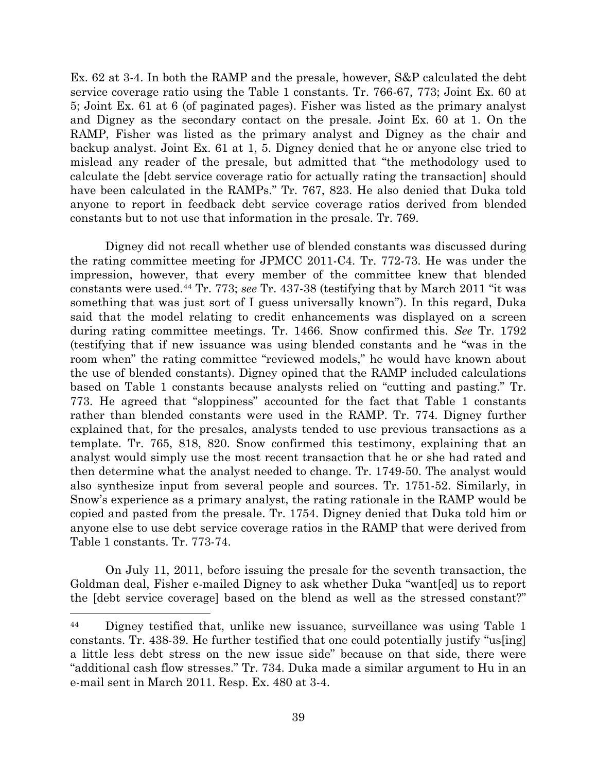Ex. 62 at 3-4. In both the RAMP and the presale, however, S&P calculated the debt service coverage ratio using the Table 1 constants. Tr. 766-67, 773; Joint Ex. 60 at 5; Joint Ex. 61 at 6 (of paginated pages). Fisher was listed as the primary analyst and Digney as the secondary contact on the presale. Joint Ex. 60 at 1. On the RAMP, Fisher was listed as the primary analyst and Digney as the chair and backup analyst. Joint Ex. 61 at 1, 5. Digney denied that he or anyone else tried to mislead any reader of the presale, but admitted that "the methodology used to calculate the [debt service coverage ratio for actually rating the transaction] should have been calculated in the RAMPs." Tr. 767, 823. He also denied that Duka told anyone to report in feedback debt service coverage ratios derived from blended constants but to not use that information in the presale. Tr. 769.

Digney did not recall whether use of blended constants was discussed during the rating committee meeting for JPMCC 2011-C4. Tr. 772-73. He was under the impression, however, that every member of the committee knew that blended constants were used.<sup>44</sup> Tr. 773; *see* Tr. 437-38 (testifying that by March 2011 "it was something that was just sort of I guess universally known"). In this regard, Duka said that the model relating to credit enhancements was displayed on a screen during rating committee meetings. Tr. 1466. Snow confirmed this. *See* Tr. 1792 (testifying that if new issuance was using blended constants and he "was in the room when" the rating committee "reviewed models," he would have known about the use of blended constants). Digney opined that the RAMP included calculations based on Table 1 constants because analysts relied on "cutting and pasting." Tr. 773. He agreed that "sloppiness" accounted for the fact that Table 1 constants rather than blended constants were used in the RAMP. Tr. 774. Digney further explained that, for the presales, analysts tended to use previous transactions as a template. Tr. 765, 818, 820. Snow confirmed this testimony, explaining that an analyst would simply use the most recent transaction that he or she had rated and then determine what the analyst needed to change. Tr. 1749-50. The analyst would also synthesize input from several people and sources. Tr. 1751-52. Similarly, in Snow's experience as a primary analyst, the rating rationale in the RAMP would be copied and pasted from the presale. Tr. 1754. Digney denied that Duka told him or anyone else to use debt service coverage ratios in the RAMP that were derived from Table 1 constants. Tr. 773-74.

On July 11, 2011, before issuing the presale for the seventh transaction, the Goldman deal, Fisher e-mailed Digney to ask whether Duka "want[ed] us to report the [debt service coverage] based on the blend as well as the stressed constant?"

l

<sup>&</sup>lt;sup>44</sup> Digney testified that, unlike new issuance, surveillance was using Table 1 constants. Tr. 438-39. He further testified that one could potentially justify "us[ing] a little less debt stress on the new issue side" because on that side, there were "additional cash flow stresses." Tr. 734. Duka made a similar argument to Hu in an e-mail sent in March 2011. Resp. Ex. 480 at 3-4.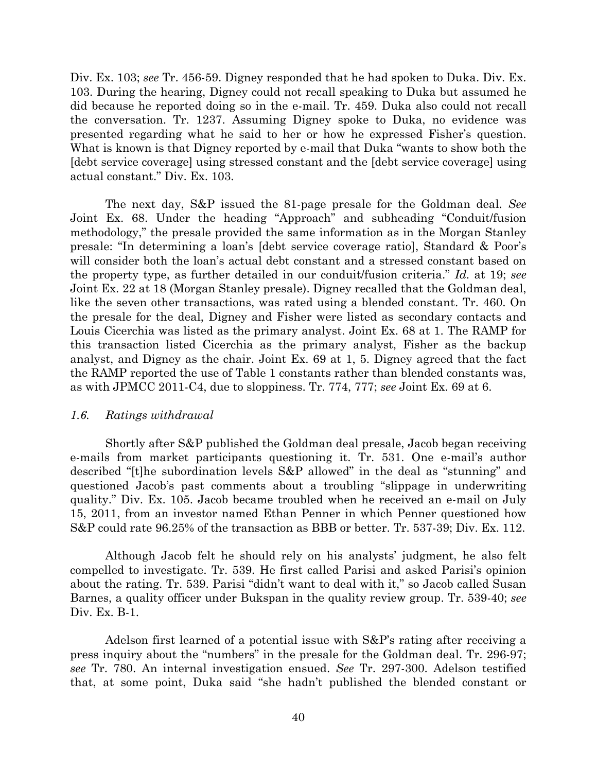Div. Ex. 103; *see* Tr. 456-59. Digney responded that he had spoken to Duka. Div. Ex. 103. During the hearing, Digney could not recall speaking to Duka but assumed he did because he reported doing so in the e-mail. Tr. 459. Duka also could not recall the conversation. Tr. 1237. Assuming Digney spoke to Duka, no evidence was presented regarding what he said to her or how he expressed Fisher's question. What is known is that Digney reported by e-mail that Duka "wants to show both the [debt service coverage] using stressed constant and the [debt service coverage] using actual constant." Div. Ex. 103.

The next day, S&P issued the 81-page presale for the Goldman deal. *See* Joint Ex. 68. Under the heading "Approach" and subheading "Conduit/fusion methodology," the presale provided the same information as in the Morgan Stanley presale: "In determining a loan's [debt service coverage ratio], Standard & Poor's will consider both the loan's actual debt constant and a stressed constant based on the property type, as further detailed in our conduit/fusion criteria." *Id.* at 19; *see* Joint Ex. 22 at 18 (Morgan Stanley presale). Digney recalled that the Goldman deal, like the seven other transactions, was rated using a blended constant. Tr. 460. On the presale for the deal, Digney and Fisher were listed as secondary contacts and Louis Cicerchia was listed as the primary analyst. Joint Ex. 68 at 1. The RAMP for this transaction listed Cicerchia as the primary analyst, Fisher as the backup analyst, and Digney as the chair. Joint Ex. 69 at 1, 5. Digney agreed that the fact the RAMP reported the use of Table 1 constants rather than blended constants was, as with JPMCC 2011-C4, due to sloppiness. Tr. 774, 777; *see* Joint Ex. 69 at 6.

#### *1.6. Ratings withdrawal*

Shortly after S&P published the Goldman deal presale, Jacob began receiving e-mails from market participants questioning it. Tr. 531. One e-mail's author described "[t]he subordination levels S&P allowed" in the deal as "stunning" and questioned Jacob's past comments about a troubling "slippage in underwriting quality." Div. Ex. 105. Jacob became troubled when he received an e-mail on July 15, 2011, from an investor named Ethan Penner in which Penner questioned how S&P could rate 96.25% of the transaction as BBB or better. Tr. 537-39; Div. Ex. 112.

Although Jacob felt he should rely on his analysts' judgment, he also felt compelled to investigate. Tr. 539. He first called Parisi and asked Parisi's opinion about the rating. Tr. 539. Parisi "didn't want to deal with it," so Jacob called Susan Barnes, a quality officer under Bukspan in the quality review group. Tr. 539-40; *see* Div. Ex. B-1.

Adelson first learned of a potential issue with S&P's rating after receiving a press inquiry about the "numbers" in the presale for the Goldman deal. Tr. 296-97; *see* Tr. 780. An internal investigation ensued. *See* Tr. 297-300. Adelson testified that, at some point, Duka said "she hadn't published the blended constant or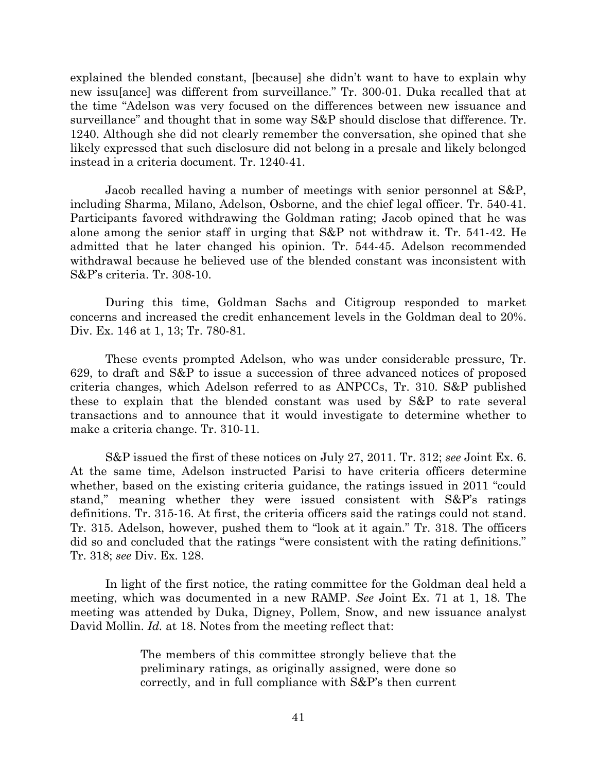explained the blended constant, [because] she didn't want to have to explain why new issu[ance] was different from surveillance." Tr. 300-01. Duka recalled that at the time "Adelson was very focused on the differences between new issuance and surveillance" and thought that in some way S&P should disclose that difference. Tr. 1240. Although she did not clearly remember the conversation, she opined that she likely expressed that such disclosure did not belong in a presale and likely belonged instead in a criteria document. Tr. 1240-41.

Jacob recalled having a number of meetings with senior personnel at S&P, including Sharma, Milano, Adelson, Osborne, and the chief legal officer. Tr. 540-41. Participants favored withdrawing the Goldman rating; Jacob opined that he was alone among the senior staff in urging that S&P not withdraw it. Tr. 541-42. He admitted that he later changed his opinion. Tr. 544-45. Adelson recommended withdrawal because he believed use of the blended constant was inconsistent with S&P's criteria. Tr. 308-10.

During this time, Goldman Sachs and Citigroup responded to market concerns and increased the credit enhancement levels in the Goldman deal to 20%. Div. Ex. 146 at 1, 13; Tr. 780-81.

These events prompted Adelson, who was under considerable pressure, Tr. 629, to draft and S&P to issue a succession of three advanced notices of proposed criteria changes, which Adelson referred to as ANPCCs, Tr. 310. S&P published these to explain that the blended constant was used by S&P to rate several transactions and to announce that it would investigate to determine whether to make a criteria change. Tr. 310-11.

S&P issued the first of these notices on July 27, 2011. Tr. 312; *see* Joint Ex. 6. At the same time, Adelson instructed Parisi to have criteria officers determine whether, based on the existing criteria guidance, the ratings issued in 2011 "could stand," meaning whether they were issued consistent with S&P's ratings definitions. Tr. 315-16. At first, the criteria officers said the ratings could not stand. Tr. 315. Adelson, however, pushed them to "look at it again." Tr. 318. The officers did so and concluded that the ratings "were consistent with the rating definitions." Tr. 318; *see* Div. Ex. 128.

In light of the first notice, the rating committee for the Goldman deal held a meeting, which was documented in a new RAMP. *See* Joint Ex. 71 at 1, 18. The meeting was attended by Duka, Digney, Pollem, Snow, and new issuance analyst David Mollin. *Id.* at 18. Notes from the meeting reflect that:

> The members of this committee strongly believe that the preliminary ratings, as originally assigned, were done so correctly, and in full compliance with S&P's then current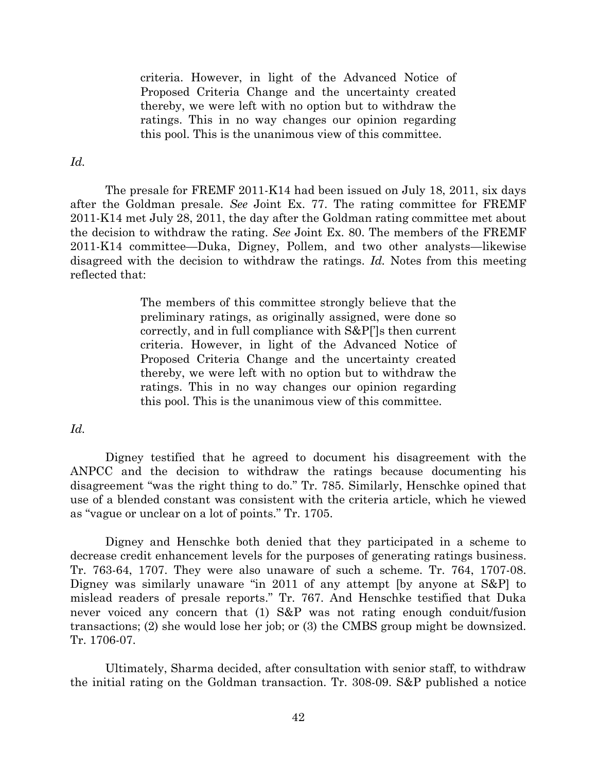criteria. However, in light of the Advanced Notice of Proposed Criteria Change and the uncertainty created thereby, we were left with no option but to withdraw the ratings. This in no way changes our opinion regarding this pool. This is the unanimous view of this committee.

### *Id.*

The presale for FREMF 2011-K14 had been issued on July 18, 2011, six days after the Goldman presale. *See* Joint Ex. 77. The rating committee for FREMF 2011-K14 met July 28, 2011, the day after the Goldman rating committee met about the decision to withdraw the rating. *See* Joint Ex. 80. The members of the FREMF 2011-K14 committee—Duka, Digney, Pollem, and two other analysts—likewise disagreed with the decision to withdraw the ratings. *Id.* Notes from this meeting reflected that:

> The members of this committee strongly believe that the preliminary ratings, as originally assigned, were done so correctly, and in full compliance with S&P[']s then current criteria. However, in light of the Advanced Notice of Proposed Criteria Change and the uncertainty created thereby, we were left with no option but to withdraw the ratings. This in no way changes our opinion regarding this pool. This is the unanimous view of this committee.

## *Id.*

Digney testified that he agreed to document his disagreement with the ANPCC and the decision to withdraw the ratings because documenting his disagreement "was the right thing to do." Tr. 785. Similarly, Henschke opined that use of a blended constant was consistent with the criteria article, which he viewed as "vague or unclear on a lot of points." Tr. 1705.

Digney and Henschke both denied that they participated in a scheme to decrease credit enhancement levels for the purposes of generating ratings business. Tr. 763-64, 1707. They were also unaware of such a scheme. Tr. 764, 1707-08. Digney was similarly unaware "in 2011 of any attempt [by anyone at S&P] to mislead readers of presale reports." Tr. 767. And Henschke testified that Duka never voiced any concern that (1) S&P was not rating enough conduit/fusion transactions; (2) she would lose her job; or (3) the CMBS group might be downsized. Tr. 1706-07.

Ultimately, Sharma decided, after consultation with senior staff, to withdraw the initial rating on the Goldman transaction. Tr. 308-09. S&P published a notice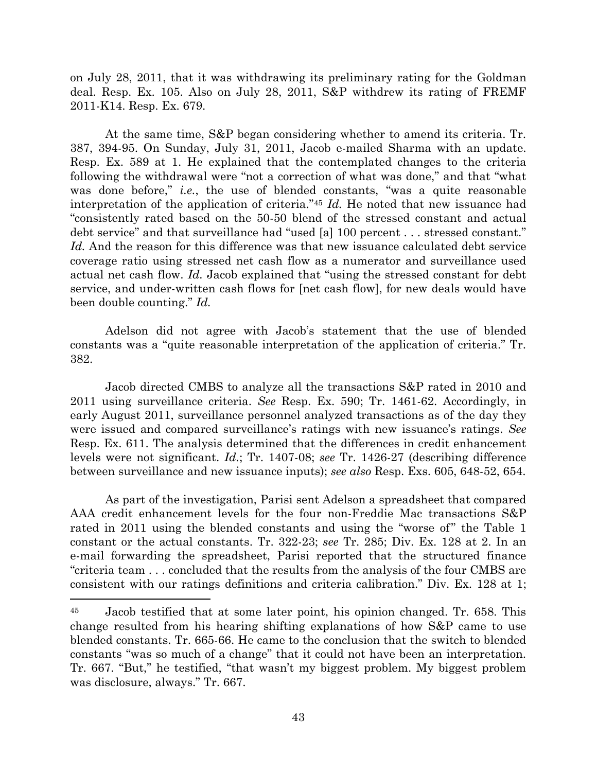on July 28, 2011, that it was withdrawing its preliminary rating for the Goldman deal. Resp. Ex. 105. Also on July 28, 2011, S&P withdrew its rating of FREMF 2011-K14. Resp. Ex. 679.

At the same time, S&P began considering whether to amend its criteria. Tr. 387, 394-95. On Sunday, July 31, 2011, Jacob e-mailed Sharma with an update. Resp. Ex. 589 at 1. He explained that the contemplated changes to the criteria following the withdrawal were "not a correction of what was done," and that "what was done before," *i.e.*, the use of blended constants, "was a quite reasonable interpretation of the application of criteria."<sup>45</sup> *Id.* He noted that new issuance had "consistently rated based on the 50-50 blend of the stressed constant and actual debt service" and that surveillance had "used [a] 100 percent . . . stressed constant." *Id.* And the reason for this difference was that new issuance calculated debt service coverage ratio using stressed net cash flow as a numerator and surveillance used actual net cash flow. *Id.* Jacob explained that "using the stressed constant for debt service, and under-written cash flows for [net cash flow], for new deals would have been double counting." *Id.*

Adelson did not agree with Jacob's statement that the use of blended constants was a "quite reasonable interpretation of the application of criteria." Tr. 382.

Jacob directed CMBS to analyze all the transactions S&P rated in 2010 and 2011 using surveillance criteria. *See* Resp. Ex. 590; Tr. 1461-62. Accordingly, in early August 2011, surveillance personnel analyzed transactions as of the day they were issued and compared surveillance's ratings with new issuance's ratings. *See* Resp. Ex. 611. The analysis determined that the differences in credit enhancement levels were not significant. *Id.*; Tr. 1407-08; *see* Tr. 1426-27 (describing difference between surveillance and new issuance inputs); *see also* Resp. Exs. 605, 648-52, 654.

As part of the investigation, Parisi sent Adelson a spreadsheet that compared AAA credit enhancement levels for the four non-Freddie Mac transactions S&P rated in 2011 using the blended constants and using the "worse of" the Table 1 constant or the actual constants. Tr. 322-23; *see* Tr. 285; Div. Ex. 128 at 2. In an e-mail forwarding the spreadsheet, Parisi reported that the structured finance "criteria team . . . concluded that the results from the analysis of the four CMBS are consistent with our ratings definitions and criteria calibration." Div. Ex. 128 at 1;

<sup>45</sup> Jacob testified that at some later point, his opinion changed. Tr. 658. This change resulted from his hearing shifting explanations of how S&P came to use blended constants. Tr. 665-66. He came to the conclusion that the switch to blended constants "was so much of a change" that it could not have been an interpretation. Tr. 667. "But," he testified, "that wasn't my biggest problem. My biggest problem was disclosure, always." Tr. 667.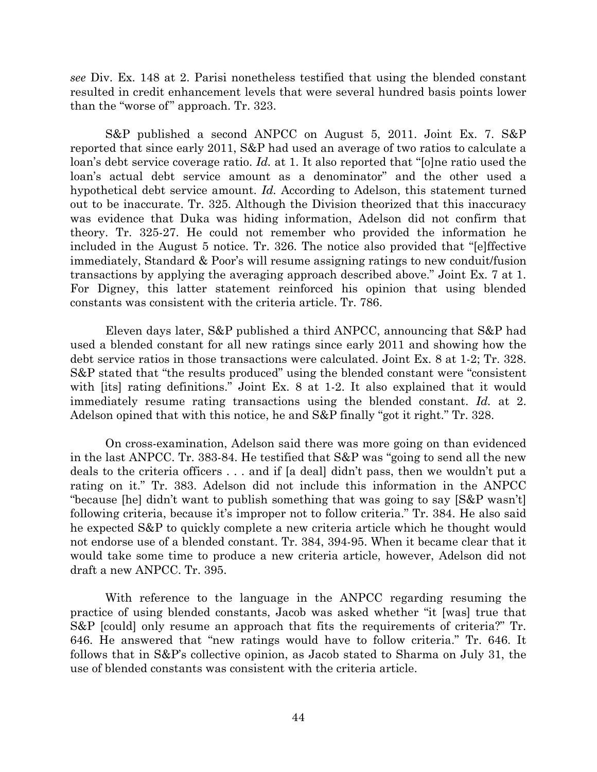*see* Div. Ex. 148 at 2. Parisi nonetheless testified that using the blended constant resulted in credit enhancement levels that were several hundred basis points lower than the "worse of" approach. Tr. 323.

S&P published a second ANPCC on August 5, 2011. Joint Ex. 7. S&P reported that since early 2011, S&P had used an average of two ratios to calculate a loan's debt service coverage ratio. *Id.* at 1. It also reported that "[o]ne ratio used the loan's actual debt service amount as a denominator" and the other used a hypothetical debt service amount. *Id.* According to Adelson, this statement turned out to be inaccurate. Tr. 325. Although the Division theorized that this inaccuracy was evidence that Duka was hiding information, Adelson did not confirm that theory. Tr. 325-27. He could not remember who provided the information he included in the August 5 notice. Tr. 326. The notice also provided that "[e]ffective immediately, Standard & Poor's will resume assigning ratings to new conduit/fusion transactions by applying the averaging approach described above." Joint Ex. 7 at 1. For Digney, this latter statement reinforced his opinion that using blended constants was consistent with the criteria article. Tr. 786.

Eleven days later, S&P published a third ANPCC, announcing that S&P had used a blended constant for all new ratings since early 2011 and showing how the debt service ratios in those transactions were calculated. Joint Ex. 8 at 1-2; Tr. 328. S&P stated that "the results produced" using the blended constant were "consistent with [its] rating definitions." Joint Ex. 8 at 1-2. It also explained that it would immediately resume rating transactions using the blended constant. *Id.* at 2. Adelson opined that with this notice, he and S&P finally "got it right." Tr. 328.

On cross-examination, Adelson said there was more going on than evidenced in the last ANPCC. Tr. 383-84. He testified that S&P was "going to send all the new deals to the criteria officers . . . and if [a deal] didn't pass, then we wouldn't put a rating on it." Tr. 383. Adelson did not include this information in the ANPCC "because [he] didn't want to publish something that was going to say [S&P wasn't] following criteria, because it's improper not to follow criteria." Tr. 384. He also said he expected S&P to quickly complete a new criteria article which he thought would not endorse use of a blended constant. Tr. 384, 394-95. When it became clear that it would take some time to produce a new criteria article, however, Adelson did not draft a new ANPCC. Tr. 395.

With reference to the language in the ANPCC regarding resuming the practice of using blended constants, Jacob was asked whether "it [was] true that S&P [could] only resume an approach that fits the requirements of criteria?" Tr. 646. He answered that "new ratings would have to follow criteria." Tr. 646. It follows that in S&P's collective opinion, as Jacob stated to Sharma on July 31, the use of blended constants was consistent with the criteria article.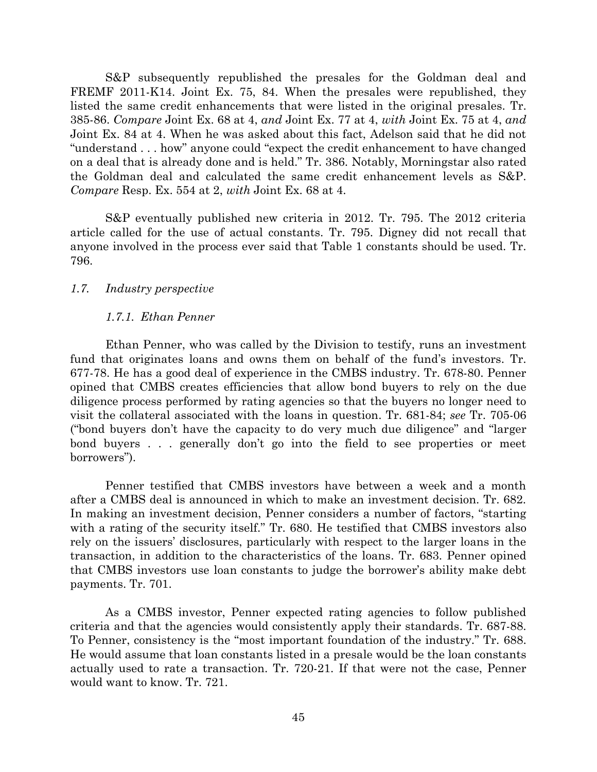S&P subsequently republished the presales for the Goldman deal and FREMF 2011-K14. Joint Ex. 75, 84. When the presales were republished, they listed the same credit enhancements that were listed in the original presales. Tr. 385-86. *Compare* Joint Ex. 68 at 4, *and* Joint Ex. 77 at 4, *with* Joint Ex. 75 at 4, *and* Joint Ex. 84 at 4. When he was asked about this fact, Adelson said that he did not "understand . . . how" anyone could "expect the credit enhancement to have changed on a deal that is already done and is held." Tr. 386. Notably, Morningstar also rated the Goldman deal and calculated the same credit enhancement levels as S&P. *Compare* Resp. Ex. 554 at 2, *with* Joint Ex. 68 at 4.

S&P eventually published new criteria in 2012. Tr. 795. The 2012 criteria article called for the use of actual constants. Tr. 795. Digney did not recall that anyone involved in the process ever said that Table 1 constants should be used. Tr. 796.

### *1.7. Industry perspective*

### *1.7.1. Ethan Penner*

Ethan Penner, who was called by the Division to testify, runs an investment fund that originates loans and owns them on behalf of the fund's investors. Tr. 677-78. He has a good deal of experience in the CMBS industry. Tr. 678-80. Penner opined that CMBS creates efficiencies that allow bond buyers to rely on the due diligence process performed by rating agencies so that the buyers no longer need to visit the collateral associated with the loans in question. Tr. 681-84; *see* Tr. 705-06 ("bond buyers don't have the capacity to do very much due diligence" and "larger bond buyers . . . generally don't go into the field to see properties or meet borrowers").

Penner testified that CMBS investors have between a week and a month after a CMBS deal is announced in which to make an investment decision. Tr. 682. In making an investment decision, Penner considers a number of factors, "starting with a rating of the security itself." Tr. 680. He testified that CMBS investors also rely on the issuers' disclosures, particularly with respect to the larger loans in the transaction, in addition to the characteristics of the loans. Tr. 683. Penner opined that CMBS investors use loan constants to judge the borrower's ability make debt payments. Tr. 701.

As a CMBS investor, Penner expected rating agencies to follow published criteria and that the agencies would consistently apply their standards. Tr. 687-88. To Penner, consistency is the "most important foundation of the industry." Tr. 688. He would assume that loan constants listed in a presale would be the loan constants actually used to rate a transaction. Tr. 720-21. If that were not the case, Penner would want to know. Tr. 721.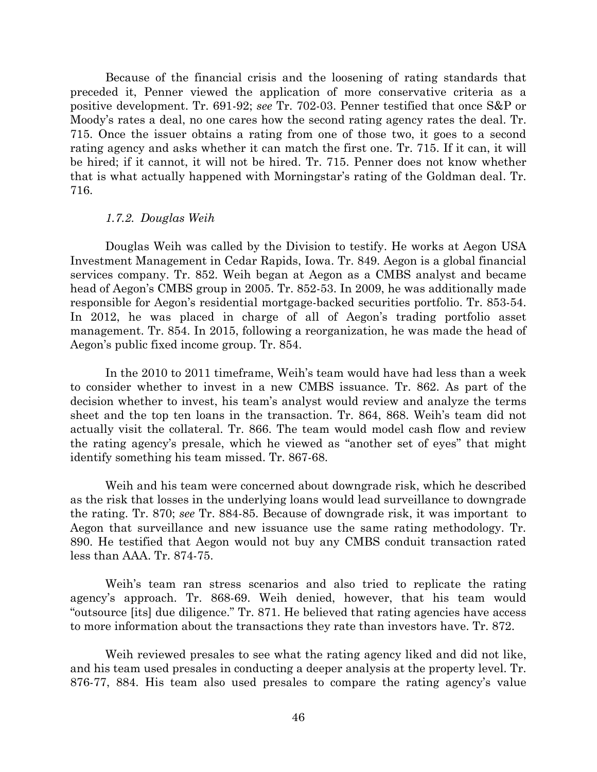Because of the financial crisis and the loosening of rating standards that preceded it, Penner viewed the application of more conservative criteria as a positive development. Tr. 691-92; *see* Tr. 702-03. Penner testified that once S&P or Moody's rates a deal, no one cares how the second rating agency rates the deal. Tr. 715. Once the issuer obtains a rating from one of those two, it goes to a second rating agency and asks whether it can match the first one. Tr. 715. If it can, it will be hired; if it cannot, it will not be hired. Tr. 715. Penner does not know whether that is what actually happened with Morningstar's rating of the Goldman deal. Tr. 716.

#### *1.7.2. Douglas Weih*

Douglas Weih was called by the Division to testify. He works at Aegon USA Investment Management in Cedar Rapids, Iowa. Tr. 849. Aegon is a global financial services company. Tr. 852. Weih began at Aegon as a CMBS analyst and became head of Aegon's CMBS group in 2005. Tr. 852-53. In 2009, he was additionally made responsible for Aegon's residential mortgage-backed securities portfolio. Tr. 853-54. In 2012, he was placed in charge of all of Aegon's trading portfolio asset management. Tr. 854. In 2015, following a reorganization, he was made the head of Aegon's public fixed income group. Tr. 854.

In the 2010 to 2011 timeframe, Weih's team would have had less than a week to consider whether to invest in a new CMBS issuance. Tr. 862. As part of the decision whether to invest, his team's analyst would review and analyze the terms sheet and the top ten loans in the transaction. Tr. 864, 868. Weih's team did not actually visit the collateral. Tr. 866. The team would model cash flow and review the rating agency's presale, which he viewed as "another set of eyes" that might identify something his team missed. Tr. 867-68.

Weih and his team were concerned about downgrade risk, which he described as the risk that losses in the underlying loans would lead surveillance to downgrade the rating. Tr. 870; *see* Tr. 884-85. Because of downgrade risk, it was important to Aegon that surveillance and new issuance use the same rating methodology. Tr. 890. He testified that Aegon would not buy any CMBS conduit transaction rated less than AAA. Tr. 874-75.

Weih's team ran stress scenarios and also tried to replicate the rating agency's approach. Tr. 868-69. Weih denied, however, that his team would "outsource [its] due diligence." Tr. 871. He believed that rating agencies have access to more information about the transactions they rate than investors have. Tr. 872.

Weih reviewed presales to see what the rating agency liked and did not like, and his team used presales in conducting a deeper analysis at the property level. Tr. 876-77, 884. His team also used presales to compare the rating agency's value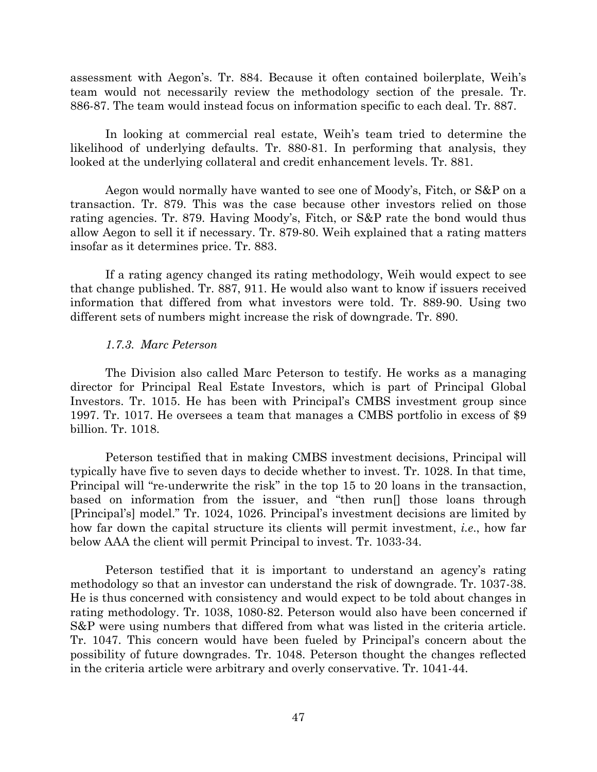assessment with Aegon's. Tr. 884. Because it often contained boilerplate, Weih's team would not necessarily review the methodology section of the presale. Tr. 886-87. The team would instead focus on information specific to each deal. Tr. 887.

In looking at commercial real estate, Weih's team tried to determine the likelihood of underlying defaults. Tr. 880-81. In performing that analysis, they looked at the underlying collateral and credit enhancement levels. Tr. 881.

Aegon would normally have wanted to see one of Moody's, Fitch, or S&P on a transaction. Tr. 879. This was the case because other investors relied on those rating agencies. Tr. 879. Having Moody's, Fitch, or S&P rate the bond would thus allow Aegon to sell it if necessary. Tr. 879-80. Weih explained that a rating matters insofar as it determines price. Tr. 883.

If a rating agency changed its rating methodology, Weih would expect to see that change published. Tr. 887, 911. He would also want to know if issuers received information that differed from what investors were told. Tr. 889-90. Using two different sets of numbers might increase the risk of downgrade. Tr. 890.

#### *1.7.3. Marc Peterson*

The Division also called Marc Peterson to testify. He works as a managing director for Principal Real Estate Investors, which is part of Principal Global Investors. Tr. 1015. He has been with Principal's CMBS investment group since 1997. Tr. 1017. He oversees a team that manages a CMBS portfolio in excess of \$9 billion. Tr. 1018.

Peterson testified that in making CMBS investment decisions, Principal will typically have five to seven days to decide whether to invest. Tr. 1028. In that time, Principal will "re-underwrite the risk" in the top 15 to 20 loans in the transaction, based on information from the issuer, and "then run[] those loans through [Principal's] model." Tr. 1024, 1026. Principal's investment decisions are limited by how far down the capital structure its clients will permit investment, *i.e*., how far below AAA the client will permit Principal to invest. Tr. 1033-34.

Peterson testified that it is important to understand an agency's rating methodology so that an investor can understand the risk of downgrade. Tr. 1037-38. He is thus concerned with consistency and would expect to be told about changes in rating methodology. Tr. 1038, 1080-82. Peterson would also have been concerned if S&P were using numbers that differed from what was listed in the criteria article. Tr. 1047. This concern would have been fueled by Principal's concern about the possibility of future downgrades. Tr. 1048. Peterson thought the changes reflected in the criteria article were arbitrary and overly conservative. Tr. 1041-44.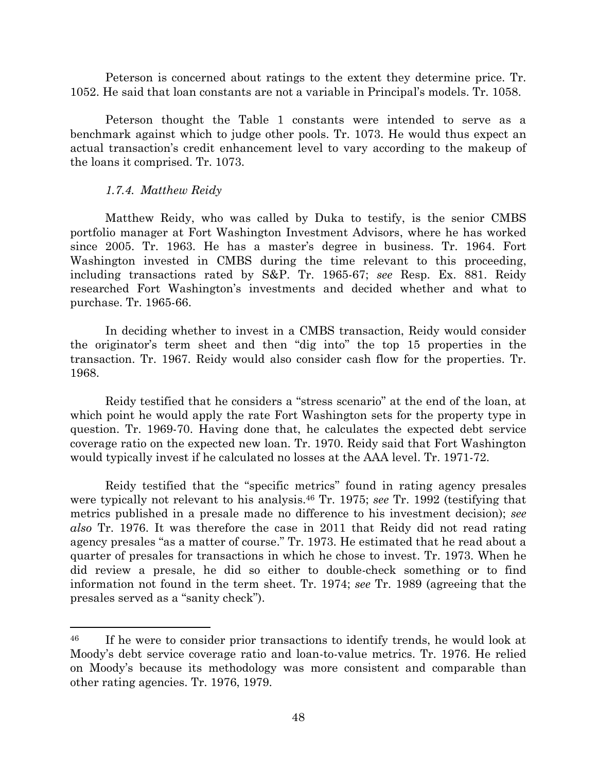Peterson is concerned about ratings to the extent they determine price. Tr. 1052. He said that loan constants are not a variable in Principal's models. Tr. 1058.

Peterson thought the Table 1 constants were intended to serve as a benchmark against which to judge other pools. Tr. 1073. He would thus expect an actual transaction's credit enhancement level to vary according to the makeup of the loans it comprised. Tr. 1073.

#### *1.7.4. Matthew Reidy*

 $\overline{\phantom{a}}$ 

Matthew Reidy, who was called by Duka to testify, is the senior CMBS portfolio manager at Fort Washington Investment Advisors, where he has worked since 2005. Tr. 1963. He has a master's degree in business. Tr. 1964. Fort Washington invested in CMBS during the time relevant to this proceeding, including transactions rated by S&P. Tr. 1965-67; *see* Resp. Ex. 881. Reidy researched Fort Washington's investments and decided whether and what to purchase. Tr. 1965-66.

In deciding whether to invest in a CMBS transaction, Reidy would consider the originator's term sheet and then "dig into" the top 15 properties in the transaction. Tr. 1967. Reidy would also consider cash flow for the properties. Tr. 1968.

Reidy testified that he considers a "stress scenario" at the end of the loan, at which point he would apply the rate Fort Washington sets for the property type in question. Tr. 1969-70. Having done that, he calculates the expected debt service coverage ratio on the expected new loan. Tr. 1970. Reidy said that Fort Washington would typically invest if he calculated no losses at the AAA level. Tr. 1971-72.

Reidy testified that the "specific metrics" found in rating agency presales were typically not relevant to his analysis.<sup>46</sup> Tr. 1975; *see* Tr. 1992 (testifying that metrics published in a presale made no difference to his investment decision); *see also* Tr. 1976. It was therefore the case in 2011 that Reidy did not read rating agency presales "as a matter of course." Tr. 1973. He estimated that he read about a quarter of presales for transactions in which he chose to invest. Tr. 1973. When he did review a presale, he did so either to double-check something or to find information not found in the term sheet. Tr. 1974; *see* Tr. 1989 (agreeing that the presales served as a "sanity check").

<sup>&</sup>lt;sup>46</sup> If he were to consider prior transactions to identify trends, he would look at Moody's debt service coverage ratio and loan-to-value metrics. Tr. 1976. He relied on Moody's because its methodology was more consistent and comparable than other rating agencies. Tr. 1976, 1979.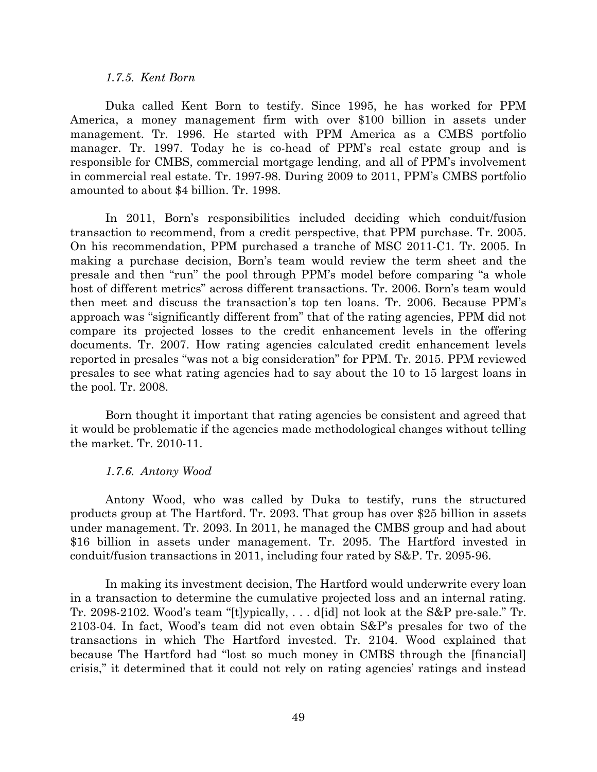#### *1.7.5. Kent Born*

Duka called Kent Born to testify. Since 1995, he has worked for PPM America, a money management firm with over \$100 billion in assets under management. Tr. 1996. He started with PPM America as a CMBS portfolio manager. Tr. 1997. Today he is co-head of PPM's real estate group and is responsible for CMBS, commercial mortgage lending, and all of PPM's involvement in commercial real estate. Tr. 1997-98. During 2009 to 2011, PPM's CMBS portfolio amounted to about \$4 billion. Tr. 1998.

In 2011, Born's responsibilities included deciding which conduit/fusion transaction to recommend, from a credit perspective, that PPM purchase. Tr. 2005. On his recommendation, PPM purchased a tranche of MSC 2011-C1. Tr. 2005. In making a purchase decision, Born's team would review the term sheet and the presale and then "run" the pool through PPM's model before comparing "a whole host of different metrics" across different transactions. Tr. 2006. Born's team would then meet and discuss the transaction's top ten loans. Tr. 2006. Because PPM's approach was "significantly different from" that of the rating agencies, PPM did not compare its projected losses to the credit enhancement levels in the offering documents. Tr. 2007. How rating agencies calculated credit enhancement levels reported in presales "was not a big consideration" for PPM. Tr. 2015. PPM reviewed presales to see what rating agencies had to say about the 10 to 15 largest loans in the pool. Tr. 2008.

Born thought it important that rating agencies be consistent and agreed that it would be problematic if the agencies made methodological changes without telling the market. Tr. 2010-11.

#### *1.7.6. Antony Wood*

Antony Wood, who was called by Duka to testify, runs the structured products group at The Hartford. Tr. 2093. That group has over \$25 billion in assets under management. Tr. 2093. In 2011, he managed the CMBS group and had about \$16 billion in assets under management. Tr. 2095. The Hartford invested in conduit/fusion transactions in 2011, including four rated by S&P. Tr. 2095-96.

In making its investment decision, The Hartford would underwrite every loan in a transaction to determine the cumulative projected loss and an internal rating. Tr. 2098-2102. Wood's team "[t]ypically, . . . d[id] not look at the S&P pre-sale." Tr. 2103-04. In fact, Wood's team did not even obtain S&P's presales for two of the transactions in which The Hartford invested. Tr. 2104. Wood explained that because The Hartford had "lost so much money in CMBS through the [financial] crisis," it determined that it could not rely on rating agencies' ratings and instead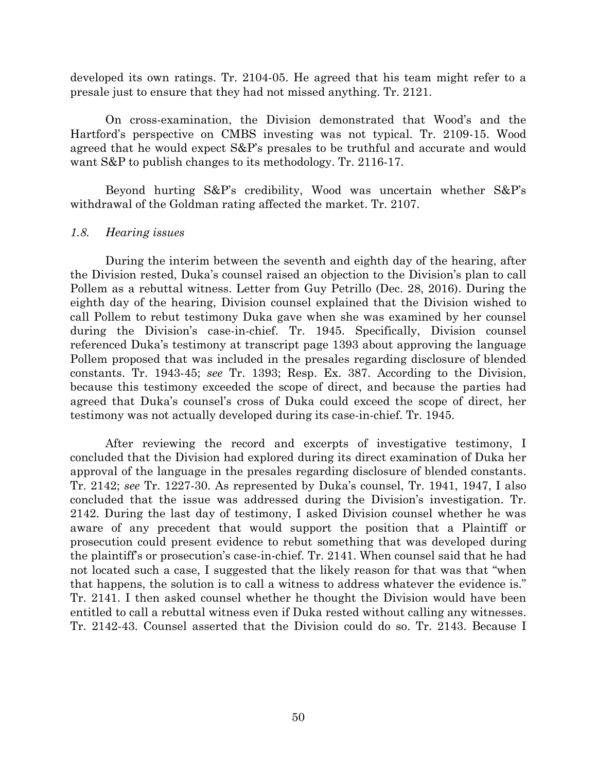developed its own ratings. Tr. 2104-05. He agreed that his team might refer to a presale just to ensure that they had not missed anything. Tr. 2121.

On cross-examination, the Division demonstrated that Wood's and the Hartford's perspective on CMBS investing was not typical. Tr. 2109-15. Wood agreed that he would expect S&P's presales to be truthful and accurate and would want S&P to publish changes to its methodology. Tr. 2116-17.

Beyond hurting S&P's credibility, Wood was uncertain whether S&P's withdrawal of the Goldman rating affected the market. Tr. 2107.

#### *1.8. Hearing issues*

During the interim between the seventh and eighth day of the hearing, after the Division rested, Duka's counsel raised an objection to the Division's plan to call Pollem as a rebuttal witness. Letter from Guy Petrillo (Dec. 28, 2016). During the eighth day of the hearing, Division counsel explained that the Division wished to call Pollem to rebut testimony Duka gave when she was examined by her counsel during the Division's case-in-chief. Tr. 1945. Specifically, Division counsel referenced Duka's testimony at transcript page 1393 about approving the language Pollem proposed that was included in the presales regarding disclosure of blended constants. Tr. 1943-45; *see* Tr. 1393; Resp. Ex. 387. According to the Division, because this testimony exceeded the scope of direct, and because the parties had agreed that Duka's counsel's cross of Duka could exceed the scope of direct, her testimony was not actually developed during its case-in-chief. Tr. 1945.

After reviewing the record and excerpts of investigative testimony, I concluded that the Division had explored during its direct examination of Duka her approval of the language in the presales regarding disclosure of blended constants. Tr. 2142; *see* Tr. 1227-30. As represented by Duka's counsel, Tr. 1941, 1947, I also concluded that the issue was addressed during the Division's investigation. Tr. 2142. During the last day of testimony, I asked Division counsel whether he was aware of any precedent that would support the position that a Plaintiff or prosecution could present evidence to rebut something that was developed during the plaintiff's or prosecution's case-in-chief. Tr. 2141. When counsel said that he had not located such a case, I suggested that the likely reason for that was that "when that happens, the solution is to call a witness to address whatever the evidence is." Tr. 2141. I then asked counsel whether he thought the Division would have been entitled to call a rebuttal witness even if Duka rested without calling any witnesses. Tr. 2142-43. Counsel asserted that the Division could do so. Tr. 2143. Because I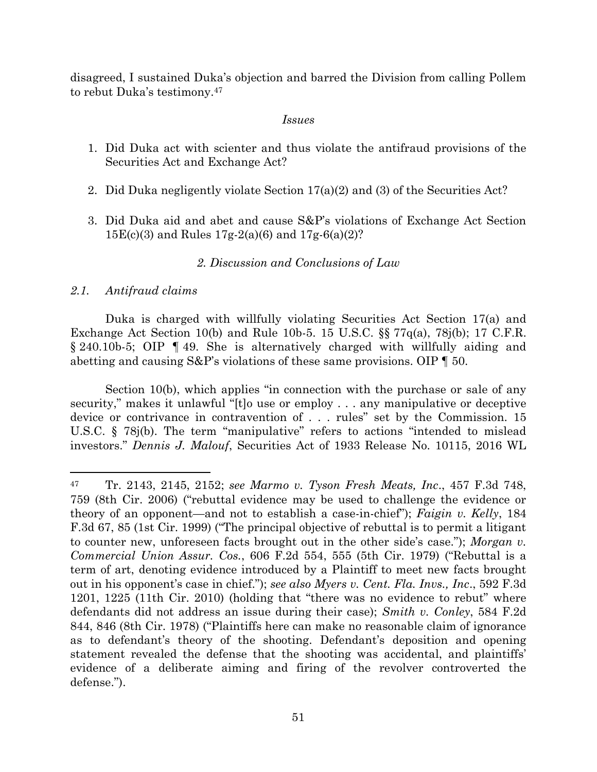disagreed, I sustained Duka's objection and barred the Division from calling Pollem to rebut Duka's testimony.<sup>47</sup>

## *Issues*

- 1. Did Duka act with scienter and thus violate the antifraud provisions of the Securities Act and Exchange Act?
- 2. Did Duka negligently violate Section 17(a)(2) and (3) of the Securities Act?
- 3. Did Duka aid and abet and cause S&P's violations of Exchange Act Section  $15E(c)(3)$  and Rules  $17g-2(a)(6)$  and  $17g-6(a)(2)$ ?

# *2. Discussion and Conclusions of Law*

## *2.1. Antifraud claims*

 $\overline{\phantom{a}}$ 

Duka is charged with willfully violating Securities Act Section 17(a) and Exchange Act Section 10(b) and Rule 10b-5. 15 U.S.C. §§ 77q(a), 78j(b); 17 C.F.R. § 240.10b-5; OIP ¶ 49. She is alternatively charged with willfully aiding and abetting and causing  $S\&P$ 's violations of these same provisions. OIP  $\P$  50.

Section 10(b), which applies "in connection with the purchase or sale of any security," makes it unlawful "[t]o use or employ . . . any manipulative or deceptive device or contrivance in contravention of . . . rules" set by the Commission. 15 U.S.C. § 78j(b). The term "manipulative" refers to actions "intended to mislead investors." *Dennis J. Malouf*, Securities Act of 1933 Release No. 10115, 2016 WL

<sup>47</sup> Tr. 2143, 2145, 2152; *see Marmo v. Tyson Fresh Meats, Inc*., 457 F.3d 748, 759 (8th Cir. 2006) ("rebuttal evidence may be used to challenge the evidence or theory of an opponent—and not to establish a case-in-chief"); *Faigin v. Kelly*, 184 F.3d 67, 85 (1st Cir. 1999) ("The principal objective of rebuttal is to permit a litigant to counter new, unforeseen facts brought out in the other side's case."); *Morgan v. Commercial Union Assur. Cos.*, 606 F.2d 554, 555 (5th Cir. 1979) ("Rebuttal is a term of art, denoting evidence introduced by a Plaintiff to meet new facts brought out in his opponent's case in chief."); *see also Myers v. Cent. Fla. Invs., Inc*., 592 F.3d 1201, 1225 (11th Cir. 2010) (holding that "there was no evidence to rebut" where defendants did not address an issue during their case); *Smith v. Conley*, 584 F.2d 844, 846 (8th Cir. 1978) ("Plaintiffs here can make no reasonable claim of ignorance as to defendant's theory of the shooting. Defendant's deposition and opening statement revealed the defense that the shooting was accidental, and plaintiffs' evidence of a deliberate aiming and firing of the revolver controverted the defense.").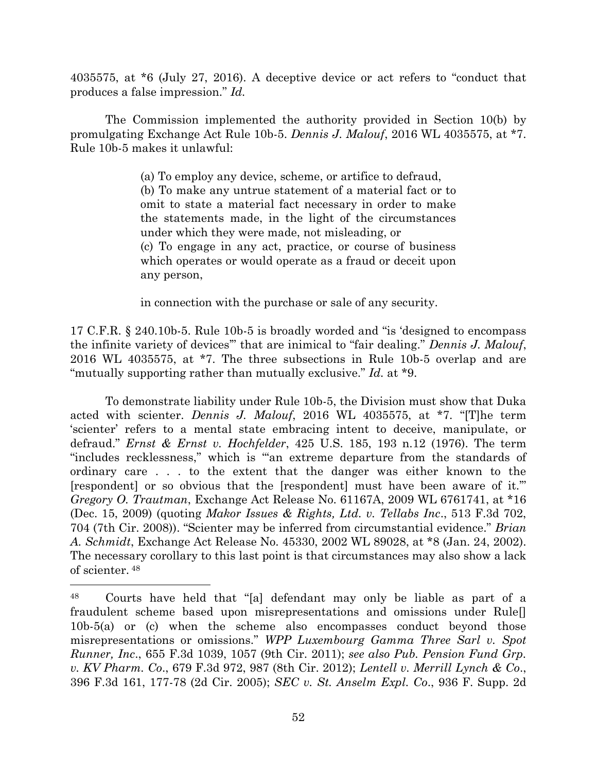4035575, at \*6 (July 27, 2016). A deceptive device or act refers to "conduct that produces a false impression." *Id.*

The Commission implemented the authority provided in Section 10(b) by promulgating Exchange Act Rule 10b-5. *Dennis J. Malouf*, 2016 WL 4035575, at \*7. Rule 10b-5 makes it unlawful:

> (a) To employ any device, scheme, or artifice to defraud, (b) To make any untrue statement of a material fact or to omit to state a material fact necessary in order to make the statements made, in the light of the circumstances under which they were made, not misleading, or (c) To engage in any act, practice, or course of business which operates or would operate as a fraud or deceit upon any person,

in connection with the purchase or sale of any security.

17 C.F.R. § 240.10b-5. Rule 10b-5 is broadly worded and "is 'designed to encompass the infinite variety of devices'" that are inimical to "fair dealing." *Dennis J. Malouf*, 2016 WL 4035575, at \*7. The three subsections in Rule 10b-5 overlap and are "mutually supporting rather than mutually exclusive." *Id.* at \*9.

To demonstrate liability under Rule 10b-5, the Division must show that Duka acted with scienter. *Dennis J. Malouf*, 2016 WL 4035575, at \*7. "[T]he term 'scienter' refers to a mental state embracing intent to deceive, manipulate, or defraud." *Ernst & Ernst v. Hochfelder*, 425 U.S. 185, 193 n.12 (1976). The term "includes recklessness," which is "'an extreme departure from the standards of ordinary care . . . to the extent that the danger was either known to the [respondent] or so obvious that the [respondent] must have been aware of it.'" *Gregory O. Trautman*, Exchange Act Release No. 61167A, 2009 WL 6761741, at \*16 (Dec. 15, 2009) (quoting *Makor Issues & Rights, Ltd. v. Tellabs Inc*., 513 F.3d 702, 704 (7th Cir. 2008)). "Scienter may be inferred from circumstantial evidence." *Brian A. Schmidt*, Exchange Act Release No. 45330, 2002 WL 89028, at \*8 (Jan. 24, 2002). The necessary corollary to this last point is that circumstances may also show a lack of scienter. <sup>48</sup>

<sup>48</sup> Courts have held that "[a] defendant may only be liable as part of a fraudulent scheme based upon misrepresentations and omissions under Rule[] 10b-5(a) or (c) when the scheme also encompasses conduct beyond those misrepresentations or omissions." *WPP Luxembourg Gamma Three Sarl v. Spot Runner, Inc*., 655 F.3d 1039, 1057 (9th Cir. 2011); *see also Pub. Pension Fund Grp. v. KV Pharm. Co*., 679 F.3d 972, 987 (8th Cir. 2012); *Lentell v. Merrill Lynch & Co*., 396 F.3d 161, 177-78 (2d Cir. 2005); *SEC v. St. Anselm Expl. Co*., 936 F. Supp. 2d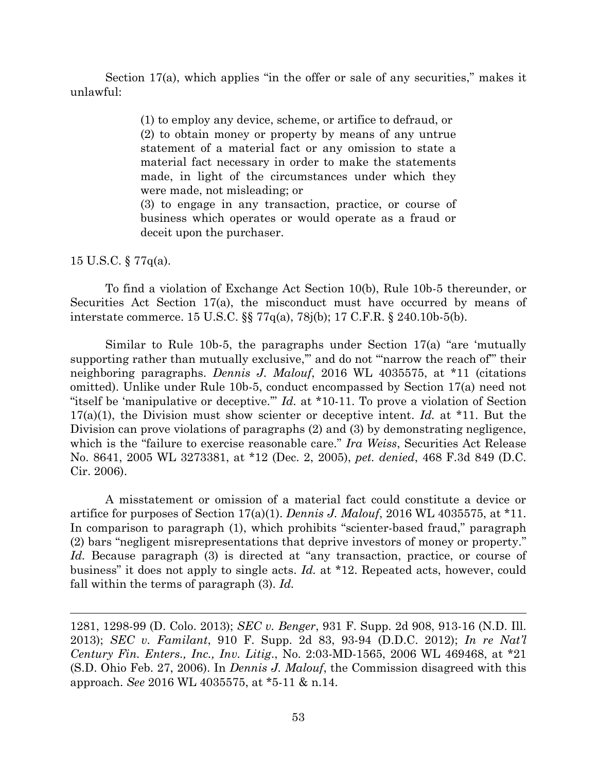Section 17(a), which applies "in the offer or sale of any securities," makes it unlawful:

> (1) to employ any device, scheme, or artifice to defraud, or (2) to obtain money or property by means of any untrue statement of a material fact or any omission to state a material fact necessary in order to make the statements made, in light of the circumstances under which they were made, not misleading; or

> (3) to engage in any transaction, practice, or course of business which operates or would operate as a fraud or deceit upon the purchaser.

15 U.S.C. § 77q(a).

l

To find a violation of Exchange Act Section 10(b), Rule 10b-5 thereunder, or Securities Act Section 17(a), the misconduct must have occurred by means of interstate commerce. 15 U.S.C. §§ 77q(a), 78j(b); 17 C.F.R. § 240.10b-5(b).

Similar to Rule 10b-5, the paragraphs under Section 17(a) "are 'mutually supporting rather than mutually exclusive," and do not "narrow the reach of" their neighboring paragraphs. *Dennis J. Malouf*, 2016 WL 4035575, at \*11 (citations omitted). Unlike under Rule 10b-5, conduct encompassed by Section 17(a) need not "itself be 'manipulative or deceptive."" *Id.* at \*10-11. To prove a violation of Section 17(a)(1), the Division must show scienter or deceptive intent. *Id.* at \*11. But the Division can prove violations of paragraphs (2) and (3) by demonstrating negligence, which is the "failure to exercise reasonable care." *Ira Weiss*, Securities Act Release No. 8641, 2005 WL 3273381, at \*12 (Dec. 2, 2005), *pet. denied*, 468 F.3d 849 (D.C. Cir. 2006).

A misstatement or omission of a material fact could constitute a device or artifice for purposes of Section 17(a)(1). *Dennis J. Malouf*, 2016 WL 4035575, at \*11. In comparison to paragraph (1), which prohibits "scienter-based fraud," paragraph (2) bars "negligent misrepresentations that deprive investors of money or property." *Id.* Because paragraph (3) is directed at "any transaction, practice, or course of business" it does not apply to single acts. *Id.* at \*12. Repeated acts, however, could fall within the terms of paragraph (3). *Id.*

<sup>1281, 1298-99 (</sup>D. Colo. 2013); *SEC v. Benger*, 931 F. Supp. 2d 908, 913-16 (N.D. Ill. 2013); *SEC v. Familant*, 910 F. Supp. 2d 83, 93-94 (D.D.C. 2012); *In re Nat'l Century Fin. Enters., Inc., Inv. Litig*., No. 2:03-MD-1565, 2006 WL 469468, at \*21 (S.D. Ohio Feb. 27, 2006). In *Dennis J. Malouf*, the Commission disagreed with this approach. *See* 2016 WL 4035575, at \*5-11 & n.14.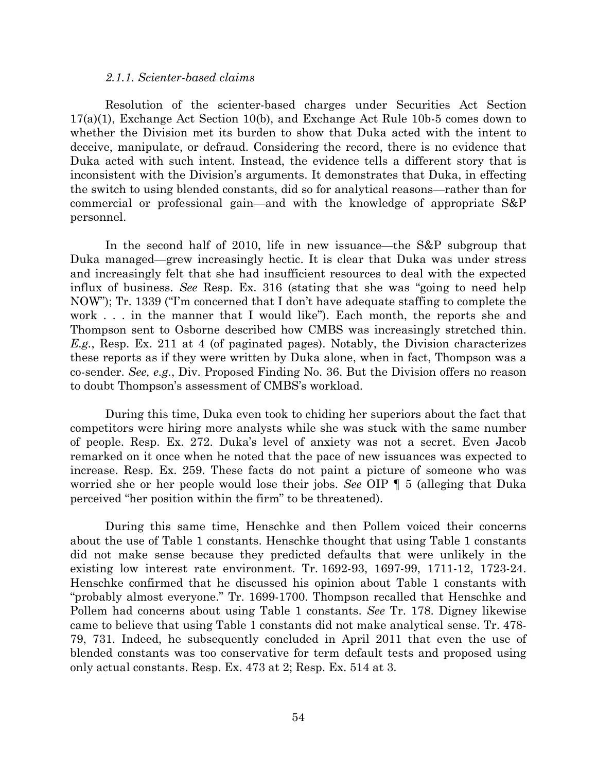#### *2.1.1. Scienter-based claims*

Resolution of the scienter-based charges under Securities Act Section 17(a)(1), Exchange Act Section 10(b), and Exchange Act Rule 10b-5 comes down to whether the Division met its burden to show that Duka acted with the intent to deceive, manipulate, or defraud. Considering the record, there is no evidence that Duka acted with such intent. Instead, the evidence tells a different story that is inconsistent with the Division's arguments. It demonstrates that Duka, in effecting the switch to using blended constants, did so for analytical reasons—rather than for commercial or professional gain—and with the knowledge of appropriate S&P personnel.

In the second half of 2010, life in new issuance—the S&P subgroup that Duka managed—grew increasingly hectic. It is clear that Duka was under stress and increasingly felt that she had insufficient resources to deal with the expected influx of business. *See* Resp. Ex. 316 (stating that she was "going to need help NOW"); Tr. 1339 ("I'm concerned that I don't have adequate staffing to complete the work . . . in the manner that I would like"). Each month, the reports she and Thompson sent to Osborne described how CMBS was increasingly stretched thin. *E.g.*, Resp. Ex. 211 at 4 (of paginated pages). Notably, the Division characterizes these reports as if they were written by Duka alone, when in fact, Thompson was a co-sender. *See, e.g.*, Div. Proposed Finding No. 36. But the Division offers no reason to doubt Thompson's assessment of CMBS's workload.

During this time, Duka even took to chiding her superiors about the fact that competitors were hiring more analysts while she was stuck with the same number of people. Resp. Ex. 272. Duka's level of anxiety was not a secret. Even Jacob remarked on it once when he noted that the pace of new issuances was expected to increase. Resp. Ex. 259. These facts do not paint a picture of someone who was worried she or her people would lose their jobs. *See* OIP ¶ 5 (alleging that Duka perceived "her position within the firm" to be threatened).

During this same time, Henschke and then Pollem voiced their concerns about the use of Table 1 constants. Henschke thought that using Table 1 constants did not make sense because they predicted defaults that were unlikely in the existing low interest rate environment. Tr. 1692-93, 1697-99, 1711-12, 1723-24. Henschke confirmed that he discussed his opinion about Table 1 constants with "probably almost everyone." Tr. 1699-1700. Thompson recalled that Henschke and Pollem had concerns about using Table 1 constants. *See* Tr. 178. Digney likewise came to believe that using Table 1 constants did not make analytical sense. Tr. 478- 79, 731. Indeed, he subsequently concluded in April 2011 that even the use of blended constants was too conservative for term default tests and proposed using only actual constants. Resp. Ex. 473 at 2; Resp. Ex. 514 at 3.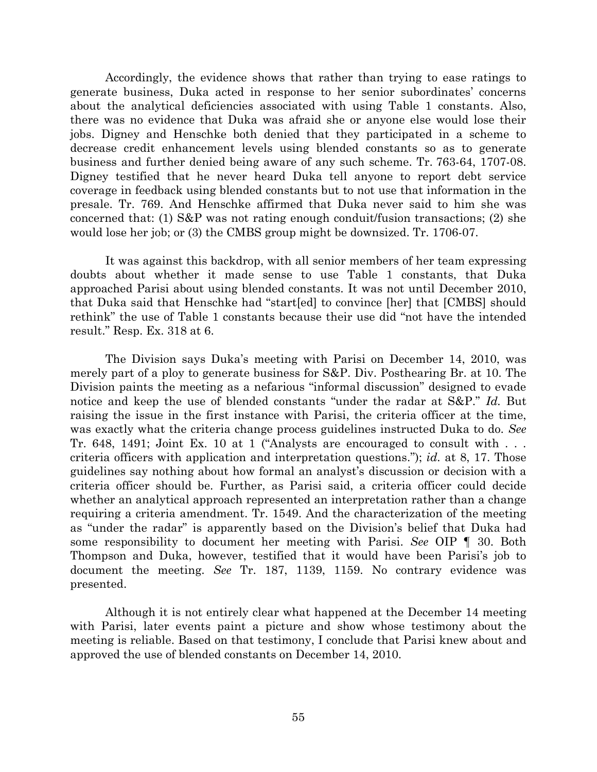Accordingly, the evidence shows that rather than trying to ease ratings to generate business, Duka acted in response to her senior subordinates' concerns about the analytical deficiencies associated with using Table 1 constants. Also, there was no evidence that Duka was afraid she or anyone else would lose their jobs. Digney and Henschke both denied that they participated in a scheme to decrease credit enhancement levels using blended constants so as to generate business and further denied being aware of any such scheme. Tr. 763-64, 1707-08. Digney testified that he never heard Duka tell anyone to report debt service coverage in feedback using blended constants but to not use that information in the presale. Tr. 769. And Henschke affirmed that Duka never said to him she was concerned that: (1)  $S\&P$  was not rating enough conduit/fusion transactions; (2) she would lose her job; or (3) the CMBS group might be downsized. Tr. 1706-07.

It was against this backdrop, with all senior members of her team expressing doubts about whether it made sense to use Table 1 constants, that Duka approached Parisi about using blended constants. It was not until December 2010, that Duka said that Henschke had "start[ed] to convince [her] that [CMBS] should rethink" the use of Table 1 constants because their use did "not have the intended result." Resp. Ex. 318 at 6.

The Division says Duka's meeting with Parisi on December 14, 2010, was merely part of a ploy to generate business for S&P. Div. Posthearing Br. at 10. The Division paints the meeting as a nefarious "informal discussion" designed to evade notice and keep the use of blended constants "under the radar at S&P." *Id.* But raising the issue in the first instance with Parisi, the criteria officer at the time, was exactly what the criteria change process guidelines instructed Duka to do. *See* Tr. 648, 1491; Joint Ex. 10 at 1 ("Analysts are encouraged to consult with . . . criteria officers with application and interpretation questions."); *id.* at 8, 17. Those guidelines say nothing about how formal an analyst's discussion or decision with a criteria officer should be. Further, as Parisi said, a criteria officer could decide whether an analytical approach represented an interpretation rather than a change requiring a criteria amendment. Tr. 1549. And the characterization of the meeting as "under the radar" is apparently based on the Division's belief that Duka had some responsibility to document her meeting with Parisi. *See* OIP ¶ 30. Both Thompson and Duka, however, testified that it would have been Parisi's job to document the meeting. *See* Tr. 187, 1139, 1159. No contrary evidence was presented.

Although it is not entirely clear what happened at the December 14 meeting with Parisi, later events paint a picture and show whose testimony about the meeting is reliable. Based on that testimony, I conclude that Parisi knew about and approved the use of blended constants on December 14, 2010.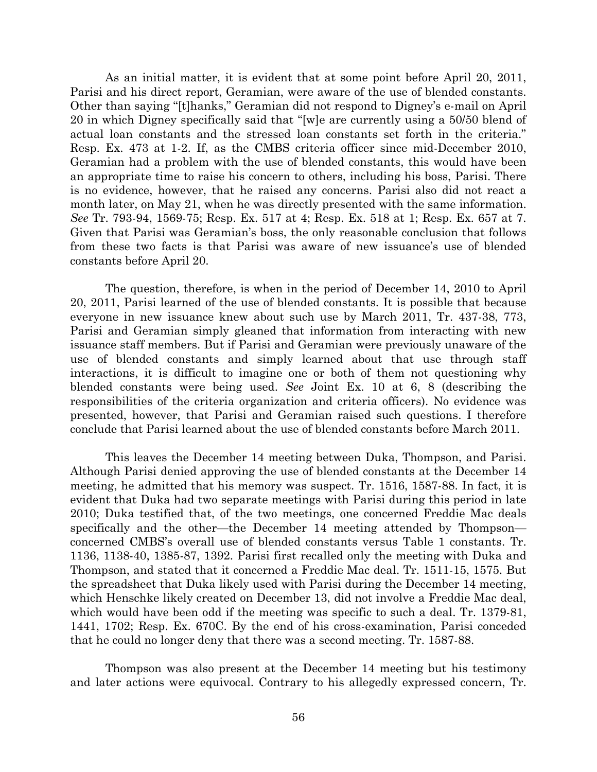As an initial matter, it is evident that at some point before April 20, 2011, Parisi and his direct report, Geramian, were aware of the use of blended constants. Other than saying "[t]hanks," Geramian did not respond to Digney's e-mail on April 20 in which Digney specifically said that "[w]e are currently using a 50/50 blend of actual loan constants and the stressed loan constants set forth in the criteria." Resp. Ex. 473 at 1-2. If, as the CMBS criteria officer since mid-December 2010, Geramian had a problem with the use of blended constants, this would have been an appropriate time to raise his concern to others, including his boss, Parisi. There is no evidence, however, that he raised any concerns. Parisi also did not react a month later, on May 21, when he was directly presented with the same information. *See* Tr. 793-94, 1569-75; Resp. Ex. 517 at 4; Resp. Ex. 518 at 1; Resp. Ex. 657 at 7. Given that Parisi was Geramian's boss, the only reasonable conclusion that follows from these two facts is that Parisi was aware of new issuance's use of blended constants before April 20.

The question, therefore, is when in the period of December 14, 2010 to April 20, 2011, Parisi learned of the use of blended constants. It is possible that because everyone in new issuance knew about such use by March 2011, Tr. 437-38, 773, Parisi and Geramian simply gleaned that information from interacting with new issuance staff members. But if Parisi and Geramian were previously unaware of the use of blended constants and simply learned about that use through staff interactions, it is difficult to imagine one or both of them not questioning why blended constants were being used. *See* Joint Ex. 10 at 6, 8 (describing the responsibilities of the criteria organization and criteria officers). No evidence was presented, however, that Parisi and Geramian raised such questions. I therefore conclude that Parisi learned about the use of blended constants before March 2011.

This leaves the December 14 meeting between Duka, Thompson, and Parisi. Although Parisi denied approving the use of blended constants at the December 14 meeting, he admitted that his memory was suspect. Tr. 1516, 1587-88. In fact, it is evident that Duka had two separate meetings with Parisi during this period in late 2010; Duka testified that, of the two meetings, one concerned Freddie Mac deals specifically and the other—the December 14 meeting attended by Thompson concerned CMBS's overall use of blended constants versus Table 1 constants. Tr. 1136, 1138-40, 1385-87, 1392. Parisi first recalled only the meeting with Duka and Thompson, and stated that it concerned a Freddie Mac deal. Tr. 1511-15, 1575. But the spreadsheet that Duka likely used with Parisi during the December 14 meeting, which Henschke likely created on December 13, did not involve a Freddie Mac deal, which would have been odd if the meeting was specific to such a deal. Tr. 1379-81, 1441, 1702; Resp. Ex. 670C. By the end of his cross-examination, Parisi conceded that he could no longer deny that there was a second meeting. Tr. 1587-88.

Thompson was also present at the December 14 meeting but his testimony and later actions were equivocal. Contrary to his allegedly expressed concern, Tr.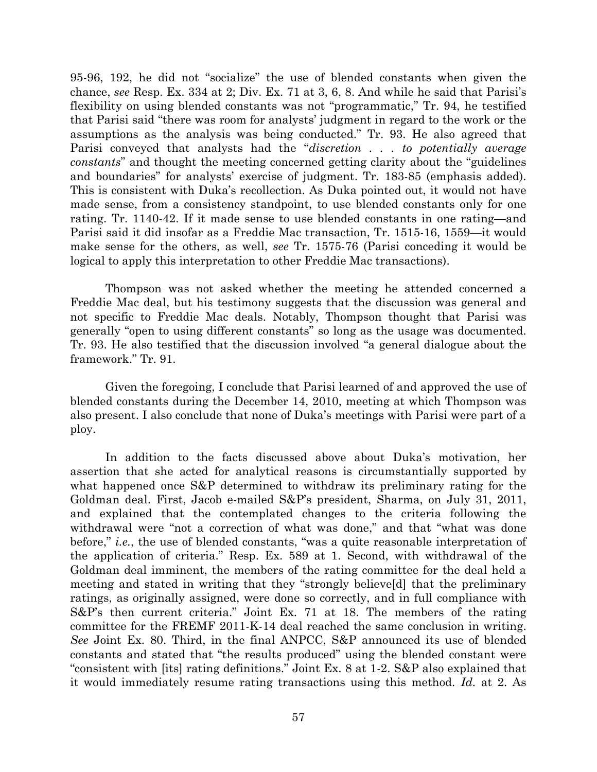95-96, 192, he did not "socialize" the use of blended constants when given the chance, *see* Resp. Ex. 334 at 2; Div. Ex. 71 at 3, 6, 8. And while he said that Parisi's flexibility on using blended constants was not "programmatic," Tr. 94, he testified that Parisi said "there was room for analysts' judgment in regard to the work or the assumptions as the analysis was being conducted." Tr. 93. He also agreed that Parisi conveyed that analysts had the "*discretion . . . to potentially average constants*" and thought the meeting concerned getting clarity about the "guidelines and boundaries" for analysts' exercise of judgment. Tr. 183-85 (emphasis added). This is consistent with Duka's recollection. As Duka pointed out, it would not have made sense, from a consistency standpoint, to use blended constants only for one rating. Tr. 1140-42. If it made sense to use blended constants in one rating—and Parisi said it did insofar as a Freddie Mac transaction, Tr. 1515-16, 1559—it would make sense for the others, as well, *see* Tr. 1575-76 (Parisi conceding it would be logical to apply this interpretation to other Freddie Mac transactions).

Thompson was not asked whether the meeting he attended concerned a Freddie Mac deal, but his testimony suggests that the discussion was general and not specific to Freddie Mac deals. Notably, Thompson thought that Parisi was generally "open to using different constants" so long as the usage was documented. Tr. 93. He also testified that the discussion involved "a general dialogue about the framework." Tr. 91.

Given the foregoing, I conclude that Parisi learned of and approved the use of blended constants during the December 14, 2010, meeting at which Thompson was also present. I also conclude that none of Duka's meetings with Parisi were part of a ploy.

In addition to the facts discussed above about Duka's motivation, her assertion that she acted for analytical reasons is circumstantially supported by what happened once S&P determined to withdraw its preliminary rating for the Goldman deal. First, Jacob e-mailed S&P's president, Sharma, on July 31, 2011, and explained that the contemplated changes to the criteria following the withdrawal were "not a correction of what was done," and that "what was done before," *i.e.*, the use of blended constants, "was a quite reasonable interpretation of the application of criteria." Resp. Ex. 589 at 1. Second, with withdrawal of the Goldman deal imminent, the members of the rating committee for the deal held a meeting and stated in writing that they "strongly believe[d] that the preliminary ratings, as originally assigned, were done so correctly, and in full compliance with S&P's then current criteria." Joint Ex. 71 at 18. The members of the rating committee for the FREMF 2011-K-14 deal reached the same conclusion in writing. *See* Joint Ex. 80. Third, in the final ANPCC, S&P announced its use of blended constants and stated that "the results produced" using the blended constant were "consistent with [its] rating definitions." Joint Ex. 8 at 1-2. S&P also explained that it would immediately resume rating transactions using this method. *Id.* at 2. As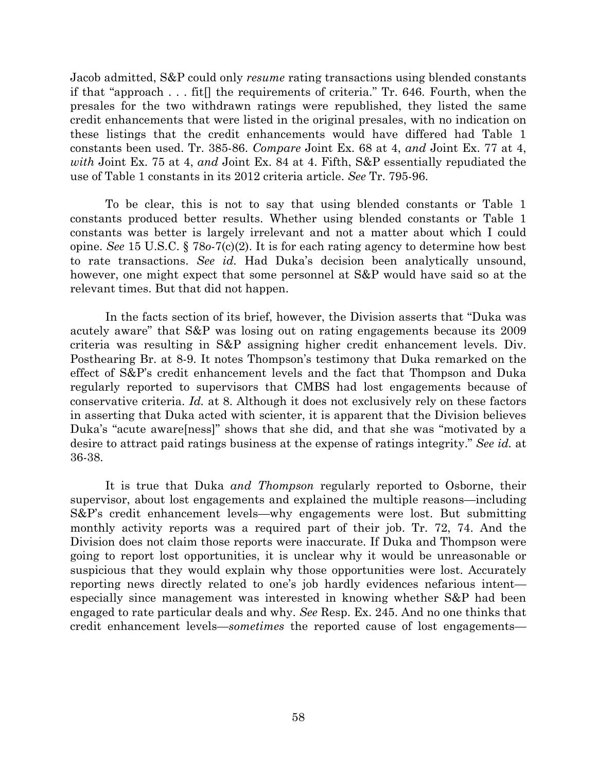Jacob admitted, S&P could only *resume* rating transactions using blended constants if that "approach . . . fit[] the requirements of criteria." Tr. 646. Fourth, when the presales for the two withdrawn ratings were republished, they listed the same credit enhancements that were listed in the original presales, with no indication on these listings that the credit enhancements would have differed had Table 1 constants been used. Tr. 385-86. *Compare* Joint Ex. 68 at 4, *and* Joint Ex. 77 at 4, *with* Joint Ex. 75 at 4, *and* Joint Ex. 84 at 4. Fifth, S&P essentially repudiated the use of Table 1 constants in its 2012 criteria article. *See* Tr. 795-96.

To be clear, this is not to say that using blended constants or Table 1 constants produced better results. Whether using blended constants or Table 1 constants was better is largely irrelevant and not a matter about which I could opine. *See* 15 U.S.C. § 78*o*-7(c)(2). It is for each rating agency to determine how best to rate transactions. *See id.* Had Duka's decision been analytically unsound, however, one might expect that some personnel at S&P would have said so at the relevant times. But that did not happen.

In the facts section of its brief, however, the Division asserts that "Duka was acutely aware" that S&P was losing out on rating engagements because its 2009 criteria was resulting in S&P assigning higher credit enhancement levels. Div. Posthearing Br. at 8-9. It notes Thompson's testimony that Duka remarked on the effect of S&P's credit enhancement levels and the fact that Thompson and Duka regularly reported to supervisors that CMBS had lost engagements because of conservative criteria. *Id.* at 8. Although it does not exclusively rely on these factors in asserting that Duka acted with scienter, it is apparent that the Division believes Duka's "acute aware[ness]" shows that she did, and that she was "motivated by a desire to attract paid ratings business at the expense of ratings integrity." *See id.* at 36-38.

It is true that Duka *and Thompson* regularly reported to Osborne, their supervisor, about lost engagements and explained the multiple reasons—including S&P's credit enhancement levels—why engagements were lost. But submitting monthly activity reports was a required part of their job. Tr. 72, 74. And the Division does not claim those reports were inaccurate. If Duka and Thompson were going to report lost opportunities, it is unclear why it would be unreasonable or suspicious that they would explain why those opportunities were lost. Accurately reporting news directly related to one's job hardly evidences nefarious intent especially since management was interested in knowing whether S&P had been engaged to rate particular deals and why. *See* Resp. Ex. 245. And no one thinks that credit enhancement levels—*sometimes* the reported cause of lost engagements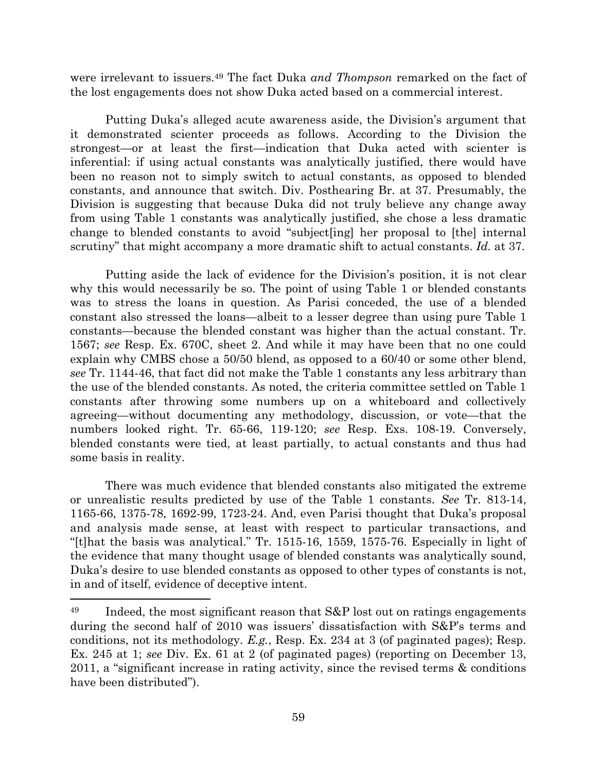were irrelevant to issuers.<sup>49</sup> The fact Duka *and Thompson* remarked on the fact of the lost engagements does not show Duka acted based on a commercial interest.

Putting Duka's alleged acute awareness aside, the Division's argument that it demonstrated scienter proceeds as follows. According to the Division the strongest—or at least the first—indication that Duka acted with scienter is inferential: if using actual constants was analytically justified, there would have been no reason not to simply switch to actual constants, as opposed to blended constants, and announce that switch. Div. Posthearing Br. at 37. Presumably, the Division is suggesting that because Duka did not truly believe any change away from using Table 1 constants was analytically justified, she chose a less dramatic change to blended constants to avoid "subject[ing] her proposal to [the] internal scrutiny" that might accompany a more dramatic shift to actual constants. *Id.* at 37.

Putting aside the lack of evidence for the Division's position, it is not clear why this would necessarily be so. The point of using Table 1 or blended constants was to stress the loans in question. As Parisi conceded, the use of a blended constant also stressed the loans—albeit to a lesser degree than using pure Table 1 constants—because the blended constant was higher than the actual constant. Tr. 1567; *see* Resp. Ex. 670C, sheet 2. And while it may have been that no one could explain why CMBS chose a 50/50 blend, as opposed to a 60/40 or some other blend, *see* Tr. 1144-46, that fact did not make the Table 1 constants any less arbitrary than the use of the blended constants. As noted, the criteria committee settled on Table 1 constants after throwing some numbers up on a whiteboard and collectively agreeing—without documenting any methodology, discussion, or vote—that the numbers looked right. Tr. 65-66, 119-120; *see* Resp. Exs. 108-19. Conversely, blended constants were tied, at least partially, to actual constants and thus had some basis in reality.

There was much evidence that blended constants also mitigated the extreme or unrealistic results predicted by use of the Table 1 constants. *See* Tr. 813-14, 1165-66, 1375-78, 1692-99, 1723-24. And, even Parisi thought that Duka's proposal and analysis made sense, at least with respect to particular transactions, and "[t]hat the basis was analytical." Tr. 1515-16, 1559, 1575-76. Especially in light of the evidence that many thought usage of blended constants was analytically sound, Duka's desire to use blended constants as opposed to other types of constants is not, in and of itself, evidence of deceptive intent.

<sup>&</sup>lt;sup>49</sup> Indeed, the most significant reason that S&P lost out on ratings engagements during the second half of 2010 was issuers' dissatisfaction with S&P's terms and conditions, not its methodology. *E.g.*, Resp. Ex. 234 at 3 (of paginated pages); Resp. Ex. 245 at 1; *see* Div. Ex. 61 at 2 (of paginated pages) (reporting on December 13, 2011, a "significant increase in rating activity, since the revised terms & conditions have been distributed").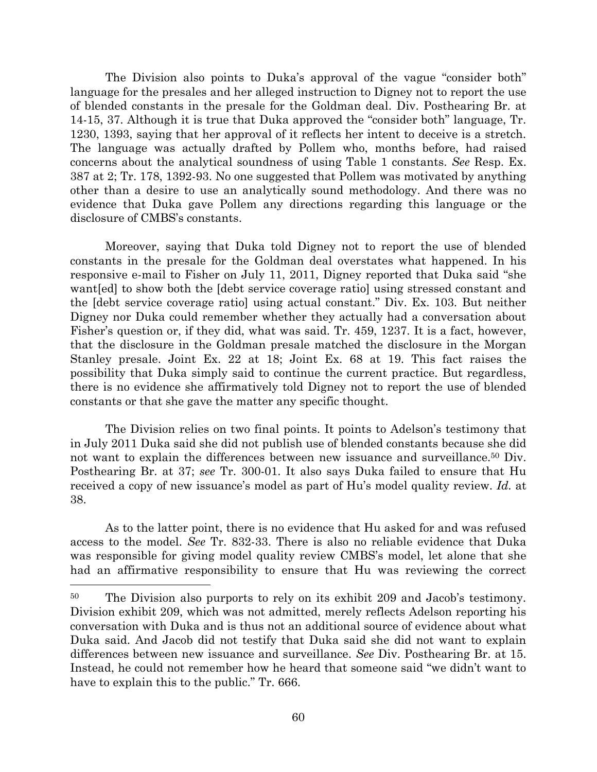The Division also points to Duka's approval of the vague "consider both" language for the presales and her alleged instruction to Digney not to report the use of blended constants in the presale for the Goldman deal. Div. Posthearing Br. at 14-15, 37. Although it is true that Duka approved the "consider both" language, Tr. 1230, 1393, saying that her approval of it reflects her intent to deceive is a stretch. The language was actually drafted by Pollem who, months before, had raised concerns about the analytical soundness of using Table 1 constants. *See* Resp. Ex. 387 at 2; Tr. 178, 1392-93. No one suggested that Pollem was motivated by anything other than a desire to use an analytically sound methodology. And there was no evidence that Duka gave Pollem any directions regarding this language or the disclosure of CMBS's constants.

Moreover, saying that Duka told Digney not to report the use of blended constants in the presale for the Goldman deal overstates what happened. In his responsive e-mail to Fisher on July 11, 2011, Digney reported that Duka said "she want[ed] to show both the [debt service coverage ratio] using stressed constant and the [debt service coverage ratio] using actual constant." Div. Ex. 103. But neither Digney nor Duka could remember whether they actually had a conversation about Fisher's question or, if they did, what was said. Tr. 459, 1237. It is a fact, however, that the disclosure in the Goldman presale matched the disclosure in the Morgan Stanley presale. Joint Ex. 22 at 18; Joint Ex. 68 at 19. This fact raises the possibility that Duka simply said to continue the current practice. But regardless, there is no evidence she affirmatively told Digney not to report the use of blended constants or that she gave the matter any specific thought.

The Division relies on two final points. It points to Adelson's testimony that in July 2011 Duka said she did not publish use of blended constants because she did not want to explain the differences between new issuance and surveillance. <sup>50</sup> Div. Posthearing Br. at 37; *see* Tr. 300-01. It also says Duka failed to ensure that Hu received a copy of new issuance's model as part of Hu's model quality review. *Id.* at 38.

As to the latter point, there is no evidence that Hu asked for and was refused access to the model. *See* Tr. 832-33. There is also no reliable evidence that Duka was responsible for giving model quality review CMBS's model, let alone that she had an affirmative responsibility to ensure that Hu was reviewing the correct

<sup>&</sup>lt;sup>50</sup> The Division also purports to rely on its exhibit 209 and Jacob's testimony. Division exhibit 209, which was not admitted, merely reflects Adelson reporting his conversation with Duka and is thus not an additional source of evidence about what Duka said. And Jacob did not testify that Duka said she did not want to explain differences between new issuance and surveillance. *See* Div. Posthearing Br. at 15. Instead, he could not remember how he heard that someone said "we didn't want to have to explain this to the public." Tr. 666.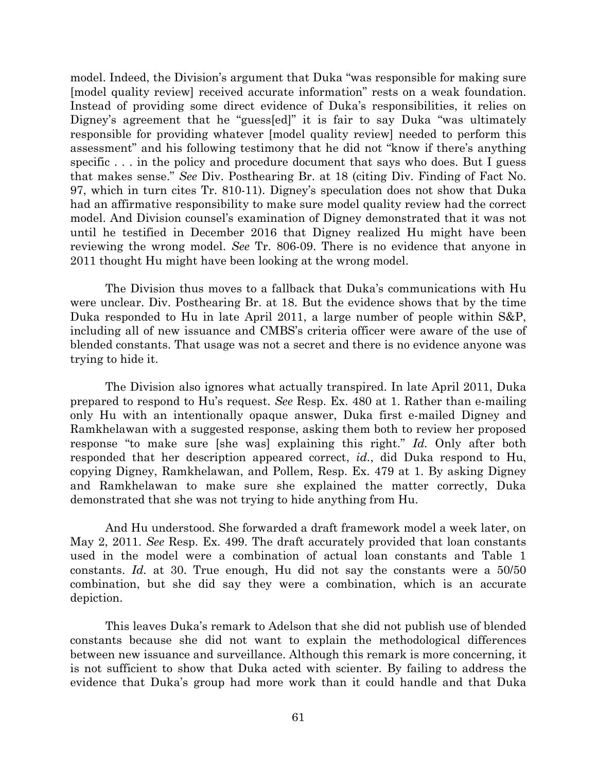model. Indeed, the Division's argument that Duka "was responsible for making sure [model quality review] received accurate information" rests on a weak foundation. Instead of providing some direct evidence of Duka's responsibilities, it relies on Digney's agreement that he "guess[ed]" it is fair to say Duka "was ultimately responsible for providing whatever [model quality review] needed to perform this assessment" and his following testimony that he did not "know if there's anything specific . . . in the policy and procedure document that says who does. But I guess that makes sense." *See* Div. Posthearing Br. at 18 (citing Div. Finding of Fact No. 97, which in turn cites Tr. 810-11). Digney's speculation does not show that Duka had an affirmative responsibility to make sure model quality review had the correct model. And Division counsel's examination of Digney demonstrated that it was not until he testified in December 2016 that Digney realized Hu might have been reviewing the wrong model. *See* Tr. 806-09. There is no evidence that anyone in 2011 thought Hu might have been looking at the wrong model.

The Division thus moves to a fallback that Duka's communications with Hu were unclear. Div. Posthearing Br. at 18. But the evidence shows that by the time Duka responded to Hu in late April 2011, a large number of people within S&P, including all of new issuance and CMBS's criteria officer were aware of the use of blended constants. That usage was not a secret and there is no evidence anyone was trying to hide it.

The Division also ignores what actually transpired. In late April 2011, Duka prepared to respond to Hu's request. *See* Resp. Ex. 480 at 1. Rather than e-mailing only Hu with an intentionally opaque answer, Duka first e-mailed Digney and Ramkhelawan with a suggested response, asking them both to review her proposed response "to make sure [she was] explaining this right." *Id.* Only after both responded that her description appeared correct, *id.*, did Duka respond to Hu, copying Digney, Ramkhelawan, and Pollem, Resp. Ex. 479 at 1. By asking Digney and Ramkhelawan to make sure she explained the matter correctly, Duka demonstrated that she was not trying to hide anything from Hu.

And Hu understood. She forwarded a draft framework model a week later, on May 2, 2011. *See* Resp. Ex. 499. The draft accurately provided that loan constants used in the model were a combination of actual loan constants and Table 1 constants. *Id.* at 30. True enough, Hu did not say the constants were a 50/50 combination, but she did say they were a combination, which is an accurate depiction.

This leaves Duka's remark to Adelson that she did not publish use of blended constants because she did not want to explain the methodological differences between new issuance and surveillance. Although this remark is more concerning, it is not sufficient to show that Duka acted with scienter. By failing to address the evidence that Duka's group had more work than it could handle and that Duka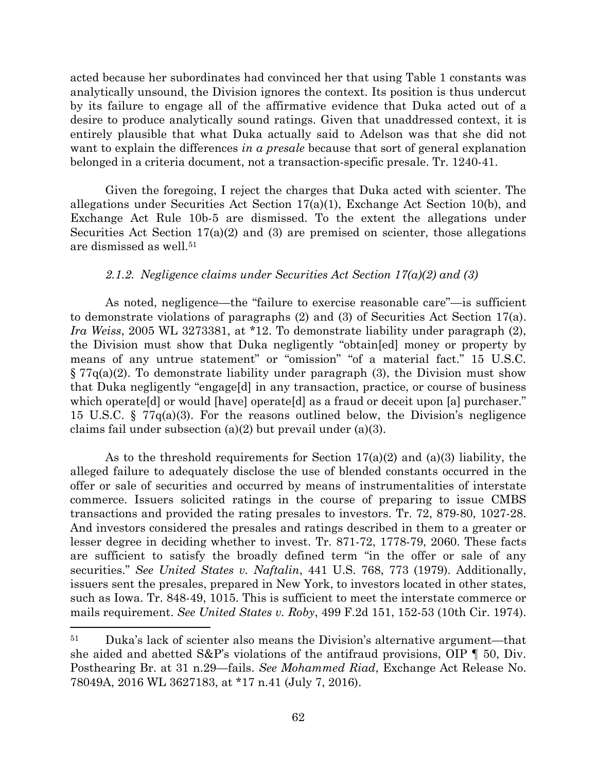acted because her subordinates had convinced her that using Table 1 constants was analytically unsound, the Division ignores the context. Its position is thus undercut by its failure to engage all of the affirmative evidence that Duka acted out of a desire to produce analytically sound ratings. Given that unaddressed context, it is entirely plausible that what Duka actually said to Adelson was that she did not want to explain the differences *in a presale* because that sort of general explanation belonged in a criteria document, not a transaction-specific presale. Tr. 1240-41.

Given the foregoing, I reject the charges that Duka acted with scienter. The allegations under Securities Act Section  $17(a)(1)$ , Exchange Act Section 10(b), and Exchange Act Rule 10b-5 are dismissed. To the extent the allegations under Securities Act Section  $17(a)(2)$  and  $(3)$  are premised on scienter, those allegations are dismissed as well.<sup>51</sup>

## *2.1.2. Negligence claims under Securities Act Section 17(a)(2) and (3)*

As noted, negligence—the "failure to exercise reasonable care"—is sufficient to demonstrate violations of paragraphs (2) and (3) of Securities Act Section 17(a). *Ira Weiss*, 2005 WL 3273381, at \*12. To demonstrate liability under paragraph (2), the Division must show that Duka negligently "obtain[ed] money or property by means of any untrue statement" or "omission" "of a material fact." 15 U.S.C. § 77q(a)(2). To demonstrate liability under paragraph (3), the Division must show that Duka negligently "engage[d] in any transaction, practice, or course of business which operate[d] or would [have] operate[d] as a fraud or deceit upon [a] purchaser." 15 U.S.C.  $\S$  77 $q(a)(3)$ . For the reasons outlined below, the Division's negligence claims fail under subsection (a)(2) but prevail under (a)(3).

As to the threshold requirements for Section  $17(a)(2)$  and  $(a)(3)$  liability, the alleged failure to adequately disclose the use of blended constants occurred in the offer or sale of securities and occurred by means of instrumentalities of interstate commerce. Issuers solicited ratings in the course of preparing to issue CMBS transactions and provided the rating presales to investors. Tr. 72, 879-80, 1027-28. And investors considered the presales and ratings described in them to a greater or lesser degree in deciding whether to invest. Tr. 871-72, 1778-79, 2060. These facts are sufficient to satisfy the broadly defined term "in the offer or sale of any securities." *See United States v. Naftalin*, 441 U.S. 768, 773 (1979). Additionally, issuers sent the presales, prepared in New York, to investors located in other states, such as Iowa. Tr. 848-49, 1015. This is sufficient to meet the interstate commerce or mails requirement. *See United States v. Roby*, 499 F.2d 151, 152-53 (10th Cir. 1974).

<sup>51</sup> Duka's lack of scienter also means the Division's alternative argument—that she aided and abetted  $S\&P$ 's violations of the antifraud provisions, OIP  $\P$  50, Div. Posthearing Br. at 31 n.29—fails. *See Mohammed Riad*, Exchange Act Release No. 78049A, 2016 WL 3627183, at \*17 n.41 (July 7, 2016).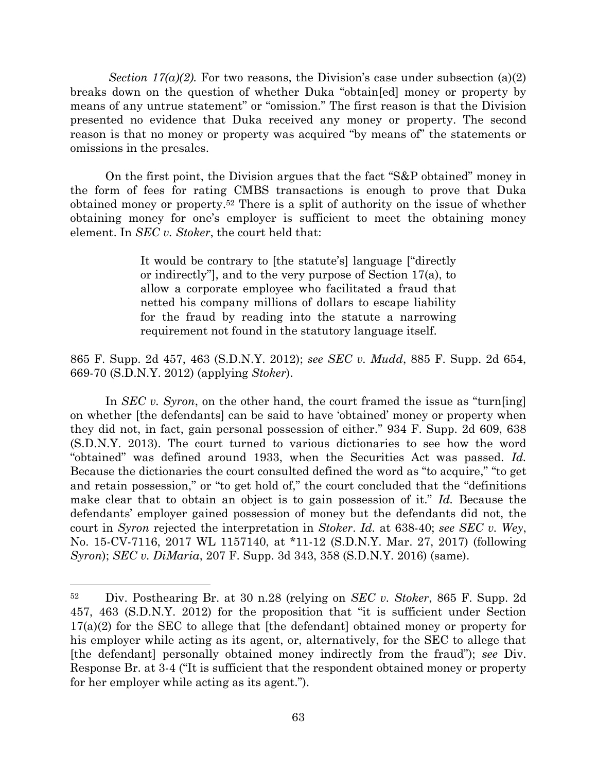*Section 17(a)(2).* For two reasons, the Division's case under subsection (a)(2) breaks down on the question of whether Duka "obtain[ed] money or property by means of any untrue statement" or "omission." The first reason is that the Division presented no evidence that Duka received any money or property. The second reason is that no money or property was acquired "by means of" the statements or omissions in the presales.

On the first point, the Division argues that the fact "S&P obtained" money in the form of fees for rating CMBS transactions is enough to prove that Duka obtained money or property. <sup>52</sup> There is a split of authority on the issue of whether obtaining money for one's employer is sufficient to meet the obtaining money element. In *SEC v. Stoker*, the court held that:

> It would be contrary to [the statute's] language ["directly or indirectly"], and to the very purpose of Section 17(a), to allow a corporate employee who facilitated a fraud that netted his company millions of dollars to escape liability for the fraud by reading into the statute a narrowing requirement not found in the statutory language itself.

865 F. Supp. 2d 457, 463 (S.D.N.Y. 2012); *see SEC v. Mudd*, 885 F. Supp. 2d 654, 669-70 (S.D.N.Y. 2012) (applying *Stoker*).

In *SEC v. Syron*, on the other hand, the court framed the issue as "turn[ing] on whether [the defendants] can be said to have 'obtained' money or property when they did not, in fact, gain personal possession of either." 934 F. Supp. 2d 609, 638 (S.D.N.Y. 2013). The court turned to various dictionaries to see how the word "obtained" was defined around 1933, when the Securities Act was passed. *Id.* Because the dictionaries the court consulted defined the word as "to acquire," "to get and retain possession," or "to get hold of," the court concluded that the "definitions make clear that to obtain an object is to gain possession of it." *Id.* Because the defendants' employer gained possession of money but the defendants did not, the court in *Syron* rejected the interpretation in *Stoker*. *Id.* at 638-40; *see SEC v. Wey*, No. 15-CV-7116, 2017 WL 1157140, at \*11-12 (S.D.N.Y. Mar. 27, 2017) (following *Syron*); *SEC v. DiMaria*, 207 F. Supp. 3d 343, 358 (S.D.N.Y. 2016) (same).

<sup>52</sup> Div. Posthearing Br. at 30 n.28 (relying on *SEC v. Stoker*, 865 F. Supp. 2d 457, 463 (S.D.N.Y. 2012) for the proposition that "it is sufficient under Section 17(a)(2) for the SEC to allege that [the defendant] obtained money or property for his employer while acting as its agent, or, alternatively, for the SEC to allege that [the defendant] personally obtained money indirectly from the fraud"); *see* Div. Response Br. at 3-4 ("It is sufficient that the respondent obtained money or property for her employer while acting as its agent.").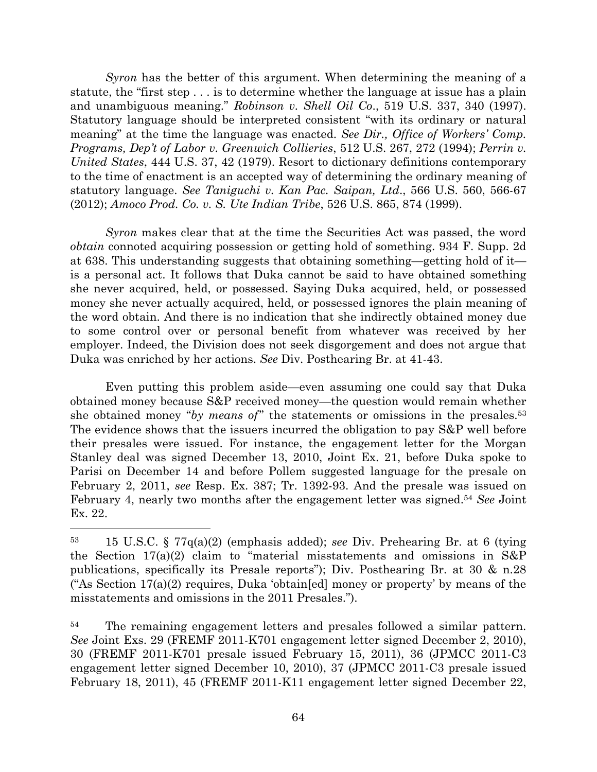*Syron* has the better of this argument. When determining the meaning of a statute, the "first step . . . is to determine whether the language at issue has a plain and unambiguous meaning." *Robinson v. Shell Oil Co*., 519 U.S. 337, 340 (1997). Statutory language should be interpreted consistent "with its ordinary or natural meaning" at the time the language was enacted. *See Dir., Office of Workers' Comp. Programs, Dep't of Labor v. Greenwich Collieries*, 512 U.S. 267, 272 (1994); *Perrin v. United States*, 444 U.S. 37, 42 (1979). Resort to dictionary definitions contemporary to the time of enactment is an accepted way of determining the ordinary meaning of statutory language. *See Taniguchi v. Kan Pac. Saipan, Ltd*., 566 U.S. 560, 566-67 (2012); *Amoco Prod. Co. v. S. Ute Indian Tribe*, 526 U.S. 865, 874 (1999).

*Syron* makes clear that at the time the Securities Act was passed, the word *obtain* connoted acquiring possession or getting hold of something. 934 F. Supp. 2d at 638. This understanding suggests that obtaining something—getting hold of it is a personal act. It follows that Duka cannot be said to have obtained something she never acquired, held, or possessed. Saying Duka acquired, held, or possessed money she never actually acquired, held, or possessed ignores the plain meaning of the word obtain. And there is no indication that she indirectly obtained money due to some control over or personal benefit from whatever was received by her employer. Indeed, the Division does not seek disgorgement and does not argue that Duka was enriched by her actions. *See* Div. Posthearing Br. at 41-43.

Even putting this problem aside—even assuming one could say that Duka obtained money because S&P received money—the question would remain whether she obtained money "*by means of*" the statements or omissions in the presales.<sup>53</sup> The evidence shows that the issuers incurred the obligation to pay S&P well before their presales were issued. For instance, the engagement letter for the Morgan Stanley deal was signed December 13, 2010, Joint Ex. 21, before Duka spoke to Parisi on December 14 and before Pollem suggested language for the presale on February 2, 2011, *see* Resp. Ex. 387; Tr. 1392-93. And the presale was issued on February 4, nearly two months after the engagement letter was signed. <sup>54</sup> *See* Joint Ex. 22.

<sup>53</sup> 15 U.S.C. § 77q(a)(2) (emphasis added); *see* Div. Prehearing Br. at 6 (tying the Section 17(a)(2) claim to "material misstatements and omissions in S&P publications, specifically its Presale reports"); Div. Posthearing Br. at 30 & n.28 ("As Section 17(a)(2) requires, Duka 'obtain[ed] money or property' by means of the misstatements and omissions in the 2011 Presales.").

<sup>&</sup>lt;sup>54</sup> The remaining engagement letters and presales followed a similar pattern. *See* Joint Exs. 29 (FREMF 2011-K701 engagement letter signed December 2, 2010), 30 (FREMF 2011-K701 presale issued February 15, 2011), 36 (JPMCC 2011-C3 engagement letter signed December 10, 2010), 37 (JPMCC 2011-C3 presale issued February 18, 2011), 45 (FREMF 2011-K11 engagement letter signed December 22,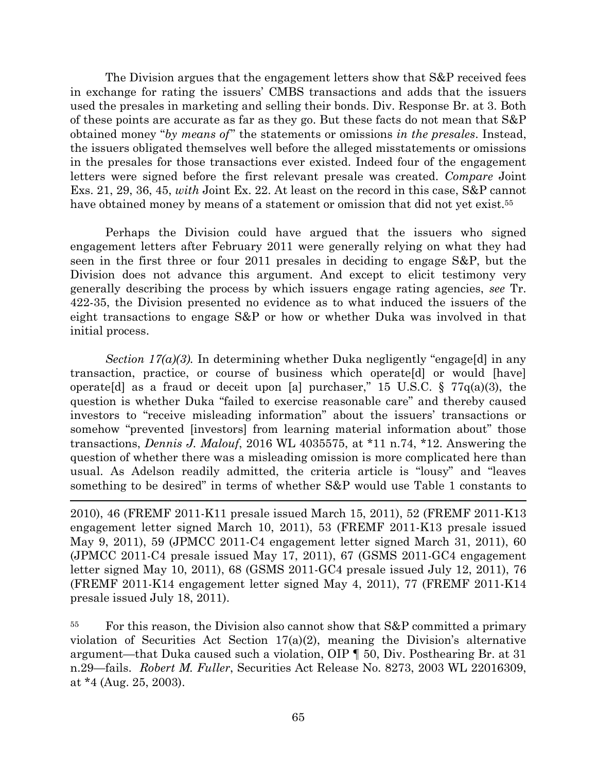The Division argues that the engagement letters show that S&P received fees in exchange for rating the issuers' CMBS transactions and adds that the issuers used the presales in marketing and selling their bonds. Div. Response Br. at 3. Both of these points are accurate as far as they go. But these facts do not mean that S&P obtained money "*by means of*" the statements or omissions *in the presales*. Instead, the issuers obligated themselves well before the alleged misstatements or omissions in the presales for those transactions ever existed. Indeed four of the engagement letters were signed before the first relevant presale was created. *Compare* Joint Exs. 21, 29, 36, 45, *with* Joint Ex. 22. At least on the record in this case, S&P cannot have obtained money by means of a statement or omission that did not yet exist.<sup>55</sup>

Perhaps the Division could have argued that the issuers who signed engagement letters after February 2011 were generally relying on what they had seen in the first three or four 2011 presales in deciding to engage S&P, but the Division does not advance this argument. And except to elicit testimony very generally describing the process by which issuers engage rating agencies, *see* Tr. 422-35, the Division presented no evidence as to what induced the issuers of the eight transactions to engage S&P or how or whether Duka was involved in that initial process.

*Section 17(a)(3).* In determining whether Duka negligently "engage[d] in any transaction, practice, or course of business which operate[d] or would [have] operate [d] as a fraud or deceit upon [a] purchaser," 15 U.S.C. § 77 $q(a)(3)$ , the question is whether Duka "failed to exercise reasonable care" and thereby caused investors to "receive misleading information" about the issuers' transactions or somehow "prevented [investors] from learning material information about" those transactions, *Dennis J. Malouf*, 2016 WL 4035575, at \*11 n.74, \*12. Answering the question of whether there was a misleading omission is more complicated here than usual. As Adelson readily admitted, the criteria article is "lousy" and "leaves something to be desired" in terms of whether S&P would use Table 1 constants to

2010), 46 (FREMF 2011-K11 presale issued March 15, 2011), 52 (FREMF 2011-K13 engagement letter signed March 10, 2011), 53 (FREMF 2011-K13 presale issued May 9, 2011), 59 (JPMCC 2011-C4 engagement letter signed March 31, 2011), 60 (JPMCC 2011-C4 presale issued May 17, 2011), 67 (GSMS 2011-GC4 engagement letter signed May 10, 2011), 68 (GSMS 2011-GC4 presale issued July 12, 2011), 76 (FREMF 2011-K14 engagement letter signed May 4, 2011), 77 (FREMF 2011-K14 presale issued July 18, 2011).

 $\overline{\phantom{a}}$ 

<sup>55</sup> For this reason, the Division also cannot show that S&P committed a primary violation of Securities Act Section  $17(a)(2)$ , meaning the Division's alternative argument—that Duka caused such a violation, OIP ¶ 50, Div. Posthearing Br. at 31 n.29—fails. *Robert M. Fuller*, Securities Act Release No. 8273, 2003 WL 22016309, at \*4 (Aug. 25, 2003).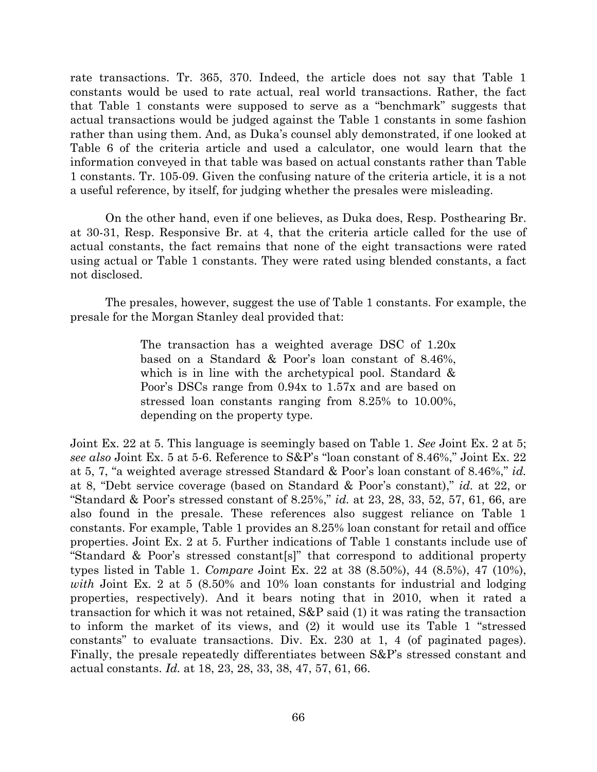rate transactions. Tr. 365, 370. Indeed, the article does not say that Table 1 constants would be used to rate actual, real world transactions. Rather, the fact that Table 1 constants were supposed to serve as a "benchmark" suggests that actual transactions would be judged against the Table 1 constants in some fashion rather than using them. And, as Duka's counsel ably demonstrated, if one looked at Table 6 of the criteria article and used a calculator, one would learn that the information conveyed in that table was based on actual constants rather than Table 1 constants. Tr. 105-09. Given the confusing nature of the criteria article, it is a not a useful reference, by itself, for judging whether the presales were misleading.

On the other hand, even if one believes, as Duka does, Resp. Posthearing Br. at 30-31, Resp. Responsive Br. at 4, that the criteria article called for the use of actual constants, the fact remains that none of the eight transactions were rated using actual or Table 1 constants. They were rated using blended constants, a fact not disclosed.

The presales, however, suggest the use of Table 1 constants. For example, the presale for the Morgan Stanley deal provided that:

> The transaction has a weighted average DSC of 1.20x based on a Standard & Poor's loan constant of 8.46%, which is in line with the archetypical pool. Standard & Poor's DSCs range from 0.94x to 1.57x and are based on stressed loan constants ranging from 8.25% to 10.00%, depending on the property type.

Joint Ex. 22 at 5. This language is seemingly based on Table 1. *See* Joint Ex. 2 at 5; *see also* Joint Ex. 5 at 5-6. Reference to S&P's "loan constant of 8.46%," Joint Ex. 22 at 5, 7, "a weighted average stressed Standard & Poor's loan constant of 8.46%," *id.* at 8, "Debt service coverage (based on Standard & Poor's constant)," *id.* at 22, or "Standard & Poor's stressed constant of 8.25%," *id.* at 23, 28, 33, 52, 57, 61, 66, are also found in the presale. These references also suggest reliance on Table 1 constants. For example, Table 1 provides an 8.25% loan constant for retail and office properties. Joint Ex. 2 at 5. Further indications of Table 1 constants include use of "Standard & Poor's stressed constant[s]" that correspond to additional property types listed in Table 1. *Compare* Joint Ex. 22 at 38 (8.50%), 44 (8.5%), 47 (10%), *with* Joint Ex. 2 at 5 (8.50% and 10% loan constants for industrial and lodging properties, respectively). And it bears noting that in 2010, when it rated a transaction for which it was not retained, S&P said (1) it was rating the transaction to inform the market of its views, and (2) it would use its Table 1 "stressed constants" to evaluate transactions. Div. Ex. 230 at 1, 4 (of paginated pages). Finally, the presale repeatedly differentiates between S&P's stressed constant and actual constants. *Id.* at 18, 23, 28, 33, 38, 47, 57, 61, 66.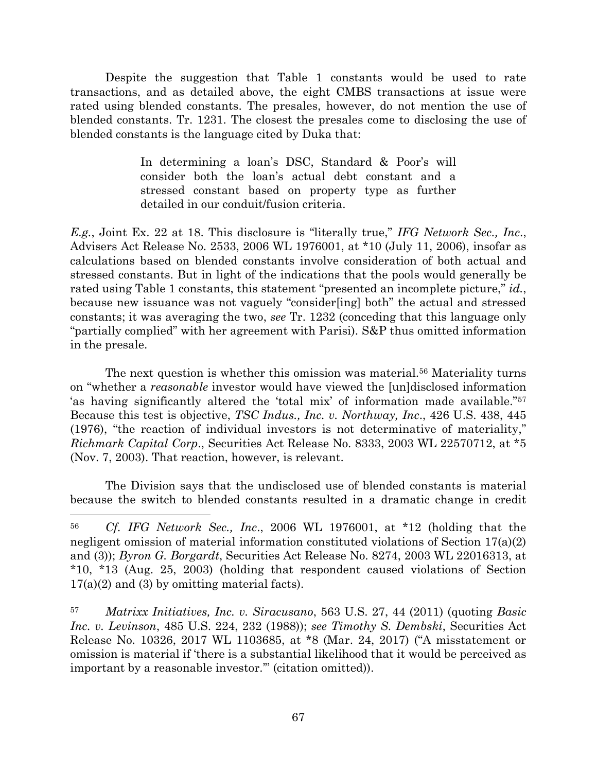Despite the suggestion that Table 1 constants would be used to rate transactions, and as detailed above, the eight CMBS transactions at issue were rated using blended constants. The presales, however, do not mention the use of blended constants. Tr. 1231. The closest the presales come to disclosing the use of blended constants is the language cited by Duka that:

> In determining a loan's DSC, Standard & Poor's will consider both the loan's actual debt constant and a stressed constant based on property type as further detailed in our conduit/fusion criteria.

*E.g.*, Joint Ex. 22 at 18. This disclosure is "literally true," *IFG Network Sec., Inc*., Advisers Act Release No. 2533, 2006 WL 1976001, at \*10 (July 11, 2006), insofar as calculations based on blended constants involve consideration of both actual and stressed constants. But in light of the indications that the pools would generally be rated using Table 1 constants, this statement "presented an incomplete picture," *id.*, because new issuance was not vaguely "consider[ing] both" the actual and stressed constants; it was averaging the two, *see* Tr. 1232 (conceding that this language only "partially complied" with her agreement with Parisi). S&P thus omitted information in the presale.

The next question is whether this omission was material.<sup>56</sup> Materiality turns on "whether a *reasonable* investor would have viewed the [un]disclosed information 'as having significantly altered the 'total mix' of information made available."<sup>57</sup> Because this test is objective, *TSC Indus., Inc. v. Northway, Inc*., 426 U.S. 438, 445 (1976), "the reaction of individual investors is not determinative of materiality," *Richmark Capital Corp*., Securities Act Release No. 8333, 2003 WL 22570712, at \*5 (Nov. 7, 2003). That reaction, however, is relevant.

The Division says that the undisclosed use of blended constants is material because the switch to blended constants resulted in a dramatic change in credit

<sup>56</sup> *Cf. IFG Network Sec., Inc*., 2006 WL 1976001, at \*12 (holding that the negligent omission of material information constituted violations of Section 17(a)(2) and (3)); *Byron G. Borgardt*, Securities Act Release No. 8274, 2003 WL 22016313, at \*10, \*13 (Aug. 25, 2003) (holding that respondent caused violations of Section 17(a)(2) and (3) by omitting material facts).

<sup>57</sup> *Matrixx Initiatives, Inc. v. Siracusano*, 563 U.S. 27, 44 (2011) (quoting *Basic Inc. v. Levinson*, 485 U.S. 224, 232 (1988)); *see Timothy S. Dembski*, Securities Act Release No. 10326, 2017 WL 1103685, at \*8 (Mar. 24, 2017) ("A misstatement or omission is material if 'there is a substantial likelihood that it would be perceived as important by a reasonable investor.'" (citation omitted)).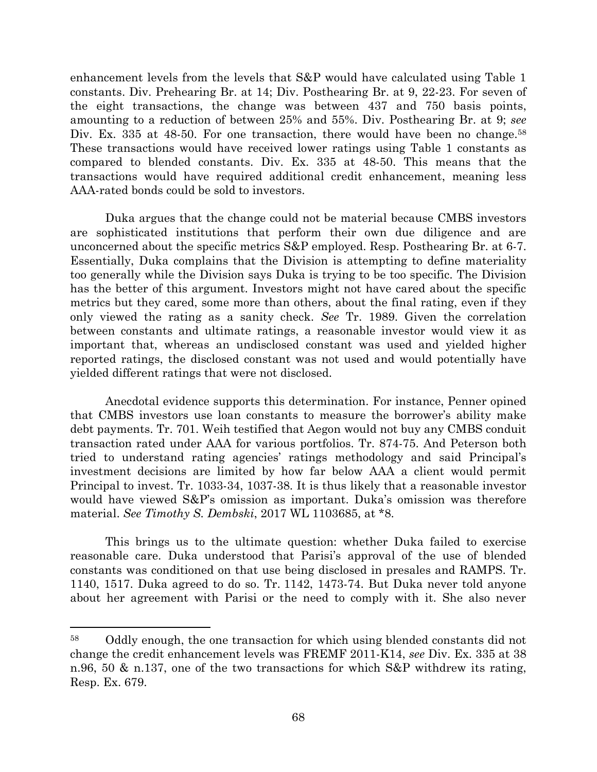enhancement levels from the levels that S&P would have calculated using Table 1 constants. Div. Prehearing Br. at 14; Div. Posthearing Br. at 9, 22-23. For seven of the eight transactions, the change was between 437 and 750 basis points, amounting to a reduction of between 25% and 55%. Div. Posthearing Br. at 9; *see* Div. Ex. 335 at 48-50. For one transaction, there would have been no change.<sup>58</sup> These transactions would have received lower ratings using Table 1 constants as compared to blended constants. Div. Ex. 335 at 48-50. This means that the transactions would have required additional credit enhancement, meaning less AAA-rated bonds could be sold to investors.

Duka argues that the change could not be material because CMBS investors are sophisticated institutions that perform their own due diligence and are unconcerned about the specific metrics S&P employed. Resp. Posthearing Br. at 6-7. Essentially, Duka complains that the Division is attempting to define materiality too generally while the Division says Duka is trying to be too specific. The Division has the better of this argument. Investors might not have cared about the specific metrics but they cared, some more than others, about the final rating, even if they only viewed the rating as a sanity check. *See* Tr. 1989. Given the correlation between constants and ultimate ratings, a reasonable investor would view it as important that, whereas an undisclosed constant was used and yielded higher reported ratings, the disclosed constant was not used and would potentially have yielded different ratings that were not disclosed.

Anecdotal evidence supports this determination. For instance, Penner opined that CMBS investors use loan constants to measure the borrower's ability make debt payments. Tr. 701. Weih testified that Aegon would not buy any CMBS conduit transaction rated under AAA for various portfolios. Tr. 874-75. And Peterson both tried to understand rating agencies' ratings methodology and said Principal's investment decisions are limited by how far below AAA a client would permit Principal to invest. Tr. 1033-34, 1037-38. It is thus likely that a reasonable investor would have viewed S&P's omission as important. Duka's omission was therefore material. *See Timothy S. Dembski*, 2017 WL 1103685, at \*8.

This brings us to the ultimate question: whether Duka failed to exercise reasonable care. Duka understood that Parisi's approval of the use of blended constants was conditioned on that use being disclosed in presales and RAMPS. Tr. 1140, 1517. Duka agreed to do so. Tr. 1142, 1473-74. But Duka never told anyone about her agreement with Parisi or the need to comply with it. She also never

<sup>58</sup> Oddly enough, the one transaction for which using blended constants did not change the credit enhancement levels was FREMF 2011-K14, *see* Div. Ex. 335 at 38 n.96, 50 & n.137, one of the two transactions for which S&P withdrew its rating, Resp. Ex. 679.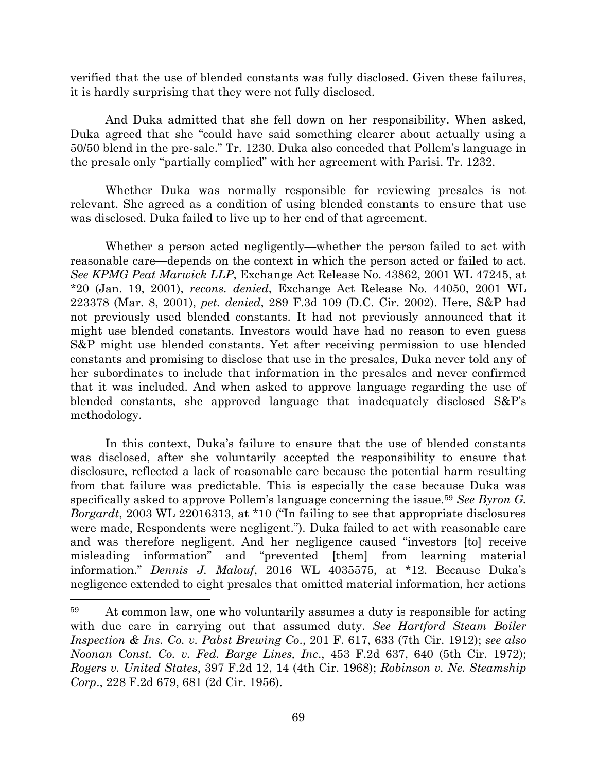verified that the use of blended constants was fully disclosed. Given these failures, it is hardly surprising that they were not fully disclosed.

And Duka admitted that she fell down on her responsibility. When asked, Duka agreed that she "could have said something clearer about actually using a 50/50 blend in the pre-sale." Tr. 1230. Duka also conceded that Pollem's language in the presale only "partially complied" with her agreement with Parisi. Tr. 1232.

Whether Duka was normally responsible for reviewing presales is not relevant. She agreed as a condition of using blended constants to ensure that use was disclosed. Duka failed to live up to her end of that agreement.

Whether a person acted negligently—whether the person failed to act with reasonable care—depends on the context in which the person acted or failed to act. *See KPMG Peat Marwick LLP*, Exchange Act Release No. 43862, 2001 WL 47245, at \*20 (Jan. 19, 2001), *recons. denied*, Exchange Act Release No. 44050, 2001 WL 223378 (Mar. 8, 2001), *pet. denied*, 289 F.3d 109 (D.C. Cir. 2002). Here, S&P had not previously used blended constants. It had not previously announced that it might use blended constants. Investors would have had no reason to even guess S&P might use blended constants. Yet after receiving permission to use blended constants and promising to disclose that use in the presales, Duka never told any of her subordinates to include that information in the presales and never confirmed that it was included. And when asked to approve language regarding the use of blended constants, she approved language that inadequately disclosed S&P's methodology.

In this context, Duka's failure to ensure that the use of blended constants was disclosed, after she voluntarily accepted the responsibility to ensure that disclosure, reflected a lack of reasonable care because the potential harm resulting from that failure was predictable. This is especially the case because Duka was specifically asked to approve Pollem's language concerning the issue.<sup>59</sup> *See Byron G. Borgardt*, 2003 WL 22016313, at \*10 ("In failing to see that appropriate disclosures were made, Respondents were negligent."). Duka failed to act with reasonable care and was therefore negligent. And her negligence caused "investors [to] receive misleading information" and "prevented [them] from learning material information." *Dennis J. Malouf*, 2016 WL 4035575, at \*12. Because Duka's negligence extended to eight presales that omitted material information, her actions

<sup>59</sup> At common law, one who voluntarily assumes a duty is responsible for acting with due care in carrying out that assumed duty. *See Hartford Steam Boiler Inspection & Ins. Co. v. Pabst Brewing Co*., 201 F. 617, 633 (7th Cir. 1912); *see also Noonan Const. Co. v. Fed. Barge Lines, Inc*., 453 F.2d 637, 640 (5th Cir. 1972); *Rogers v. United States*, 397 F.2d 12, 14 (4th Cir. 1968); *Robinson v. Ne. Steamship Corp*., 228 F.2d 679, 681 (2d Cir. 1956).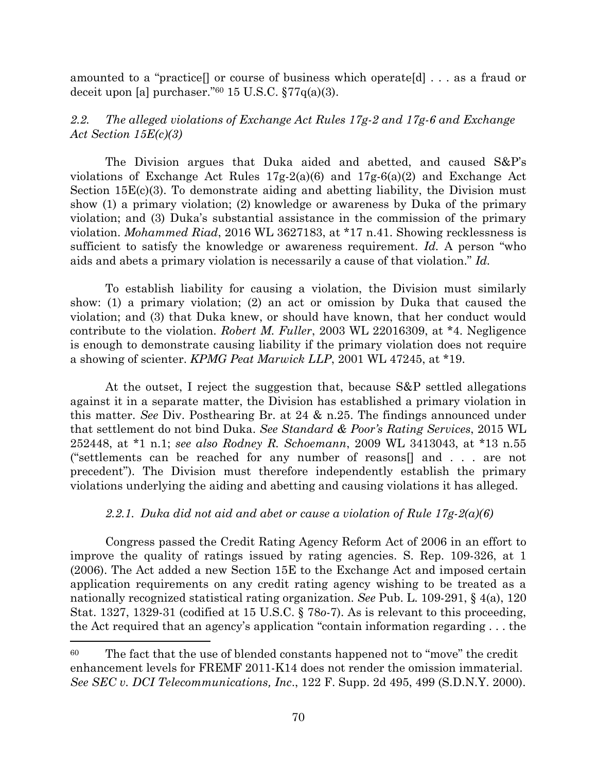amounted to a "practice[] or course of business which operate[d] . . . as a fraud or deceit upon [a] purchaser." $60$  15 U.S.C.  $\frac{577}{q(a)(3)}$ .

# *2.2. The alleged violations of Exchange Act Rules 17g-2 and 17g-6 and Exchange Act Section 15E(c)(3)*

The Division argues that Duka aided and abetted, and caused S&P's violations of Exchange Act Rules 17g-2(a)(6) and 17g-6(a)(2) and Exchange Act Section 15E(c)(3). To demonstrate aiding and abetting liability, the Division must show (1) a primary violation; (2) knowledge or awareness by Duka of the primary violation; and (3) Duka's substantial assistance in the commission of the primary violation. *Mohammed Riad*, 2016 WL 3627183, at \*17 n.41. Showing recklessness is sufficient to satisfy the knowledge or awareness requirement. *Id.* A person "who aids and abets a primary violation is necessarily a cause of that violation." *Id.*

To establish liability for causing a violation, the Division must similarly show: (1) a primary violation; (2) an act or omission by Duka that caused the violation; and (3) that Duka knew, or should have known, that her conduct would contribute to the violation. *Robert M. Fuller*, 2003 WL 22016309, at \*4. Negligence is enough to demonstrate causing liability if the primary violation does not require a showing of scienter. *KPMG Peat Marwick LLP*, 2001 WL 47245, at \*19.

At the outset, I reject the suggestion that, because S&P settled allegations against it in a separate matter, the Division has established a primary violation in this matter. *See* Div. Posthearing Br. at 24 & n.25. The findings announced under that settlement do not bind Duka. *See Standard & Poor's Rating Services*, 2015 WL 252448, at \*1 n.1; *see also Rodney R. Schoemann*, 2009 WL 3413043, at \*13 n.55 ("settlements can be reached for any number of reasons[] and . . . are not precedent"). The Division must therefore independently establish the primary violations underlying the aiding and abetting and causing violations it has alleged.

# *2.2.1. Duka did not aid and abet or cause a violation of Rule 17g-2(a)(6)*

Congress passed the Credit Rating Agency Reform Act of 2006 in an effort to improve the quality of ratings issued by rating agencies. S. Rep. 109-326, at 1 (2006). The Act added a new Section 15E to the Exchange Act and imposed certain application requirements on any credit rating agency wishing to be treated as a nationally recognized statistical rating organization. *See* Pub. L. 109-291, § 4(a), 120 Stat. 1327, 1329-31 (codified at 15 U.S.C. § 78*o*-7). As is relevant to this proceeding, the Act required that an agency's application "contain information regarding . . . the

l

<sup>&</sup>lt;sup>60</sup> The fact that the use of blended constants happened not to "move" the credit enhancement levels for FREMF 2011-K14 does not render the omission immaterial. *See SEC v. DCI Telecommunications, Inc*., 122 F. Supp. 2d 495, 499 (S.D.N.Y. 2000).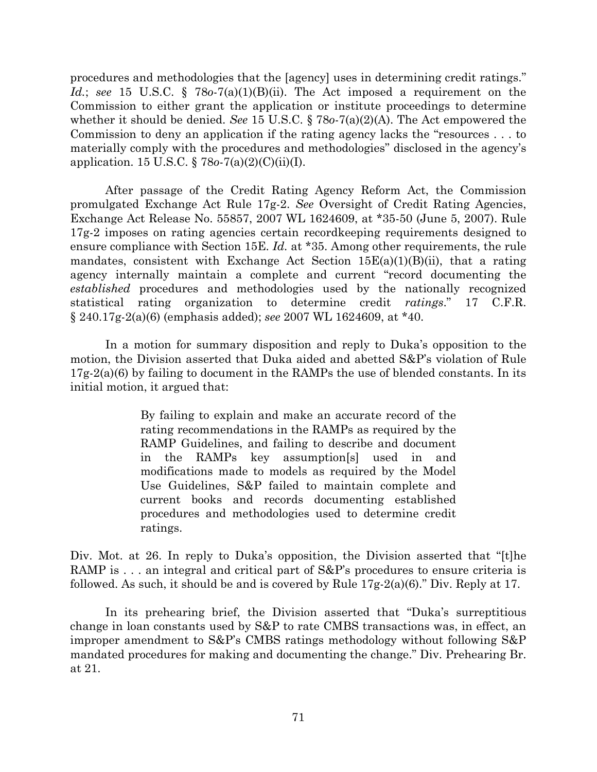procedures and methodologies that the [agency] uses in determining credit ratings." *Id.*; *see* 15 U.S.C. § 78*o*-7(a)(1)(B)(ii). The Act imposed a requirement on the Commission to either grant the application or institute proceedings to determine whether it should be denied. *See* 15 U.S.C. § 78*o*-7(a)(2)(A). The Act empowered the Commission to deny an application if the rating agency lacks the "resources . . . to materially comply with the procedures and methodologies" disclosed in the agency's application. 15 U.S.C. § 78*o*-7(a)(2)(C)(ii)(I).

After passage of the Credit Rating Agency Reform Act, the Commission promulgated Exchange Act Rule 17g-2. *See* Oversight of Credit Rating Agencies, Exchange Act Release No. 55857, 2007 WL 1624609, at \*35-50 (June 5, 2007). Rule 17g-2 imposes on rating agencies certain recordkeeping requirements designed to ensure compliance with Section 15E. *Id.* at \*35. Among other requirements, the rule mandates, consistent with Exchange Act Section  $15E(a)(1)(B)(ii)$ , that a rating agency internally maintain a complete and current "record documenting the *established* procedures and methodologies used by the nationally recognized statistical rating organization to determine credit *ratings*." 17 C.F.R. § 240.17g-2(a)(6) (emphasis added); *see* 2007 WL 1624609, at \*40.

In a motion for summary disposition and reply to Duka's opposition to the motion, the Division asserted that Duka aided and abetted S&P's violation of Rule 17g-2(a)(6) by failing to document in the RAMPs the use of blended constants. In its initial motion, it argued that:

> By failing to explain and make an accurate record of the rating recommendations in the RAMPs as required by the RAMP Guidelines, and failing to describe and document in the RAMPs key assumption[s] used in and modifications made to models as required by the Model Use Guidelines, S&P failed to maintain complete and current books and records documenting established procedures and methodologies used to determine credit ratings.

Div. Mot. at 26. In reply to Duka's opposition, the Division asserted that "[t]he RAMP is . . . an integral and critical part of S&P's procedures to ensure criteria is followed. As such, it should be and is covered by Rule 17g-2(a)(6)." Div. Reply at 17.

In its prehearing brief, the Division asserted that "Duka's surreptitious change in loan constants used by S&P to rate CMBS transactions was, in effect, an improper amendment to S&P's CMBS ratings methodology without following S&P mandated procedures for making and documenting the change." Div. Prehearing Br. at 21.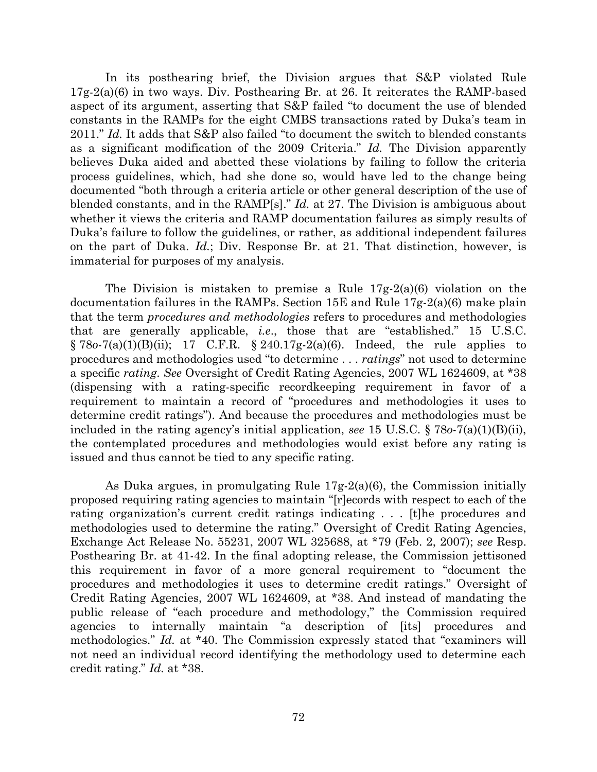In its posthearing brief, the Division argues that S&P violated Rule 17g-2(a)(6) in two ways. Div. Posthearing Br. at 26. It reiterates the RAMP-based aspect of its argument, asserting that S&P failed "to document the use of blended constants in the RAMPs for the eight CMBS transactions rated by Duka's team in 2011." *Id.* It adds that S&P also failed "to document the switch to blended constants as a significant modification of the 2009 Criteria." *Id.* The Division apparently believes Duka aided and abetted these violations by failing to follow the criteria process guidelines, which, had she done so, would have led to the change being documented "both through a criteria article or other general description of the use of blended constants, and in the RAMP[s]." *Id.* at 27. The Division is ambiguous about whether it views the criteria and RAMP documentation failures as simply results of Duka's failure to follow the guidelines, or rather, as additional independent failures on the part of Duka. *Id.*; Div. Response Br. at 21. That distinction, however, is immaterial for purposes of my analysis.

The Division is mistaken to premise a Rule 17g-2(a)(6) violation on the documentation failures in the RAMPs. Section 15E and Rule 17g-2(a)(6) make plain that the term *procedures and methodologies* refers to procedures and methodologies that are generally applicable, *i.e*., those that are "established." 15 U.S.C. § 78*o*-7(a)(1)(B)(ii); 17 C.F.R. § 240.17g-2(a)(6). Indeed, the rule applies to procedures and methodologies used "to determine . . . *ratings*" not used to determine a specific *rating*. *See* Oversight of Credit Rating Agencies, 2007 WL 1624609, at \*38 (dispensing with a rating-specific recordkeeping requirement in favor of a requirement to maintain a record of "procedures and methodologies it uses to determine credit ratings"). And because the procedures and methodologies must be included in the rating agency's initial application, *see* 15 U.S.C. § 78*o*-7(a)(1)(B)(ii), the contemplated procedures and methodologies would exist before any rating is issued and thus cannot be tied to any specific rating.

As Duka argues, in promulgating Rule 17g-2(a)(6), the Commission initially proposed requiring rating agencies to maintain "[r]ecords with respect to each of the rating organization's current credit ratings indicating . . . [t]he procedures and methodologies used to determine the rating." Oversight of Credit Rating Agencies, Exchange Act Release No. 55231, 2007 WL 325688, at \*79 (Feb. 2, 2007); *see* Resp. Posthearing Br. at 41-42. In the final adopting release, the Commission jettisoned this requirement in favor of a more general requirement to "document the procedures and methodologies it uses to determine credit ratings." Oversight of Credit Rating Agencies, 2007 WL 1624609, at \*38. And instead of mandating the public release of "each procedure and methodology," the Commission required agencies to internally maintain "a description of [its] procedures and methodologies." *Id.* at \*40. The Commission expressly stated that "examiners will not need an individual record identifying the methodology used to determine each credit rating." *Id.* at \*38.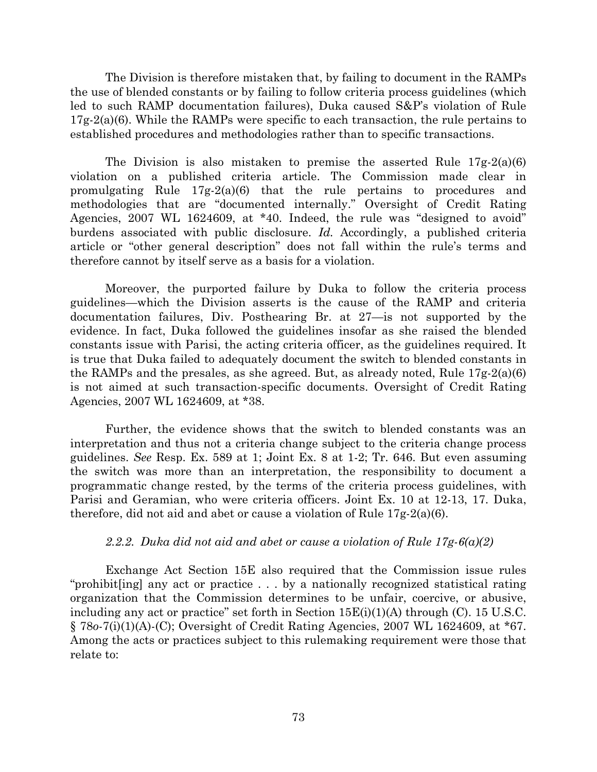The Division is therefore mistaken that, by failing to document in the RAMPs the use of blended constants or by failing to follow criteria process guidelines (which led to such RAMP documentation failures), Duka caused S&P's violation of Rule  $17g-2(a)(6)$ . While the RAMPs were specific to each transaction, the rule pertains to established procedures and methodologies rather than to specific transactions.

The Division is also mistaken to premise the asserted Rule  $17g-2(a)(6)$ violation on a published criteria article. The Commission made clear in promulgating Rule 17g-2(a)(6) that the rule pertains to procedures and methodologies that are "documented internally." Oversight of Credit Rating Agencies, 2007 WL 1624609, at \*40. Indeed, the rule was "designed to avoid" burdens associated with public disclosure. *Id.* Accordingly, a published criteria article or "other general description" does not fall within the rule's terms and therefore cannot by itself serve as a basis for a violation.

Moreover, the purported failure by Duka to follow the criteria process guidelines—which the Division asserts is the cause of the RAMP and criteria documentation failures, Div. Posthearing Br. at 27—is not supported by the evidence. In fact, Duka followed the guidelines insofar as she raised the blended constants issue with Parisi, the acting criteria officer, as the guidelines required. It is true that Duka failed to adequately document the switch to blended constants in the RAMPs and the presales, as she agreed. But, as already noted, Rule  $17g-2(a)(6)$ is not aimed at such transaction-specific documents. Oversight of Credit Rating Agencies, 2007 WL 1624609, at \*38.

Further, the evidence shows that the switch to blended constants was an interpretation and thus not a criteria change subject to the criteria change process guidelines. *See* Resp. Ex. 589 at 1; Joint Ex. 8 at 1-2; Tr. 646. But even assuming the switch was more than an interpretation, the responsibility to document a programmatic change rested, by the terms of the criteria process guidelines, with Parisi and Geramian, who were criteria officers. Joint Ex. 10 at 12-13, 17. Duka, therefore, did not aid and abet or cause a violation of Rule 17g-2(a)(6).

## *2.2.2. Duka did not aid and abet or cause a violation of Rule 17g-6(a)(2)*

Exchange Act Section 15E also required that the Commission issue rules "prohibit[ing] any act or practice . . . by a nationally recognized statistical rating organization that the Commission determines to be unfair, coercive, or abusive, including any act or practice" set forth in Section  $15E(i)(1)(A)$  through (C). 15 U.S.C. § 78*o*-7(i)(1)(A)-(C); Oversight of Credit Rating Agencies, 2007 WL 1624609, at \*67. Among the acts or practices subject to this rulemaking requirement were those that relate to: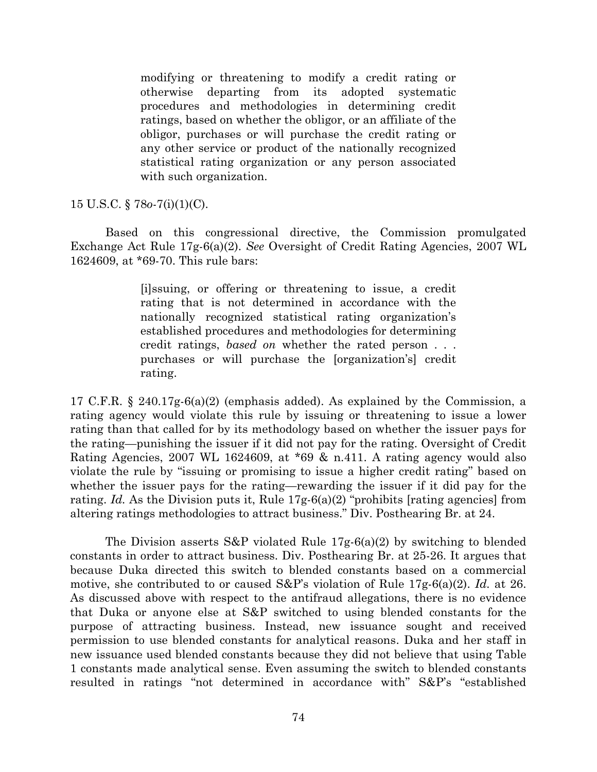modifying or threatening to modify a credit rating or otherwise departing from its adopted systematic procedures and methodologies in determining credit ratings, based on whether the obligor, or an affiliate of the obligor, purchases or will purchase the credit rating or any other service or product of the nationally recognized statistical rating organization or any person associated with such organization.

# 15 U.S.C. § 78*o*-7(i)(1)(C).

Based on this congressional directive, the Commission promulgated Exchange Act Rule 17g-6(a)(2). *See* Oversight of Credit Rating Agencies, 2007 WL 1624609, at \*69-70. This rule bars:

> [i]ssuing, or offering or threatening to issue, a credit rating that is not determined in accordance with the nationally recognized statistical rating organization's established procedures and methodologies for determining credit ratings, *based on* whether the rated person . . . purchases or will purchase the [organization's] credit rating.

17 C.F.R. § 240.17g-6(a)(2) (emphasis added). As explained by the Commission, a rating agency would violate this rule by issuing or threatening to issue a lower rating than that called for by its methodology based on whether the issuer pays for the rating—punishing the issuer if it did not pay for the rating. Oversight of Credit Rating Agencies, 2007 WL 1624609, at \*69 & n.411. A rating agency would also violate the rule by "issuing or promising to issue a higher credit rating" based on whether the issuer pays for the rating—rewarding the issuer if it did pay for the rating. *Id.* As the Division puts it, Rule 17g-6(a)(2) "prohibits [rating agencies] from altering ratings methodologies to attract business." Div. Posthearing Br. at 24.

The Division asserts S&P violated Rule 17g-6(a)(2) by switching to blended constants in order to attract business. Div. Posthearing Br. at 25-26. It argues that because Duka directed this switch to blended constants based on a commercial motive, she contributed to or caused S&P's violation of Rule 17g-6(a)(2). *Id.* at 26. As discussed above with respect to the antifraud allegations, there is no evidence that Duka or anyone else at S&P switched to using blended constants for the purpose of attracting business. Instead, new issuance sought and received permission to use blended constants for analytical reasons. Duka and her staff in new issuance used blended constants because they did not believe that using Table 1 constants made analytical sense. Even assuming the switch to blended constants resulted in ratings "not determined in accordance with" S&P's "established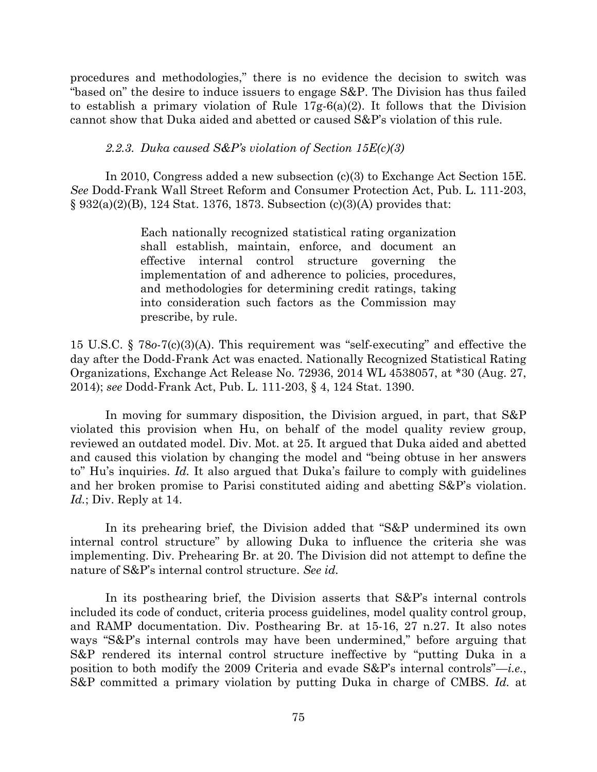procedures and methodologies," there is no evidence the decision to switch was "based on" the desire to induce issuers to engage S&P. The Division has thus failed to establish a primary violation of Rule 17g-6(a)(2). It follows that the Division cannot show that Duka aided and abetted or caused S&P's violation of this rule.

## *2.2.3. Duka caused S&P's violation of Section 15E(c)(3)*

In 2010, Congress added a new subsection (c)(3) to Exchange Act Section 15E. *See* Dodd-Frank Wall Street Reform and Consumer Protection Act, Pub. L. 111-203,  $§ 932(a)(2)(B), 124 Stat. 1376, 1873. Subsection (c)(3)(A) provides that:$ 

> Each nationally recognized statistical rating organization shall establish, maintain, enforce, and document an effective internal control structure governing the implementation of and adherence to policies, procedures, and methodologies for determining credit ratings, taking into consideration such factors as the Commission may prescribe, by rule.

15 U.S.C. § 78*o*-7(c)(3)(A). This requirement was "self-executing" and effective the day after the Dodd-Frank Act was enacted. Nationally Recognized Statistical Rating Organizations, Exchange Act Release No. 72936, 2014 WL 4538057, at \*30 (Aug. 27, 2014); *see* Dodd-Frank Act, Pub. L. 111-203, § 4, 124 Stat. 1390.

In moving for summary disposition, the Division argued, in part, that S&P violated this provision when Hu, on behalf of the model quality review group, reviewed an outdated model. Div. Mot. at 25. It argued that Duka aided and abetted and caused this violation by changing the model and "being obtuse in her answers to" Hu's inquiries. *Id.* It also argued that Duka's failure to comply with guidelines and her broken promise to Parisi constituted aiding and abetting S&P's violation. *Id.*; Div. Reply at 14.

In its prehearing brief, the Division added that "S&P undermined its own internal control structure" by allowing Duka to influence the criteria she was implementing. Div. Prehearing Br. at 20. The Division did not attempt to define the nature of S&P's internal control structure. *See id.*

In its posthearing brief, the Division asserts that S&P's internal controls included its code of conduct, criteria process guidelines, model quality control group, and RAMP documentation. Div. Posthearing Br. at 15-16, 27 n.27. It also notes ways "S&P's internal controls may have been undermined," before arguing that S&P rendered its internal control structure ineffective by "putting Duka in a position to both modify the 2009 Criteria and evade S&P's internal controls"—*i.e.*, S&P committed a primary violation by putting Duka in charge of CMBS. *Id.* at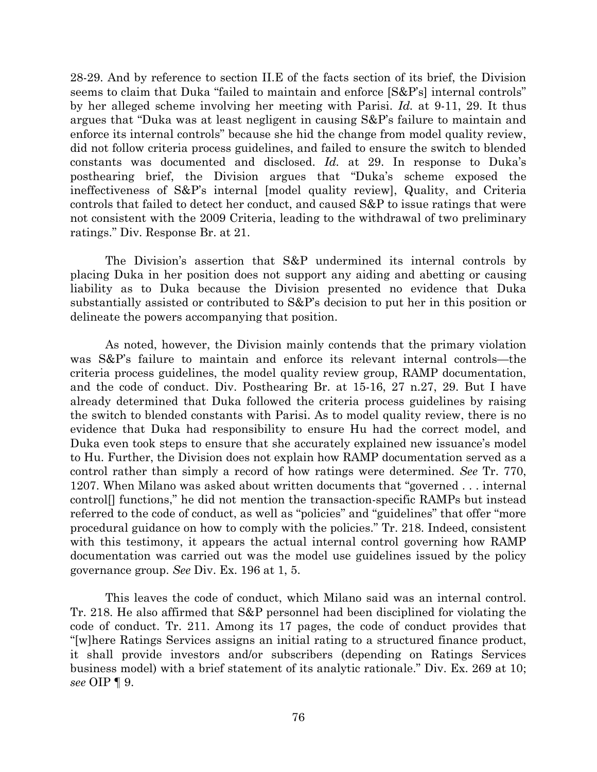28-29. And by reference to section II.E of the facts section of its brief, the Division seems to claim that Duka "failed to maintain and enforce [S&P's] internal controls" by her alleged scheme involving her meeting with Parisi. *Id.* at 9-11, 29. It thus argues that "Duka was at least negligent in causing S&P's failure to maintain and enforce its internal controls" because she hid the change from model quality review, did not follow criteria process guidelines, and failed to ensure the switch to blended constants was documented and disclosed. *Id.* at 29. In response to Duka's posthearing brief, the Division argues that "Duka's scheme exposed the ineffectiveness of S&P's internal [model quality review], Quality, and Criteria controls that failed to detect her conduct, and caused S&P to issue ratings that were not consistent with the 2009 Criteria, leading to the withdrawal of two preliminary ratings." Div. Response Br. at 21.

The Division's assertion that S&P undermined its internal controls by placing Duka in her position does not support any aiding and abetting or causing liability as to Duka because the Division presented no evidence that Duka substantially assisted or contributed to S&P's decision to put her in this position or delineate the powers accompanying that position.

As noted, however, the Division mainly contends that the primary violation was S&P's failure to maintain and enforce its relevant internal controls—the criteria process guidelines, the model quality review group, RAMP documentation, and the code of conduct. Div. Posthearing Br. at 15-16, 27 n.27, 29. But I have already determined that Duka followed the criteria process guidelines by raising the switch to blended constants with Parisi. As to model quality review, there is no evidence that Duka had responsibility to ensure Hu had the correct model, and Duka even took steps to ensure that she accurately explained new issuance's model to Hu. Further, the Division does not explain how RAMP documentation served as a control rather than simply a record of how ratings were determined. *See* Tr. 770, 1207. When Milano was asked about written documents that "governed . . . internal control[] functions," he did not mention the transaction-specific RAMPs but instead referred to the code of conduct, as well as "policies" and "guidelines" that offer "more procedural guidance on how to comply with the policies." Tr. 218. Indeed, consistent with this testimony, it appears the actual internal control governing how RAMP documentation was carried out was the model use guidelines issued by the policy governance group. *See* Div. Ex. 196 at 1, 5.

This leaves the code of conduct, which Milano said was an internal control. Tr. 218. He also affirmed that S&P personnel had been disciplined for violating the code of conduct. Tr. 211. Among its 17 pages, the code of conduct provides that "[w]here Ratings Services assigns an initial rating to a structured finance product, it shall provide investors and/or subscribers (depending on Ratings Services business model) with a brief statement of its analytic rationale." Div. Ex. 269 at 10; *see* OIP ¶ 9.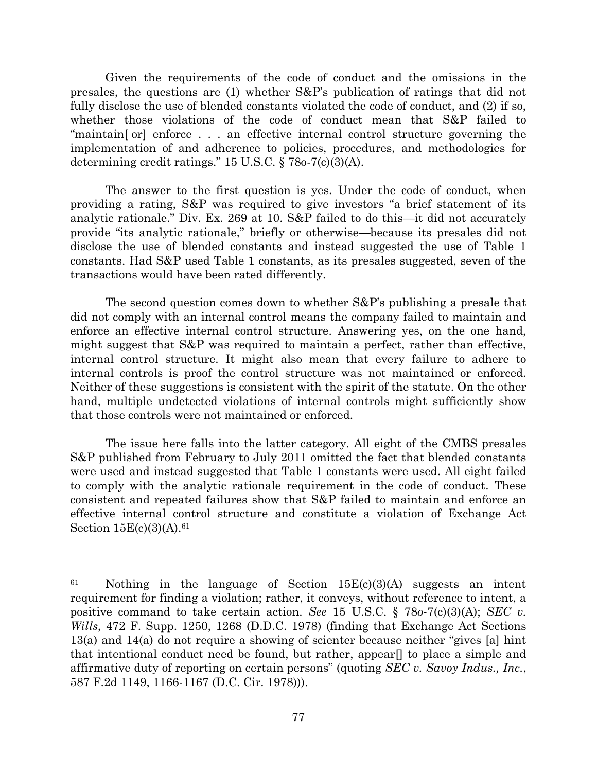Given the requirements of the code of conduct and the omissions in the presales, the questions are (1) whether S&P's publication of ratings that did not fully disclose the use of blended constants violated the code of conduct, and (2) if so, whether those violations of the code of conduct mean that S&P failed to "maintain[ or] enforce . . . an effective internal control structure governing the implementation of and adherence to policies, procedures, and methodologies for determining credit ratings." 15 U.S.C. § 78o-7(c)(3)(A).

The answer to the first question is yes. Under the code of conduct, when providing a rating, S&P was required to give investors "a brief statement of its analytic rationale." Div. Ex. 269 at 10. S&P failed to do this—it did not accurately provide "its analytic rationale," briefly or otherwise—because its presales did not disclose the use of blended constants and instead suggested the use of Table 1 constants. Had S&P used Table 1 constants, as its presales suggested, seven of the transactions would have been rated differently.

The second question comes down to whether S&P's publishing a presale that did not comply with an internal control means the company failed to maintain and enforce an effective internal control structure. Answering yes, on the one hand, might suggest that S&P was required to maintain a perfect, rather than effective, internal control structure. It might also mean that every failure to adhere to internal controls is proof the control structure was not maintained or enforced. Neither of these suggestions is consistent with the spirit of the statute. On the other hand, multiple undetected violations of internal controls might sufficiently show that those controls were not maintained or enforced.

The issue here falls into the latter category. All eight of the CMBS presales S&P published from February to July 2011 omitted the fact that blended constants were used and instead suggested that Table 1 constants were used. All eight failed to comply with the analytic rationale requirement in the code of conduct. These consistent and repeated failures show that S&P failed to maintain and enforce an effective internal control structure and constitute a violation of Exchange Act Section 15E(c)(3)(A). 61

 $\overline{\phantom{a}}$ 

 $61$  Nothing in the language of Section  $15E(c)(3)(A)$  suggests an intent requirement for finding a violation; rather, it conveys, without reference to intent, a positive command to take certain action. *See* 15 U.S.C. § 78*o*-7(c)(3)(A); *SEC v. Wills*, 472 F. Supp. 1250, 1268 (D.D.C. 1978) (finding that Exchange Act Sections 13(a) and 14(a) do not require a showing of scienter because neither "gives [a] hint that intentional conduct need be found, but rather, appear[] to place a simple and affirmative duty of reporting on certain persons" (quoting *SEC v. Savoy Indus., Inc.*, 587 F.2d 1149, 1166-1167 (D.C. Cir. 1978))).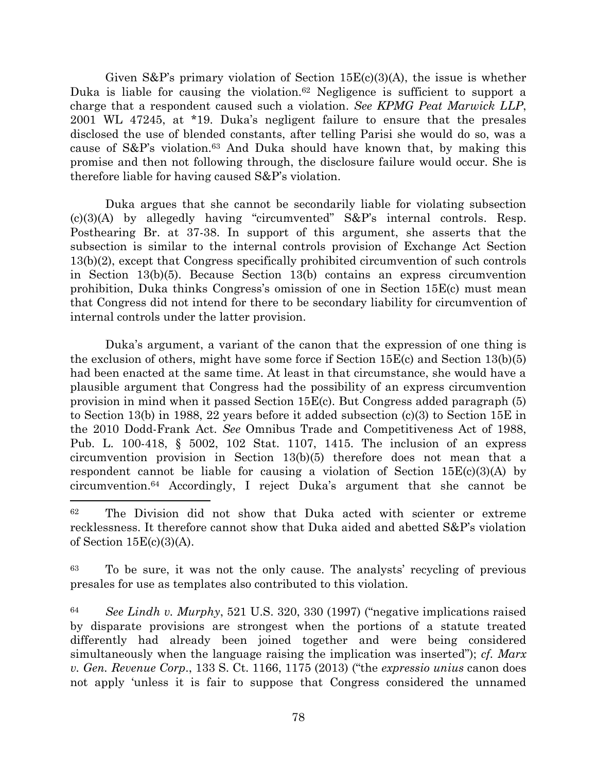Given  $S\&P$ 's primary violation of Section  $15E(c)(3)(A)$ , the issue is whether Duka is liable for causing the violation. <sup>62</sup> Negligence is sufficient to support a charge that a respondent caused such a violation. *See KPMG Peat Marwick LLP*, 2001 WL 47245, at \*19. Duka's negligent failure to ensure that the presales disclosed the use of blended constants, after telling Parisi she would do so, was a cause of S&P's violation.<sup>63</sup> And Duka should have known that, by making this promise and then not following through, the disclosure failure would occur. She is therefore liable for having caused S&P's violation.

Duka argues that she cannot be secondarily liable for violating subsection (c)(3)(A) by allegedly having "circumvented" S&P's internal controls. Resp. Posthearing Br. at 37-38. In support of this argument, she asserts that the subsection is similar to the internal controls provision of Exchange Act Section 13(b)(2), except that Congress specifically prohibited circumvention of such controls in Section 13(b)(5). Because Section 13(b) contains an express circumvention prohibition, Duka thinks Congress's omission of one in Section 15E(c) must mean that Congress did not intend for there to be secondary liability for circumvention of internal controls under the latter provision.

Duka's argument, a variant of the canon that the expression of one thing is the exclusion of others, might have some force if Section 15E(c) and Section 13(b)(5) had been enacted at the same time. At least in that circumstance, she would have a plausible argument that Congress had the possibility of an express circumvention provision in mind when it passed Section 15E(c). But Congress added paragraph (5) to Section 13(b) in 1988, 22 years before it added subsection (c)(3) to Section 15E in the 2010 Dodd-Frank Act. *See* Omnibus Trade and Competitiveness Act of 1988, Pub. L. 100-418, § 5002, 102 Stat. 1107, 1415. The inclusion of an express circumvention provision in Section 13(b)(5) therefore does not mean that a respondent cannot be liable for causing a violation of Section  $15E(c)(3)(A)$  by circumvention. <sup>64</sup> Accordingly, I reject Duka's argument that she cannot be

 $\overline{\phantom{a}}$ 

<sup>63</sup> To be sure, it was not the only cause. The analysts' recycling of previous presales for use as templates also contributed to this violation.

<sup>64</sup> *See Lindh v. Murphy*, 521 U.S. 320, 330 (1997) ("negative implications raised by disparate provisions are strongest when the portions of a statute treated differently had already been joined together and were being considered simultaneously when the language raising the implication was inserted"); *cf. Marx v. Gen. Revenue Corp*., 133 S. Ct. 1166, 1175 (2013) ("the *expressio unius* canon does not apply 'unless it is fair to suppose that Congress considered the unnamed

<sup>62</sup> The Division did not show that Duka acted with scienter or extreme recklessness. It therefore cannot show that Duka aided and abetted S&P's violation of Section  $15E(c)(3)(A)$ .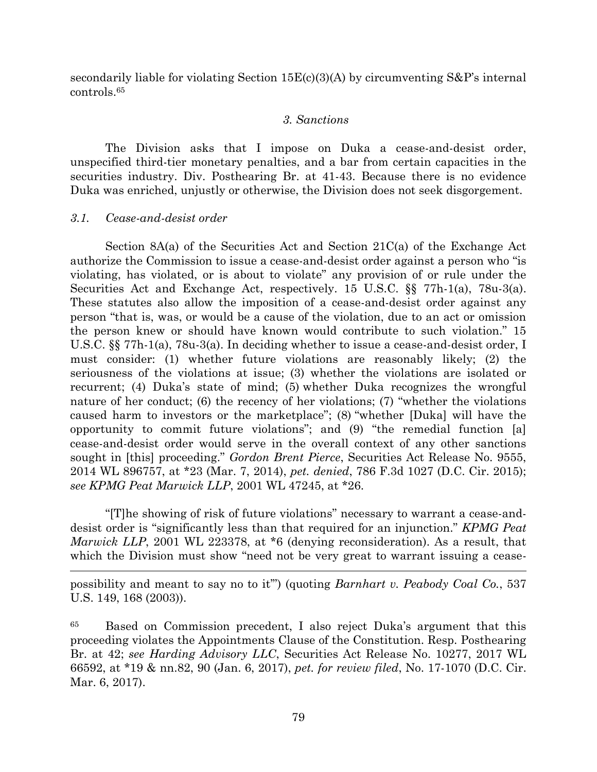secondarily liable for violating Section  $15E(c)(3)(A)$  by circumventing  $S\&P's$  internal controls. 65

## *3. Sanctions*

The Division asks that I impose on Duka a cease-and-desist order, unspecified third-tier monetary penalties, and a bar from certain capacities in the securities industry. Div. Posthearing Br. at 41-43. Because there is no evidence Duka was enriched, unjustly or otherwise, the Division does not seek disgorgement.

## *3.1. Cease-and-desist order*

 $\overline{\phantom{a}}$ 

Section 8A(a) of the Securities Act and Section 21C(a) of the Exchange Act authorize the Commission to issue a cease-and-desist order against a person who "is violating, has violated, or is about to violate" any provision of or rule under the Securities Act and Exchange Act, respectively. 15 U.S.C. §§ 77h-1(a), 78u-3(a). These statutes also allow the imposition of a cease-and-desist order against any person "that is, was, or would be a cause of the violation, due to an act or omission the person knew or should have known would contribute to such violation." 15 U.S.C. §§ 77h-1(a), 78u-3(a). In deciding whether to issue a cease-and-desist order, I must consider: (1) whether future violations are reasonably likely; (2) the seriousness of the violations at issue; (3) whether the violations are isolated or recurrent; (4) Duka's state of mind; (5) whether Duka recognizes the wrongful nature of her conduct; (6) the recency of her violations; (7) "whether the violations caused harm to investors or the marketplace"; (8) "whether [Duka] will have the opportunity to commit future violations"; and (9) "the remedial function [a] cease-and-desist order would serve in the overall context of any other sanctions sought in [this] proceeding." *Gordon Brent Pierce*, Securities Act Release No. 9555, 2014 WL 896757, at \*23 (Mar. 7, 2014), *pet. denied*, 786 F.3d 1027 (D.C. Cir. 2015); *see KPMG Peat Marwick LLP*, 2001 WL 47245, at \*26.

"[T]he showing of risk of future violations" necessary to warrant a cease-anddesist order is "significantly less than that required for an injunction." *KPMG Peat Marwick LLP*, 2001 WL 223378, at \*6 (denying reconsideration). As a result, that which the Division must show "need not be very great to warrant issuing a cease-

possibility and meant to say no to it'") (quoting *Barnhart v. Peabody Coal Co.*, 537 U.S. 149, 168 (2003)).

<sup>65</sup> Based on Commission precedent, I also reject Duka's argument that this proceeding violates the Appointments Clause of the Constitution. Resp. Posthearing Br. at 42; *see Harding Advisory LLC*, Securities Act Release No. 10277, 2017 WL 66592, at \*19 & nn.82, 90 (Jan. 6, 2017), *pet. for review filed*, No. 17-1070 (D.C. Cir. Mar. 6, 2017).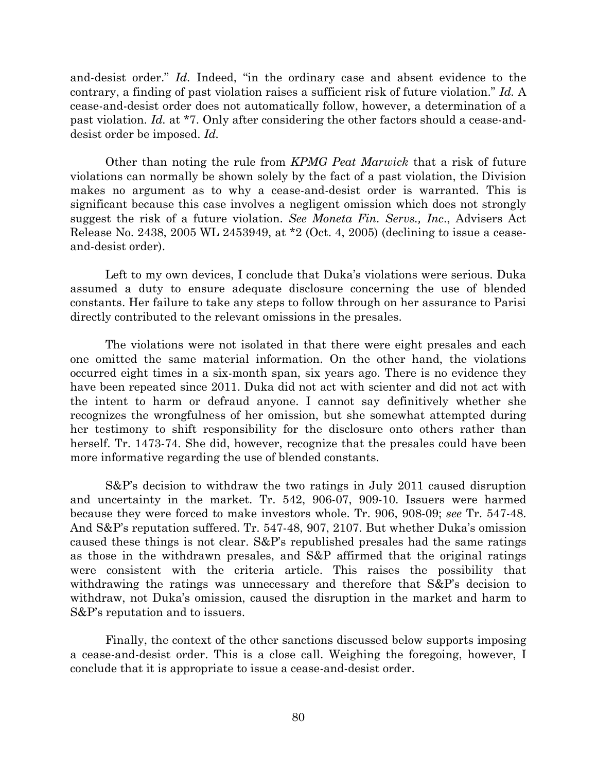and-desist order." *Id.* Indeed, "in the ordinary case and absent evidence to the contrary, a finding of past violation raises a sufficient risk of future violation." *Id.* A cease-and-desist order does not automatically follow, however, a determination of a past violation. *Id.* at \*7. Only after considering the other factors should a cease-anddesist order be imposed. *Id.*

Other than noting the rule from *KPMG Peat Marwick* that a risk of future violations can normally be shown solely by the fact of a past violation, the Division makes no argument as to why a cease-and-desist order is warranted. This is significant because this case involves a negligent omission which does not strongly suggest the risk of a future violation. *See Moneta Fin. Servs., Inc*., Advisers Act Release No. 2438, 2005 WL 2453949, at \*2 (Oct. 4, 2005) (declining to issue a ceaseand-desist order).

Left to my own devices, I conclude that Duka's violations were serious. Duka assumed a duty to ensure adequate disclosure concerning the use of blended constants. Her failure to take any steps to follow through on her assurance to Parisi directly contributed to the relevant omissions in the presales.

The violations were not isolated in that there were eight presales and each one omitted the same material information. On the other hand, the violations occurred eight times in a six-month span, six years ago. There is no evidence they have been repeated since 2011. Duka did not act with scienter and did not act with the intent to harm or defraud anyone. I cannot say definitively whether she recognizes the wrongfulness of her omission, but she somewhat attempted during her testimony to shift responsibility for the disclosure onto others rather than herself. Tr. 1473-74. She did, however, recognize that the presales could have been more informative regarding the use of blended constants.

S&P's decision to withdraw the two ratings in July 2011 caused disruption and uncertainty in the market. Tr. 542, 906-07, 909-10. Issuers were harmed because they were forced to make investors whole. Tr. 906, 908-09; *see* Tr. 547-48. And S&P's reputation suffered. Tr. 547-48, 907, 2107. But whether Duka's omission caused these things is not clear. S&P's republished presales had the same ratings as those in the withdrawn presales, and S&P affirmed that the original ratings were consistent with the criteria article. This raises the possibility that withdrawing the ratings was unnecessary and therefore that S&P's decision to withdraw, not Duka's omission, caused the disruption in the market and harm to S&P's reputation and to issuers.

Finally, the context of the other sanctions discussed below supports imposing a cease-and-desist order. This is a close call. Weighing the foregoing, however, I conclude that it is appropriate to issue a cease-and-desist order.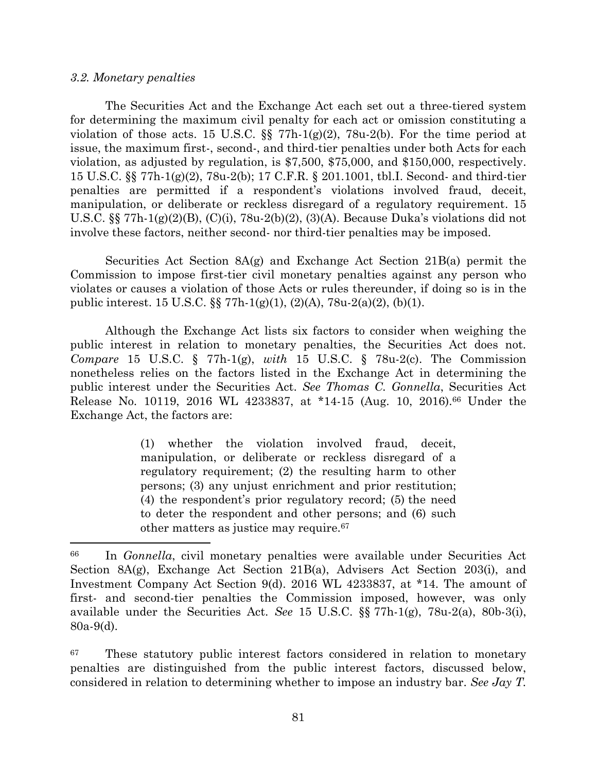## *3.2. Monetary penalties*

 $\overline{\phantom{a}}$ 

The Securities Act and the Exchange Act each set out a three-tiered system for determining the maximum civil penalty for each act or omission constituting a violation of those acts. 15 U.S.C.  $\S$  77h-1(g)(2), 78u-2(b). For the time period at issue, the maximum first-, second-, and third-tier penalties under both Acts for each violation, as adjusted by regulation, is \$7,500, \$75,000, and \$150,000, respectively. 15 U.S.C. §§ 77h-1(g)(2), 78u-2(b); 17 C.F.R. § 201.1001, tbl.I. Second- and third-tier penalties are permitted if a respondent's violations involved fraud, deceit, manipulation, or deliberate or reckless disregard of a regulatory requirement. 15 U.S.C. §§ 77h-1(g)(2)(B), (C)(i), 78u-2(b)(2), (3)(A). Because Duka's violations did not involve these factors, neither second- nor third-tier penalties may be imposed.

Securities Act Section 8A(g) and Exchange Act Section 21B(a) permit the Commission to impose first-tier civil monetary penalties against any person who violates or causes a violation of those Acts or rules thereunder, if doing so is in the public interest. 15 U.S.C. §§ 77h-1(g)(1), (2)(A), 78u-2(a)(2), (b)(1).

Although the Exchange Act lists six factors to consider when weighing the public interest in relation to monetary penalties, the Securities Act does not. *Compare* 15 U.S.C. § 77h-1(g), *with* 15 U.S.C. § 78u-2(c). The Commission nonetheless relies on the factors listed in the Exchange Act in determining the public interest under the Securities Act. *See Thomas C. Gonnella*, Securities Act Release No. 10119, 2016 WL 4233837, at \*14-15 (Aug. 10, 2016).<sup>66</sup> Under the Exchange Act, the factors are:

> (1) whether the violation involved fraud, deceit, manipulation, or deliberate or reckless disregard of a regulatory requirement; (2) the resulting harm to other persons; (3) any unjust enrichment and prior restitution; (4) the respondent's prior regulatory record; (5) the need to deter the respondent and other persons; and (6) such other matters as justice may require.<sup>67</sup>

<sup>67</sup> These statutory public interest factors considered in relation to monetary penalties are distinguished from the public interest factors, discussed below, considered in relation to determining whether to impose an industry bar. *See Jay T.* 

<sup>66</sup> In *Gonnella*, civil monetary penalties were available under Securities Act Section 8A(g), Exchange Act Section 21B(a), Advisers Act Section 203(i), and Investment Company Act Section 9(d). 2016 WL 4233837, at \*14. The amount of first- and second-tier penalties the Commission imposed, however, was only available under the Securities Act. *See* 15 U.S.C. §§ 77h-1(g), 78u-2(a), 80b-3(i), 80a-9(d).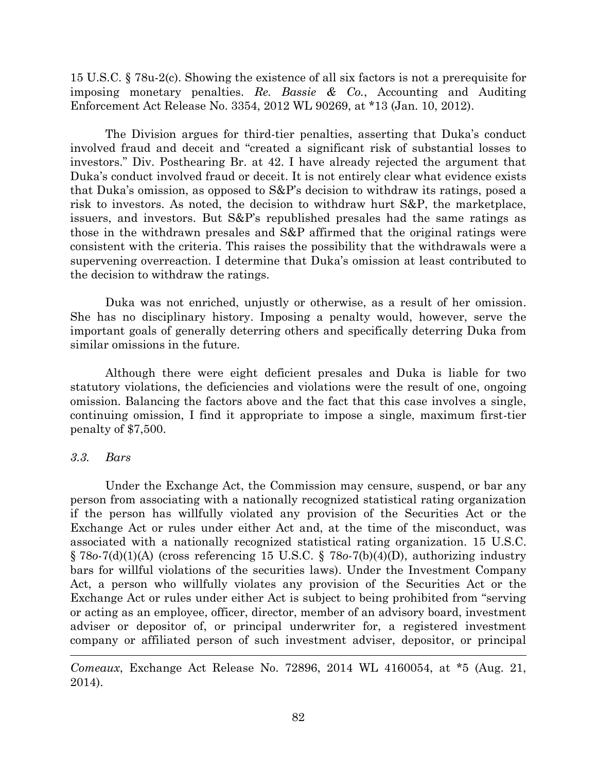15 U.S.C. § 78u-2(c). Showing the existence of all six factors is not a prerequisite for imposing monetary penalties. *Re. Bassie & Co.*, Accounting and Auditing Enforcement Act Release No. 3354, 2012 WL 90269, at \*13 (Jan. 10, 2012).

The Division argues for third-tier penalties, asserting that Duka's conduct involved fraud and deceit and "created a significant risk of substantial losses to investors." Div. Posthearing Br. at 42. I have already rejected the argument that Duka's conduct involved fraud or deceit. It is not entirely clear what evidence exists that Duka's omission, as opposed to S&P's decision to withdraw its ratings, posed a risk to investors. As noted, the decision to withdraw hurt S&P, the marketplace, issuers, and investors. But S&P's republished presales had the same ratings as those in the withdrawn presales and S&P affirmed that the original ratings were consistent with the criteria. This raises the possibility that the withdrawals were a supervening overreaction. I determine that Duka's omission at least contributed to the decision to withdraw the ratings.

Duka was not enriched, unjustly or otherwise, as a result of her omission. She has no disciplinary history. Imposing a penalty would, however, serve the important goals of generally deterring others and specifically deterring Duka from similar omissions in the future.

Although there were eight deficient presales and Duka is liable for two statutory violations, the deficiencies and violations were the result of one, ongoing omission. Balancing the factors above and the fact that this case involves a single, continuing omission, I find it appropriate to impose a single, maximum first-tier penalty of \$7,500.

## *3.3. Bars*

 $\overline{\phantom{a}}$ 

Under the Exchange Act, the Commission may censure, suspend, or bar any person from associating with a nationally recognized statistical rating organization if the person has willfully violated any provision of the Securities Act or the Exchange Act or rules under either Act and, at the time of the misconduct, was associated with a nationally recognized statistical rating organization. 15 U.S.C. § 78*o*-7(d)(1)(A) (cross referencing 15 U.S.C. § 78*o*-7(b)(4)(D), authorizing industry bars for willful violations of the securities laws). Under the Investment Company Act, a person who willfully violates any provision of the Securities Act or the Exchange Act or rules under either Act is subject to being prohibited from "serving or acting as an employee, officer, director, member of an advisory board, investment adviser or depositor of, or principal underwriter for, a registered investment company or affiliated person of such investment adviser, depositor, or principal

*Comeaux*, Exchange Act Release No. 72896, 2014 WL 4160054, at \*5 (Aug. 21, 2014).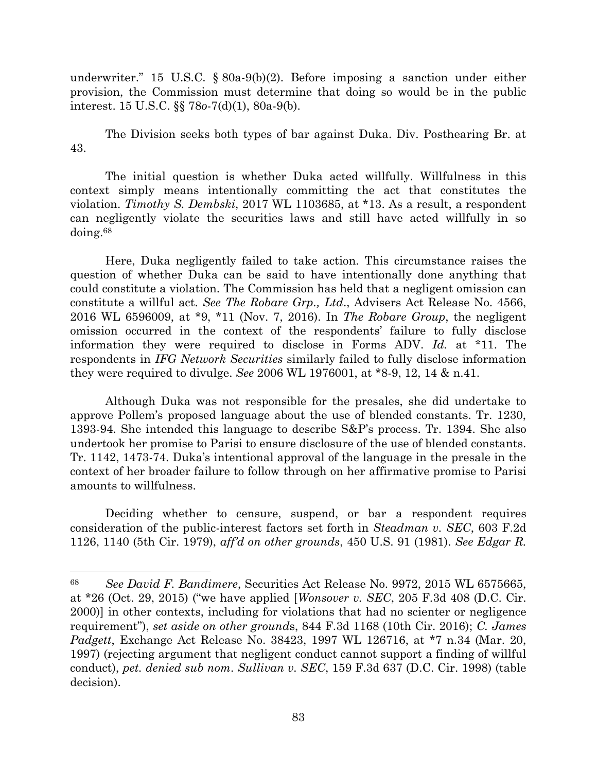underwriter." 15 U.S.C. § 80a-9(b)(2). Before imposing a sanction under either provision, the Commission must determine that doing so would be in the public interest. 15 U.S.C. §§ 78*o*-7(d)(1), 80a-9(b).

The Division seeks both types of bar against Duka. Div. Posthearing Br. at 43.

The initial question is whether Duka acted willfully. Willfulness in this context simply means intentionally committing the act that constitutes the violation. *Timothy S. Dembski*, 2017 WL 1103685, at \*13. As a result, a respondent can negligently violate the securities laws and still have acted willfully in so doing.<sup>68</sup>

Here, Duka negligently failed to take action. This circumstance raises the question of whether Duka can be said to have intentionally done anything that could constitute a violation. The Commission has held that a negligent omission can constitute a willful act. *See The Robare Grp., Ltd*., Advisers Act Release No. 4566, 2016 WL 6596009, at \*9, \*11 (Nov. 7, 2016). In *The Robare Group*, the negligent omission occurred in the context of the respondents' failure to fully disclose information they were required to disclose in Forms ADV. *Id.* at \*11. The respondents in *IFG Network Securities* similarly failed to fully disclose information they were required to divulge. *See* 2006 WL 1976001, at \*8-9, 12, 14 & n.41.

Although Duka was not responsible for the presales, she did undertake to approve Pollem's proposed language about the use of blended constants. Tr. 1230, 1393-94. She intended this language to describe S&P's process. Tr. 1394. She also undertook her promise to Parisi to ensure disclosure of the use of blended constants. Tr. 1142, 1473-74. Duka's intentional approval of the language in the presale in the context of her broader failure to follow through on her affirmative promise to Parisi amounts to willfulness.

Deciding whether to censure, suspend, or bar a respondent requires consideration of the public-interest factors set forth in *Steadman v. SEC*, 603 F.2d 1126, 1140 (5th Cir. 1979), *aff'd on other grounds*, 450 U.S. 91 (1981). *See Edgar R.* 

 $\overline{\phantom{a}}$ 

<sup>68</sup> *See David F. Bandimere*, Securities Act Release No. 9972, 2015 WL 6575665, at \*26 (Oct. 29, 2015) ("we have applied [*Wonsover v. SEC*, 205 F.3d 408 (D.C. Cir. 2000)] in other contexts, including for violations that had no scienter or negligence requirement"), *set aside on other ground*s, 844 F.3d 1168 (10th Cir. 2016); *C. James Padgett*, Exchange Act Release No. 38423, 1997 WL 126716, at \*7 n.34 (Mar. 20, 1997) (rejecting argument that negligent conduct cannot support a finding of willful conduct), *pet. denied sub nom*. *Sullivan v. SEC*, 159 F.3d 637 (D.C. Cir. 1998) (table decision).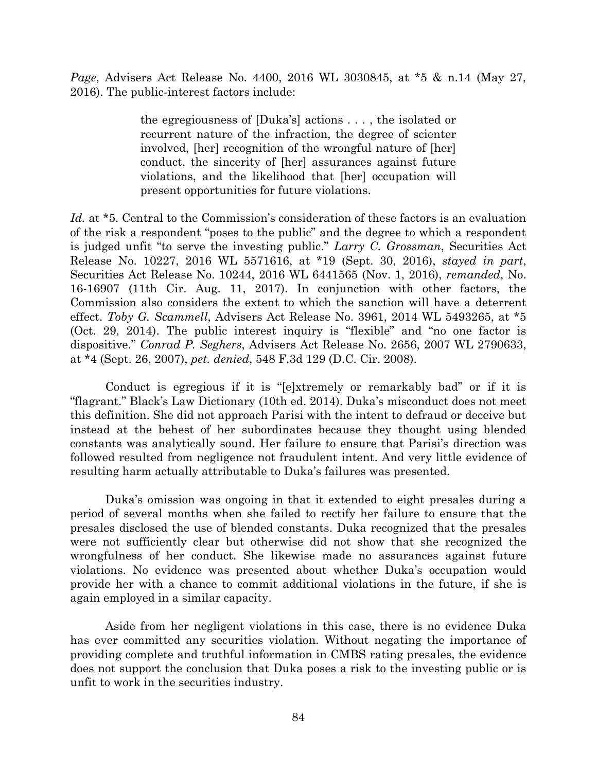*Page*, Advisers Act Release No. 4400, 2016 WL 3030845, at \*5 & n.14 (May 27, 2016). The public-interest factors include:

> the egregiousness of [Duka's] actions . . . , the isolated or recurrent nature of the infraction, the degree of scienter involved, [her] recognition of the wrongful nature of [her] conduct, the sincerity of [her] assurances against future violations, and the likelihood that [her] occupation will present opportunities for future violations.

Id. at \*5. Central to the Commission's consideration of these factors is an evaluation of the risk a respondent "poses to the public" and the degree to which a respondent is judged unfit "to serve the investing public." *Larry C. Grossman*, Securities Act Release No. 10227, 2016 WL 5571616, at \*19 (Sept. 30, 2016), *stayed in part*, Securities Act Release No. 10244, 2016 WL 6441565 (Nov. 1, 2016), *remanded*, No. 16-16907 (11th Cir. Aug. 11, 2017). In conjunction with other factors, the Commission also considers the extent to which the sanction will have a deterrent effect. *Toby G. Scammell*, Advisers Act Release No. 3961, 2014 WL 5493265, at \*5 (Oct. 29, 2014). The public interest inquiry is "flexible" and "no one factor is dispositive." *Conrad P. Seghers*, Advisers Act Release No. 2656, 2007 WL 2790633, at \*4 (Sept. 26, 2007), *pet. denied*, 548 F.3d 129 (D.C. Cir. 2008).

Conduct is egregious if it is "[e]xtremely or remarkably bad" or if it is "flagrant." Black's Law Dictionary (10th ed. 2014). Duka's misconduct does not meet this definition. She did not approach Parisi with the intent to defraud or deceive but instead at the behest of her subordinates because they thought using blended constants was analytically sound. Her failure to ensure that Parisi's direction was followed resulted from negligence not fraudulent intent. And very little evidence of resulting harm actually attributable to Duka's failures was presented.

Duka's omission was ongoing in that it extended to eight presales during a period of several months when she failed to rectify her failure to ensure that the presales disclosed the use of blended constants. Duka recognized that the presales were not sufficiently clear but otherwise did not show that she recognized the wrongfulness of her conduct. She likewise made no assurances against future violations. No evidence was presented about whether Duka's occupation would provide her with a chance to commit additional violations in the future, if she is again employed in a similar capacity.

Aside from her negligent violations in this case, there is no evidence Duka has ever committed any securities violation. Without negating the importance of providing complete and truthful information in CMBS rating presales, the evidence does not support the conclusion that Duka poses a risk to the investing public or is unfit to work in the securities industry.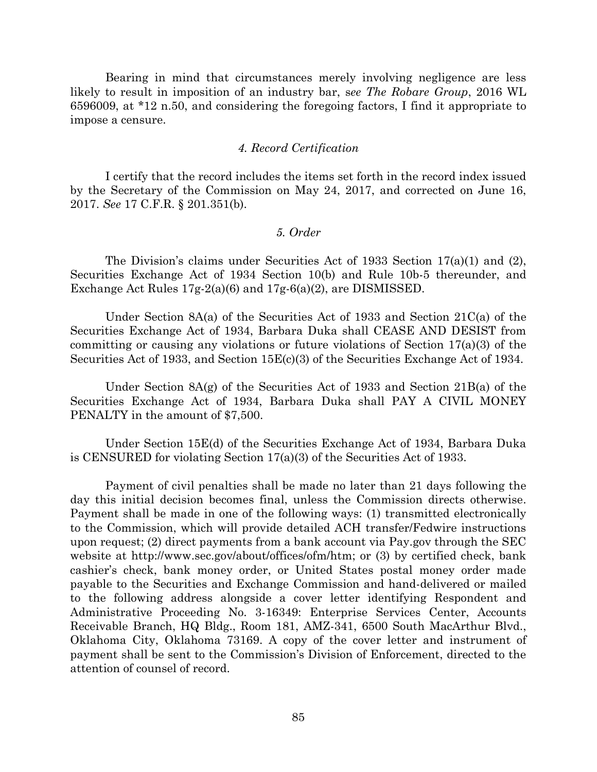Bearing in mind that circumstances merely involving negligence are less likely to result in imposition of an industry bar, s*ee The Robare Group*, 2016 WL 6596009, at \*12 n.50, and considering the foregoing factors, I find it appropriate to impose a censure.

#### *4. Record Certification*

I certify that the record includes the items set forth in the record index issued by the Secretary of the Commission on May 24, 2017, and corrected on June 16, 2017. *See* 17 C.F.R. § 201.351(b).

## *5. Order*

The Division's claims under Securities Act of 1933 Section 17(a)(1) and (2), Securities Exchange Act of 1934 Section 10(b) and Rule 10b-5 thereunder, and Exchange Act Rules 17g-2(a)(6) and 17g-6(a)(2), are DISMISSED.

Under Section 8A(a) of the Securities Act of 1933 and Section 21C(a) of the Securities Exchange Act of 1934, Barbara Duka shall CEASE AND DESIST from committing or causing any violations or future violations of Section 17(a)(3) of the Securities Act of 1933, and Section 15E(c)(3) of the Securities Exchange Act of 1934.

Under Section 8A(g) of the Securities Act of 1933 and Section 21B(a) of the Securities Exchange Act of 1934, Barbara Duka shall PAY A CIVIL MONEY PENALTY in the amount of \$7,500.

Under Section 15E(d) of the Securities Exchange Act of 1934, Barbara Duka is CENSURED for violating Section 17(a)(3) of the Securities Act of 1933.

Payment of civil penalties shall be made no later than 21 days following the day this initial decision becomes final, unless the Commission directs otherwise. Payment shall be made in one of the following ways: (1) transmitted electronically to the Commission, which will provide detailed ACH transfer/Fedwire instructions upon request; (2) direct payments from a bank account via Pay.gov through the SEC website at http://www.sec.gov/about/offices/ofm/htm; or (3) by certified check, bank cashier's check, bank money order, or United States postal money order made payable to the Securities and Exchange Commission and hand-delivered or mailed to the following address alongside a cover letter identifying Respondent and Administrative Proceeding No. 3-16349: Enterprise Services Center, Accounts Receivable Branch, HQ Bldg., Room 181, AMZ-341, 6500 South MacArthur Blvd., Oklahoma City, Oklahoma 73169. A copy of the cover letter and instrument of payment shall be sent to the Commission's Division of Enforcement, directed to the attention of counsel of record.